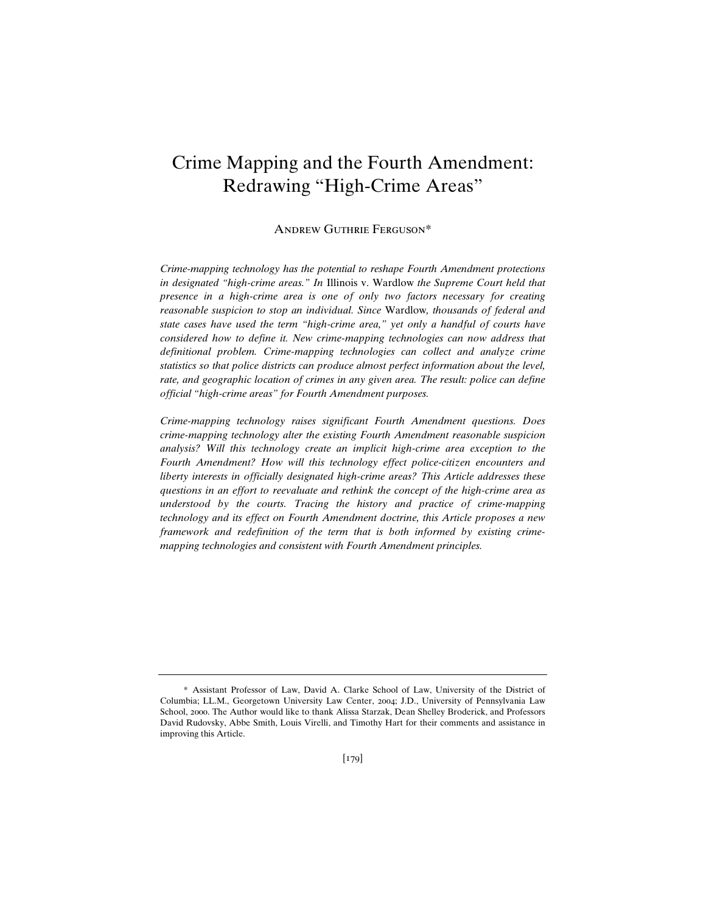# Crime Mapping and the Fourth Amendment: Redrawing "High-Crime Areas"

## Andrew Guthrie Ferguson\*

*Crime-mapping technology has the potential to reshape Fourth Amendment protections in designated "high-crime areas." In* Illinois v. Wardlow *the Supreme Court held that presence in a high-crime area is one of only two factors necessary for creating reasonable suspicion to stop an individual. Since* Wardlow*, thousands of federal and state cases have used the term "high-crime area," yet only a handful of courts have considered how to define it. New crime-mapping technologies can now address that definitional problem. Crime-mapping technologies can collect and analyze crime statistics so that police districts can produce almost perfect information about the level,*  rate, and geographic location of crimes in any given area. The result: police can define *official "high-crime areas" for Fourth Amendment purposes.* 

*Crime-mapping technology raises significant Fourth Amendment questions. Does crime-mapping technology alter the existing Fourth Amendment reasonable suspicion analysis? Will this technology create an implicit high-crime area exception to the Fourth Amendment? How will this technology effect police-citizen encounters and liberty interests in officially designated high-crime areas? This Article addresses these questions in an effort to reevaluate and rethink the concept of the high-crime area as understood by the courts. Tracing the history and practice of crime-mapping technology and its effect on Fourth Amendment doctrine, this Article proposes a new framework and redefinition of the term that is both informed by existing crimemapping technologies and consistent with Fourth Amendment principles.* 

 <sup>\*</sup> Assistant Professor of Law, David A. Clarke School of Law, University of the District of Columbia; LL.M., Georgetown University Law Center, 2004; J.D., University of Pennsylvania Law School, 2000. The Author would like to thank Alissa Starzak, Dean Shelley Broderick, and Professors David Rudovsky, Abbe Smith, Louis Virelli, and Timothy Hart for their comments and assistance in improving this Article.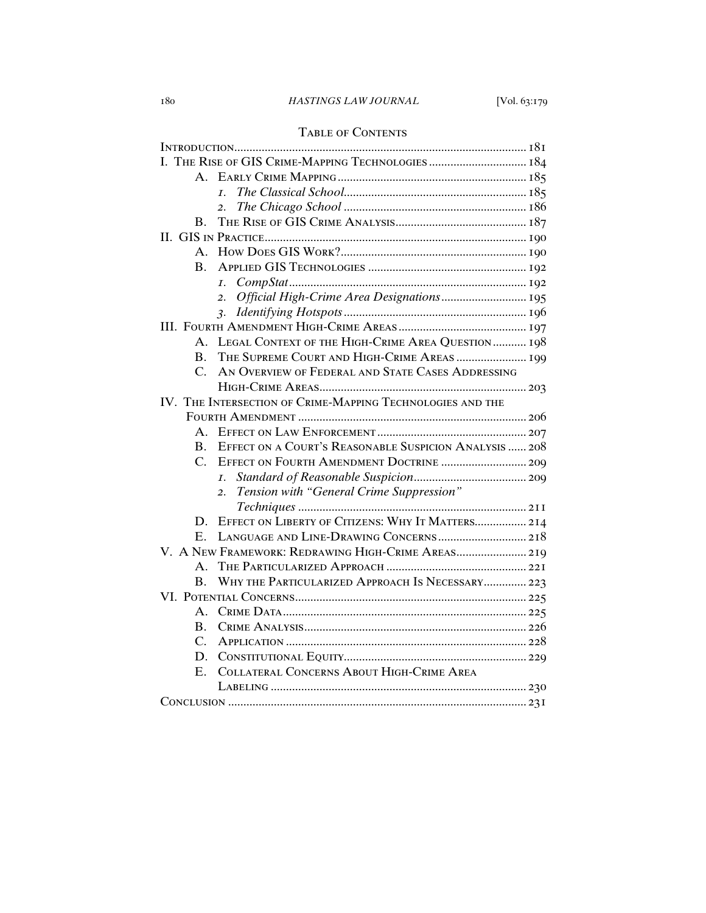## Table of Contents

| I. THE RISE OF GIS CRIME-MAPPING TECHNOLOGIES  184                     |
|------------------------------------------------------------------------|
| $\mathbf{A}$                                                           |
| $\overline{L}$                                                         |
| 2.                                                                     |
| В.                                                                     |
|                                                                        |
| $A_{\cdot}$                                                            |
| $\mathbf{B}$ .                                                         |
| $\overline{I}$ .                                                       |
| Official High-Crime Area Designations 195<br>2.                        |
|                                                                        |
|                                                                        |
| LEGAL CONTEXT OF THE HIGH-CRIME AREA QUESTION  198<br>А.               |
| THE SUPREME COURT AND HIGH-CRIME AREAS  199<br>$\bf{B}$ .              |
| AN OVERVIEW OF FEDERAL AND STATE CASES ADDRESSING<br>$\mathcal{C}$ .   |
|                                                                        |
| IV. THE INTERSECTION OF CRIME-MAPPING TECHNOLOGIES AND THE             |
|                                                                        |
| $A_{-}$                                                                |
| EFFECT ON A COURT'S REASONABLE SUSPICION ANALYSIS  208<br>$\mathbf{B}$ |
| EFFECT ON FOURTH AMENDMENT DOCTRINE  209<br>$\mathcal{C}$              |
| I <sub>1</sub>                                                         |
| Tension with "General Crime Suppression"<br>2.                         |
|                                                                        |
| EFFECT ON LIBERTY OF CITIZENS: WHY IT MATTERS 214<br>D.                |
|                                                                        |
| V. A NEW FRAMEWORK: REDRAWING HIGH-CRIME AREAS 219                     |
| $A_{-}$                                                                |
| WHY THE PARTICULARIZED APPROACH IS NECESSARY 223<br>$\mathbf{B}$ .     |
|                                                                        |
| A.                                                                     |
| Β.                                                                     |
| $\overline{C}$ .                                                       |
| D.                                                                     |
| COLLATERAL CONCERNS ABOUT HIGH-CRIME AREA<br>$E_{\cdot}$               |
|                                                                        |
|                                                                        |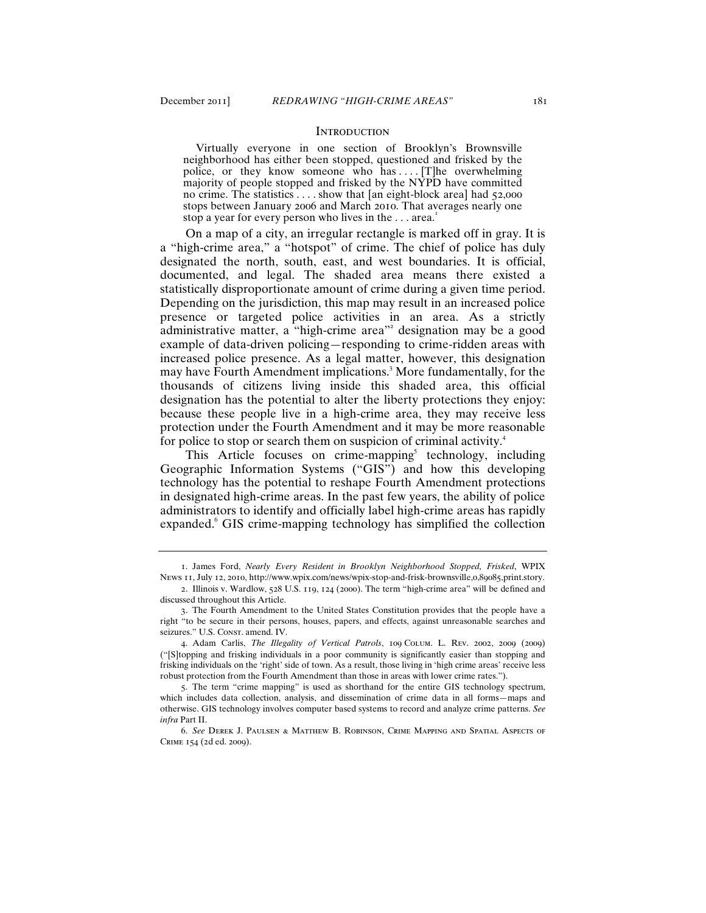## **INTRODUCTION**

 Virtually everyone in one section of Brooklyn's Brownsville neighborhood has either been stopped, questioned and frisked by the police, or they know someone who has .... [T]he overwhelming majority of people stopped and frisked by the NYPD have committed no crime. The statistics . . . . show that [an eight-block area] had 52,000 stops between January 2006 and March 2010. That averages nearly one stop a year for every person who lives in the ... area.<sup>1</sup>

On a map of a city, an irregular rectangle is marked off in gray. It is a "high-crime area," a "hotspot" of crime. The chief of police has duly designated the north, south, east, and west boundaries. It is official, documented, and legal. The shaded area means there existed a statistically disproportionate amount of crime during a given time period. Depending on the jurisdiction, this map may result in an increased police presence or targeted police activities in an area. As a strictly administrative matter, a "high-crime area"<sup>2</sup> designation may be a good example of data-driven policing—responding to crime-ridden areas with increased police presence. As a legal matter, however, this designation may have Fourth Amendment implications.<sup>3</sup> More fundamentally, for the thousands of citizens living inside this shaded area, this official designation has the potential to alter the liberty protections they enjoy: because these people live in a high-crime area, they may receive less protection under the Fourth Amendment and it may be more reasonable for police to stop or search them on suspicion of criminal activity.<sup>4</sup>

This Article focuses on crime-mapping<sup>5</sup> technology, including Geographic Information Systems ("GIS") and how this developing technology has the potential to reshape Fourth Amendment protections in designated high-crime areas. In the past few years, the ability of police administrators to identify and officially label high-crime areas has rapidly expanded. GIS crime-mapping technology has simplified the collection

<sup>1</sup>. James Ford, *Nearly Every Resident in Brooklyn Neighborhood Stopped, Frisked*, WPIX News 11, July 12, 2010, http://www.wpix.com/news/wpix-stop-and-frisk-brownsville,0,89085,print.story.

<sup>2</sup>. Illinois v. Wardlow, 528 U.S. 119, 124 (2000). The term "high-crime area" will be defined and discussed throughout this Article.

<sup>3</sup>. The Fourth Amendment to the United States Constitution provides that the people have a right "to be secure in their persons, houses, papers, and effects, against unreasonable searches and seizures." U.S. Const. amend. IV.

<sup>4</sup>. Adam Carlis, *The Illegality of Vertical Patrols*, 109 Colum. L. Rev. 2002, 2009 (2009) ("[S]topping and frisking individuals in a poor community is significantly easier than stopping and frisking individuals on the 'right' side of town. As a result, those living in 'high crime areas' receive less robust protection from the Fourth Amendment than those in areas with lower crime rates.").

<sup>5</sup>. The term "crime mapping" is used as shorthand for the entire GIS technology spectrum, which includes data collection, analysis, and dissemination of crime data in all forms—maps and otherwise. GIS technology involves computer based systems to record and analyze crime patterns. *See infra* Part II.

<sup>6</sup>. *See* Derek J. Paulsen & Matthew B. Robinson, Crime Mapping and Spatial Aspects of Crime 154 (2d ed. 2009).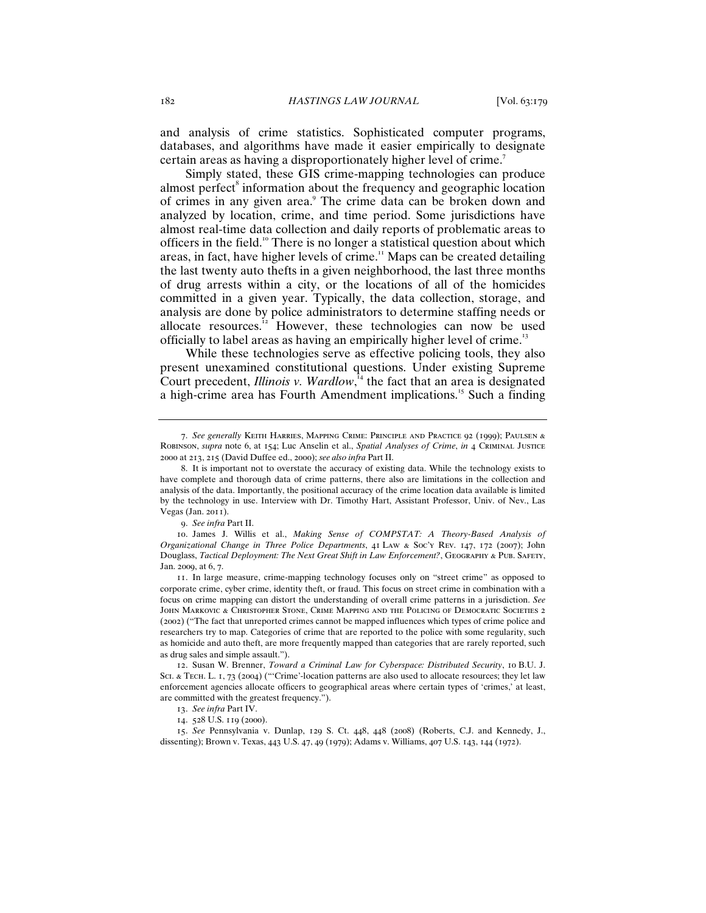and analysis of crime statistics. Sophisticated computer programs, databases, and algorithms have made it easier empirically to designate certain areas as having a disproportionately higher level of crime.<sup>7</sup>

Simply stated, these GIS crime-mapping technologies can produce almost perfect<sup>8</sup> information about the frequency and geographic location of crimes in any given area.<sup>9</sup> The crime data can be broken down and analyzed by location, crime, and time period. Some jurisdictions have almost real-time data collection and daily reports of problematic areas to officers in the field.<sup>10</sup> There is no longer a statistical question about which areas, in fact, have higher levels of crime.<sup>11</sup> Maps can be created detailing the last twenty auto thefts in a given neighborhood, the last three months of drug arrests within a city, or the locations of all of the homicides committed in a given year. Typically, the data collection, storage, and analysis are done by police administrators to determine staffing needs or allocate resources.<sup>12</sup> However, these technologies can now be used officially to label areas as having an empirically higher level of crime.<sup>13</sup>

While these technologies serve as effective policing tools, they also present unexamined constitutional questions. Under existing Supreme Court precedent, *Illinois v. Wardlow*,<sup>14</sup> the fact that an area is designated a high-crime area has Fourth Amendment implications.<sup>15</sup> Such a finding

<sup>7</sup>. *See generally* Keith Harries, Mapping Crime: Principle and Practice 92 (1999); Paulsen & Robinson, *supra* note 6, at 154; Luc Anselin et al., *Spatial Analyses of Crime*, *in* 4 Criminal Justice 2000 at 213, 215 (David Duffee ed., 2000); *see also infra* Part II.

<sup>8</sup>. It is important not to overstate the accuracy of existing data. While the technology exists to have complete and thorough data of crime patterns, there also are limitations in the collection and analysis of the data. Importantly, the positional accuracy of the crime location data available is limited by the technology in use. Interview with Dr. Timothy Hart, Assistant Professor, Univ. of Nev., Las Vegas (Jan. 2011).

<sup>9</sup>. *See infra* Part II.

<sup>10</sup>. James J. Willis et al., *Making Sense of COMPSTAT: A Theory-Based Analysis of Organizational Change in Three Police Departments*, 41 Law & Soc'y Rev. 147, 172 (2007); John Douglass, *Tactical Deployment: The Next Great Shift in Law Enforcement?*, Geography & Pub. Safety, Jan. 2009, at 6, 7.

<sup>11</sup>. In large measure, crime-mapping technology focuses only on "street crime" as opposed to corporate crime, cyber crime, identity theft, or fraud. This focus on street crime in combination with a focus on crime mapping can distort the understanding of overall crime patterns in a jurisdiction. *See* John Markovic & Christopher Stone, Crime Mapping and the Policing of Democratic Societies 2 (2002) ("The fact that unreported crimes cannot be mapped influences which types of crime police and researchers try to map. Categories of crime that are reported to the police with some regularity, such as homicide and auto theft, are more frequently mapped than categories that are rarely reported, such as drug sales and simple assault.").

<sup>12</sup>. Susan W. Brenner, *Toward a Criminal Law for Cyberspace: Distributed Security*, 10 B.U. J. SCI. & TECH. L. I, 73 (2004) ("'Crime'-location patterns are also used to allocate resources; they let law enforcement agencies allocate officers to geographical areas where certain types of 'crimes,' at least, are committed with the greatest frequency.").

<sup>13</sup>. *See infra* Part IV.

<sup>14</sup>. 528 U.S. 119 (2000).

<sup>15</sup>. *See* Pennsylvania v. Dunlap, 129 S. Ct. 448, 448 (2008) (Roberts, C.J. and Kennedy, J., dissenting); Brown v. Texas, 443 U.S. 47, 49 (1979); Adams v. Williams, 407 U.S. 143, 144 (1972).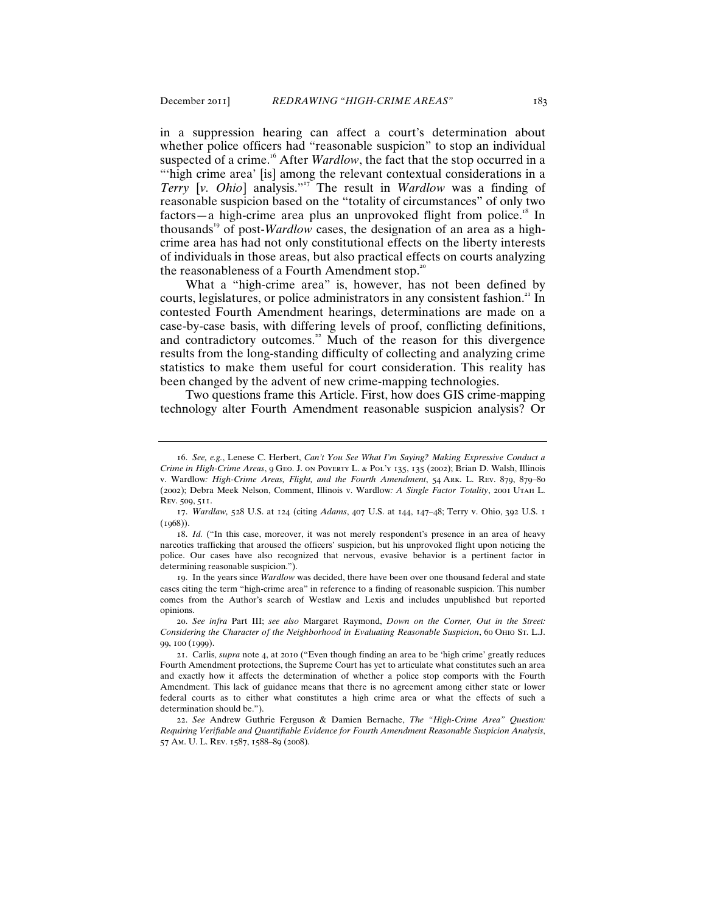in a suppression hearing can affect a court's determination about whether police officers had "reasonable suspicion" to stop an individual suspected of a crime.<sup>16</sup> After *Wardlow*, the fact that the stop occurred in a "high crime area' [is] among the relevant contextual considerations in a *Terry* [*v. Ohio*] analysis."<sup>17</sup> The result in *Wardlow* was a finding of reasonable suspicion based on the "totality of circumstances" of only two factors—a high-crime area plus an unprovoked flight from police.<sup>18</sup> In thousands<sup>19</sup> of post-*Wardlow* cases, the designation of an area as a highcrime area has had not only constitutional effects on the liberty interests of individuals in those areas, but also practical effects on courts analyzing the reasonableness of a Fourth Amendment stop.<sup>20</sup>

What a "high-crime area" is, however, has not been defined by courts, legislatures, or police administrators in any consistent fashion.<sup>21</sup> In contested Fourth Amendment hearings, determinations are made on a case-by-case basis, with differing levels of proof, conflicting definitions, and contradictory outcomes.<sup>22</sup> Much of the reason for this divergence results from the long-standing difficulty of collecting and analyzing crime statistics to make them useful for court consideration. This reality has been changed by the advent of new crime-mapping technologies.

Two questions frame this Article. First, how does GIS crime-mapping technology alter Fourth Amendment reasonable suspicion analysis? Or

<sup>16</sup>. *See, e.g.*, Lenese C. Herbert, *Can't You See What I'm Saying? Making Expressive Conduct a Crime in High-Crime Areas*, 9 Geo. J. on Poverty L. & Pol'y 135, 135 (2002); Brian D. Walsh, Illinois v. Wardlow*: High-Crime Areas, Flight, and the Fourth Amendment*, 54 Ark. L. Rev. 879, 879–80 (2002); Debra Meek Nelson, Comment, Illinois v. Wardlow*: A Single Factor Totality*, 2001 Utah L. Rev. 509, 511.

<sup>17</sup>. *Wardlaw,* 528 U.S. at 124 (citing *Adams*, 407 U.S. at 144, 147–48; Terry v. Ohio, 392 U.S. 1  $(1968)$ ).

<sup>18</sup>. *Id.* ("In this case, moreover, it was not merely respondent's presence in an area of heavy narcotics trafficking that aroused the officers' suspicion, but his unprovoked flight upon noticing the police. Our cases have also recognized that nervous, evasive behavior is a pertinent factor in determining reasonable suspicion.").

<sup>19</sup>. In the years since *Wardlow* was decided, there have been over one thousand federal and state cases citing the term "high-crime area" in reference to a finding of reasonable suspicion. This number comes from the Author's search of Westlaw and Lexis and includes unpublished but reported opinions.

<sup>20</sup>. *See infra* Part III; *see also* Margaret Raymond, *Down on the Corner, Out in the Street: Considering the Character of the Neighborhood in Evaluating Reasonable Suspicion*, 60 Ohio St. L.J. 99, 100 (1999).

<sup>21</sup>. Carlis, *supra* note 4, at 2010 ("Even though finding an area to be 'high crime' greatly reduces Fourth Amendment protections, the Supreme Court has yet to articulate what constitutes such an area and exactly how it affects the determination of whether a police stop comports with the Fourth Amendment. This lack of guidance means that there is no agreement among either state or lower federal courts as to either what constitutes a high crime area or what the effects of such a determination should be.").

<sup>22</sup>. *See* Andrew Guthrie Ferguson & Damien Bernache, *The "High-Crime Area" Question: Requiring Verifiable and Quantifiable Evidence for Fourth Amendment Reasonable Suspicion Analysis*, 57 Am. U. L. Rev. 1587, 1588–89 (2008).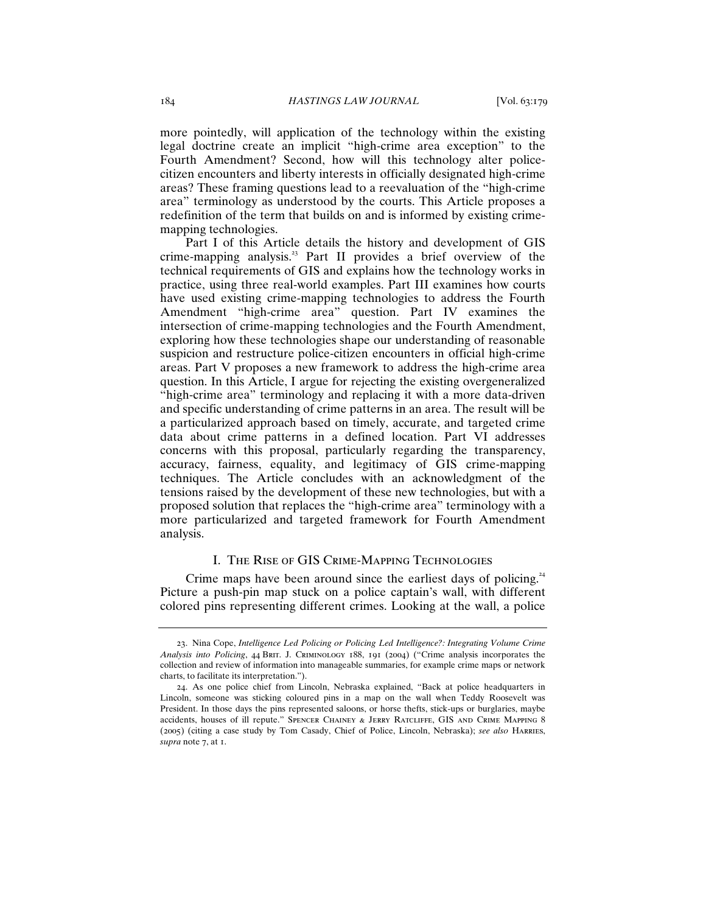more pointedly, will application of the technology within the existing legal doctrine create an implicit "high-crime area exception" to the Fourth Amendment? Second, how will this technology alter policecitizen encounters and liberty interests in officially designated high-crime areas? These framing questions lead to a reevaluation of the "high-crime area" terminology as understood by the courts. This Article proposes a redefinition of the term that builds on and is informed by existing crimemapping technologies.

Part I of this Article details the history and development of GIS crime-mapping analysis.<sup>23</sup> Part II provides a brief overview of the technical requirements of GIS and explains how the technology works in practice, using three real-world examples. Part III examines how courts have used existing crime-mapping technologies to address the Fourth Amendment "high-crime area" question. Part IV examines the intersection of crime-mapping technologies and the Fourth Amendment, exploring how these technologies shape our understanding of reasonable suspicion and restructure police-citizen encounters in official high-crime areas. Part V proposes a new framework to address the high-crime area question. In this Article, I argue for rejecting the existing overgeneralized "high-crime area" terminology and replacing it with a more data-driven and specific understanding of crime patterns in an area. The result will be a particularized approach based on timely, accurate, and targeted crime data about crime patterns in a defined location. Part VI addresses concerns with this proposal, particularly regarding the transparency, accuracy, fairness, equality, and legitimacy of GIS crime-mapping techniques. The Article concludes with an acknowledgment of the tensions raised by the development of these new technologies, but with a proposed solution that replaces the "high-crime area" terminology with a more particularized and targeted framework for Fourth Amendment analysis.

## I. The Rise of GIS Crime-Mapping Technologies

Crime maps have been around since the earliest days of policing.<sup>24</sup> Picture a push-pin map stuck on a police captain's wall, with different colored pins representing different crimes. Looking at the wall, a police

<sup>23</sup>. Nina Cope, *Intelligence Led Policing or Policing Led Intelligence?: Integrating Volume Crime Analysis into Policing*, 44 Brit. J. Criminology 188, 191 (2004) ("Crime analysis incorporates the collection and review of information into manageable summaries, for example crime maps or network charts, to facilitate its interpretation.").

<sup>24</sup>. As one police chief from Lincoln, Nebraska explained, "Back at police headquarters in Lincoln, someone was sticking coloured pins in a map on the wall when Teddy Roosevelt was President. In those days the pins represented saloons, or horse thefts, stick-ups or burglaries, maybe accidents, houses of ill repute." Spencer Chainey & Jerry Ratcliffe, GIS and Crime Mapping 8 (2005) (citing a case study by Tom Casady, Chief of Police, Lincoln, Nebraska); *see also* Harries, *supra* note 7, at 1.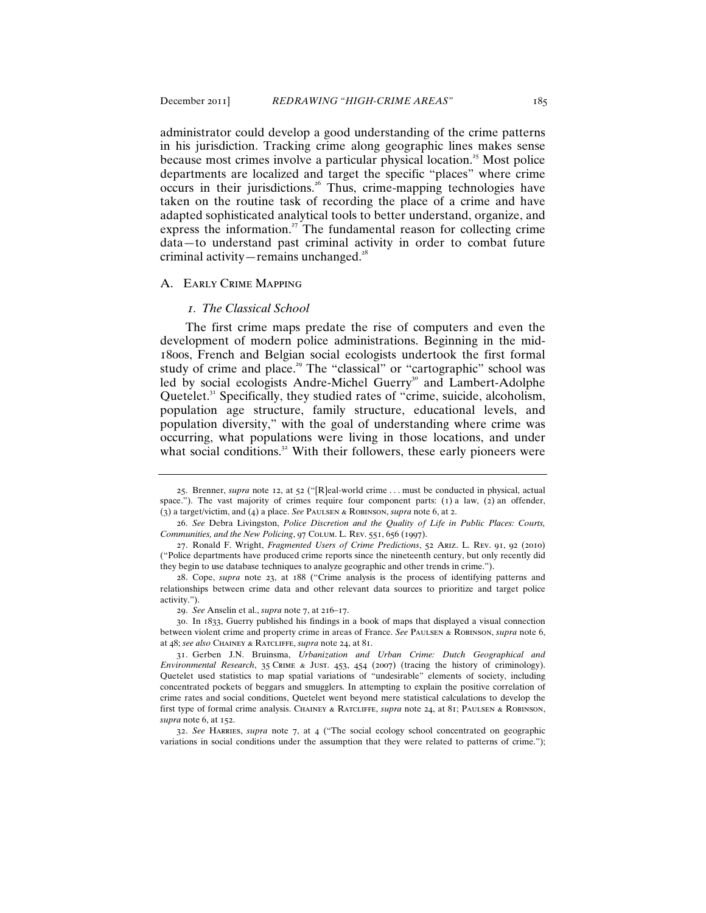administrator could develop a good understanding of the crime patterns in his jurisdiction. Tracking crime along geographic lines makes sense because most crimes involve a particular physical location. <sup>25</sup> Most police departments are localized and target the specific "places" where crime occurs in their jurisdictions.<sup>26</sup> Thus, crime-mapping technologies have taken on the routine task of recording the place of a crime and have adapted sophisticated analytical tools to better understand, organize, and express the information.<sup>27</sup> The fundamental reason for collecting crime data—to understand past criminal activity in order to combat future criminal activity—remains unchanged.<sup>28</sup>

#### A. Early Crime Mapping

#### *1. The Classical School*

The first crime maps predate the rise of computers and even the development of modern police administrations. Beginning in the mid-1800s, French and Belgian social ecologists undertook the first formal study of crime and place.<sup>29</sup> The "classical" or "cartographic" school was led by social ecologists Andre-Michel Guerry<sup>30</sup> and Lambert-Adolphe Quetelet. $3<sup>1</sup>$  Specifically, they studied rates of "crime, suicide, alcoholism, population age structure, family structure, educational levels, and population diversity," with the goal of understanding where crime was occurring, what populations were living in those locations, and under what social conditions.<sup>32</sup> With their followers, these early pioneers were

<sup>25</sup>. Brenner, *supra* note 12, at 52 ("[R]eal-world crime . . . must be conducted in physical, actual space."). The vast majority of crimes require four component parts:  $(1)$  a law,  $(2)$  an offender, (3) a target/victim, and (4) a place. *See* Paulsen & Robinson, *supra* note 6, at 2.

<sup>26</sup>. *See* Debra Livingston, *Police Discretion and the Quality of Life in Public Places: Courts, Communities, and the New Policing*, 97 Colum. L. Rev. 551, 656 (1997).

<sup>27</sup>. Ronald F. Wright, *Fragmented Users of Crime Predictions*, 52 Ariz. L. Rev. 91, 92 (2010) ("Police departments have produced crime reports since the nineteenth century, but only recently did they begin to use database techniques to analyze geographic and other trends in crime.").

<sup>28</sup>. Cope, *supra* note 23, at 188 ("Crime analysis is the process of identifying patterns and relationships between crime data and other relevant data sources to prioritize and target police activity.").

<sup>29</sup>. *See* Anselin et al., *supra* note 7, at 216–17.

<sup>30</sup>. In 1833, Guerry published his findings in a book of maps that displayed a visual connection between violent crime and property crime in areas of France. *See* Paulsen & Robinson, *supra* note 6, at 48; *see also* Chainey & Ratcliffe, *supra* note 24, at 81.

<sup>31</sup>. Gerben J.N. Bruinsma, *Urbanization and Urban Crime: Dutch Geographical and Environmental Research*, 35 Crime & Just. 453, 454 (2007) (tracing the history of criminology). Quetelet used statistics to map spatial variations of "undesirable" elements of society, including concentrated pockets of beggars and smugglers. In attempting to explain the positive correlation of crime rates and social conditions, Quetelet went beyond mere statistical calculations to develop the first type of formal crime analysis. Chainey & Ratcliffe, *supra* note 24, at 81; Paulsen & Robinson, *supra* note 6, at 152.

<sup>32</sup>. *See* Harries, *supra* note 7, at 4 ("The social ecology school concentrated on geographic variations in social conditions under the assumption that they were related to patterns of crime.");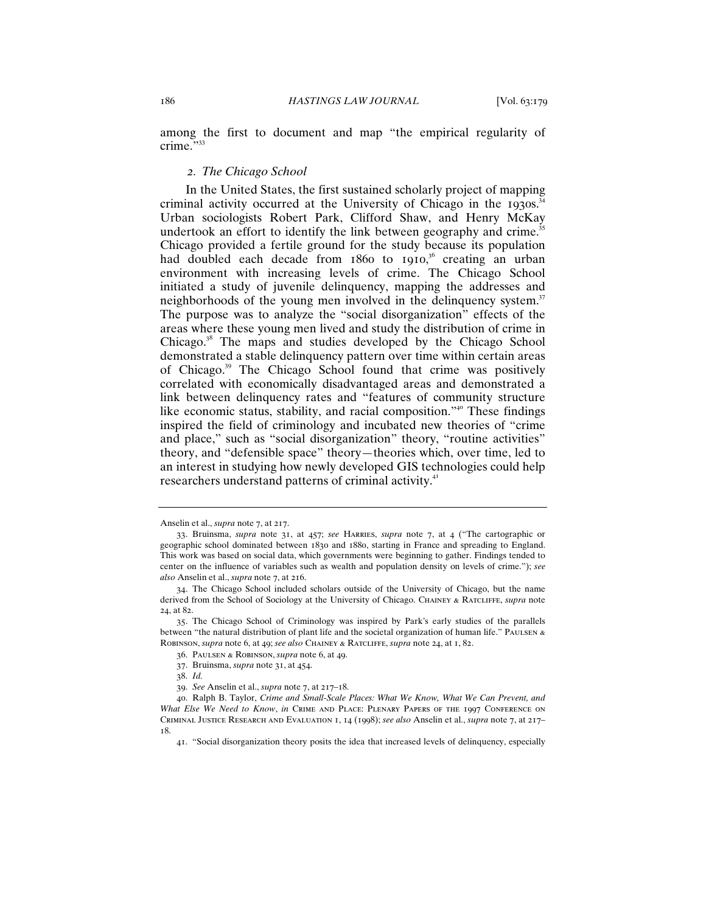among the first to document and map "the empirical regularity of crime."33

## *2. The Chicago School*

In the United States, the first sustained scholarly project of mapping criminal activity occurred at the University of Chicago in the 1930s. $34$ Urban sociologists Robert Park, Clifford Shaw, and Henry McKay undertook an effort to identify the link between geography and crime.<sup>35</sup> Chicago provided a fertile ground for the study because its population had doubled each decade from 1860 to 1910,<sup>36</sup> creating an urban environment with increasing levels of crime. The Chicago School initiated a study of juvenile delinquency, mapping the addresses and neighborhoods of the young men involved in the delinquency system.<sup>37</sup> The purpose was to analyze the "social disorganization" effects of the areas where these young men lived and study the distribution of crime in Chicago.<sup>38</sup> The maps and studies developed by the Chicago School demonstrated a stable delinquency pattern over time within certain areas of Chicago.<sup>39</sup> The Chicago School found that crime was positively correlated with economically disadvantaged areas and demonstrated a link between delinquency rates and "features of community structure like economic status, stability, and racial composition."<sup>40</sup> These findings inspired the field of criminology and incubated new theories of "crime and place," such as "social disorganization" theory, "routine activities" theory, and "defensible space" theory—theories which, over time, led to an interest in studying how newly developed GIS technologies could help researchers understand patterns of criminal activity.<sup>41</sup>

Anselin et al., *supra* note 7, at 217.

<sup>33</sup>. Bruinsma, *supra* note 31, at 457; *see* Harries, *supra* note 7, at 4 ("The cartographic or geographic school dominated between 1830 and 1880, starting in France and spreading to England. This work was based on social data, which governments were beginning to gather. Findings tended to center on the influence of variables such as wealth and population density on levels of crime."); *see also* Anselin et al., *supra* note 7, at 216.

<sup>34</sup>. The Chicago School included scholars outside of the University of Chicago, but the name derived from the School of Sociology at the University of Chicago. Chainey & Ratcliffe, *supra* note 24, at 82.

<sup>35</sup>. The Chicago School of Criminology was inspired by Park's early studies of the parallels between "the natural distribution of plant life and the societal organization of human life." PAULSEN & Robinson, *supra* note 6, at 49; *see also* Chainey & Ratcliffe, *supra* note 24, at 1, 82.

<sup>36</sup>. Paulsen & Robinson, *supra* note 6, at 49.

<sup>37</sup>. Bruinsma, *supra* note 31, at 454.

<sup>38</sup>. *Id.* 

<sup>39</sup>. *See* Anselin et al., *supra* note 7, at 217–18.

<sup>40</sup>. Ralph B. Taylor, *Crime and Small-Scale Places: What We Know, What We Can Prevent, and What Else We Need to Know*, *in* Crime and Place: Plenary Papers of the 1997 Conference on Criminal Justice Research and Evaluation 1, 14 (1998); *see also* Anselin et al., *supra* note 7, at 217– 18.

<sup>41</sup>. "Social disorganization theory posits the idea that increased levels of delinquency, especially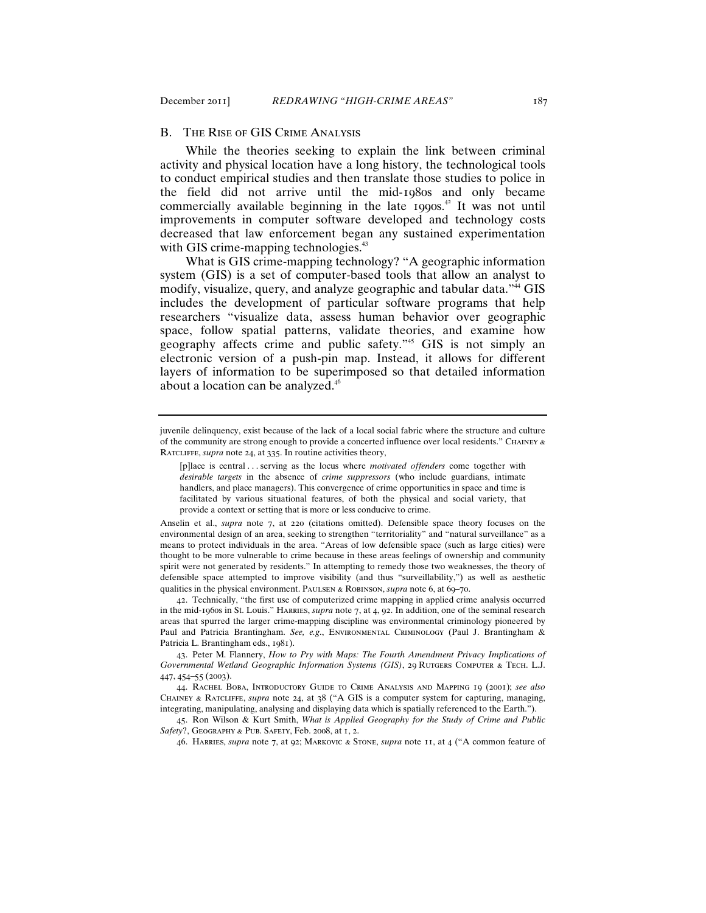## B. The Rise of GIS Crime Analysis

While the theories seeking to explain the link between criminal activity and physical location have a long history, the technological tools to conduct empirical studies and then translate those studies to police in the field did not arrive until the mid-1980s and only became commercially available beginning in the late 1990s. <sup>42</sup> It was not until improvements in computer software developed and technology costs decreased that law enforcement began any sustained experimentation with GIS crime-mapping technologies.<sup>43</sup>

What is GIS crime-mapping technology? "A geographic information system (GIS) is a set of computer-based tools that allow an analyst to modify, visualize, query, and analyze geographic and tabular data."<sup>44</sup> GIS includes the development of particular software programs that help researchers "visualize data, assess human behavior over geographic space, follow spatial patterns, validate theories, and examine how geography affects crime and public safety."<sup>45</sup> GIS is not simply an electronic version of a push-pin map. Instead, it allows for different layers of information to be superimposed so that detailed information about a location can be analyzed.<sup>46</sup>

42. Technically, "the first use of computerized crime mapping in applied crime analysis occurred in the mid-1960s in St. Louis." Harries, *supra* note 7, at 4, 92. In addition, one of the seminal research areas that spurred the larger crime-mapping discipline was environmental criminology pioneered by Paul and Patricia Brantingham. *See, e.g*., Environmental Criminology (Paul J. Brantingham & Patricia L. Brantingham eds., 1981).

43. Peter M. Flannery, *How to Pry with Maps: The Fourth Amendment Privacy Implications of*  Governmental Wetland Geographic Information Systems (GIS), 29 RUTGERS COMPUTER & TECH. L.J. 447, 454–55 (2003).

44. Rachel Boba, Introductory Guide to Crime Analysis and Mapping 19 (2001); *see also* Chainey & Ratcliffe, *supra* note 24, at 38 ("A GIS is a computer system for capturing, managing, integrating, manipulating, analysing and displaying data which is spatially referenced to the Earth.").

45. Ron Wilson & Kurt Smith, *What is Applied Geography for the Study of Crime and Public Safety*?, Geography & Pub. Safety, Feb. 2008, at 1, 2.

46. Harries, *supra* note 7, at 92; Markovic & Stone, *supra* note 11, at 4 ("A common feature of

juvenile delinquency, exist because of the lack of a local social fabric where the structure and culture of the community are strong enough to provide a concerted influence over local residents." CHAINEY  $\alpha$ Ratcliffe, *supra* note 24, at 335. In routine activities theory,

<sup>[</sup>p]lace is central . . . serving as the locus where *motivated offenders* come together with *desirable targets* in the absence of *crime suppressors* (who include guardians, intimate handlers, and place managers). This convergence of crime opportunities in space and time is facilitated by various situational features, of both the physical and social variety, that provide a context or setting that is more or less conducive to crime.

Anselin et al., *supra* note 7, at 220 (citations omitted). Defensible space theory focuses on the environmental design of an area, seeking to strengthen "territoriality" and "natural surveillance" as a means to protect individuals in the area. "Areas of low defensible space (such as large cities) were thought to be more vulnerable to crime because in these areas feelings of ownership and community spirit were not generated by residents." In attempting to remedy those two weaknesses, the theory of defensible space attempted to improve visibility (and thus "surveillability,") as well as aesthetic qualities in the physical environment. Paulsen & Robinson, *supra* note 6, at 69–70.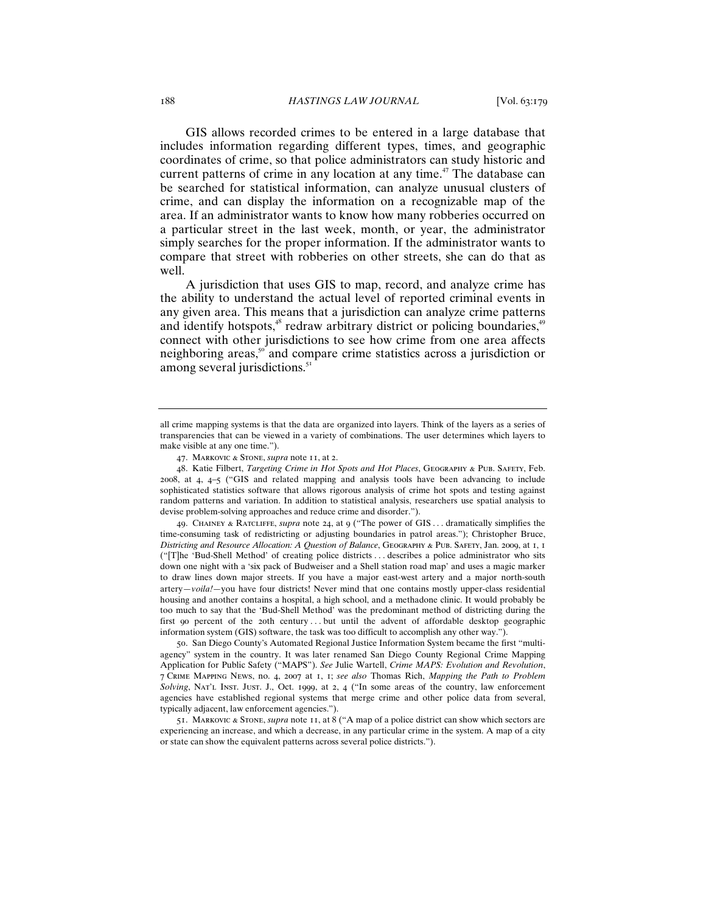GIS allows recorded crimes to be entered in a large database that includes information regarding different types, times, and geographic coordinates of crime, so that police administrators can study historic and current patterns of crime in any location at any time. <sup>47</sup> The database can be searched for statistical information, can analyze unusual clusters of crime, and can display the information on a recognizable map of the area. If an administrator wants to know how many robberies occurred on a particular street in the last week, month, or year, the administrator simply searches for the proper information. If the administrator wants to compare that street with robberies on other streets, she can do that as well.

A jurisdiction that uses GIS to map, record, and analyze crime has the ability to understand the actual level of reported criminal events in any given area. This means that a jurisdiction can analyze crime patterns and identify hotspots,<sup>48</sup> redraw arbitrary district or policing boundaries,<sup>49</sup> connect with other jurisdictions to see how crime from one area affects neighboring areas,<sup>50</sup> and compare crime statistics across a jurisdiction or among several jurisdictions.<sup>51</sup>

49. Chainey & Ratcliffe, *supra* note 24, at 9 ("The power of GIS . . . dramatically simplifies the time-consuming task of redistricting or adjusting boundaries in patrol areas."); Christopher Bruce, *Districting and Resource Allocation: A Question of Balance*, Geography & Pub. Safety, Jan. 2009, at 1, 1 ("[T]he 'Bud-Shell Method' of creating police districts . . . describes a police administrator who sits down one night with a 'six pack of Budweiser and a Shell station road map' and uses a magic marker to draw lines down major streets. If you have a major east-west artery and a major north-south artery—*voila!*—you have four districts! Never mind that one contains mostly upper-class residential housing and another contains a hospital, a high school, and a methadone clinic. It would probably be too much to say that the 'Bud-Shell Method' was the predominant method of districting during the first 90 percent of the 20th century ... but until the advent of affordable desktop geographic information system (GIS) software, the task was too difficult to accomplish any other way.").

50. San Diego County's Automated Regional Justice Information System became the first "multiagency" system in the country. It was later renamed San Diego County Regional Crime Mapping Application for Public Safety ("MAPS"). *See* Julie Wartell, *Crime MAPS: Evolution and Revolution*, 7 Crime Mapping News, no. 4, 2007 at 1, 1; *see also* Thomas Rich, *Mapping the Path to Problem Solving*, Nat'l Inst. Just. J., Oct. 1999, at 2, 4 ("In some areas of the country, law enforcement agencies have established regional systems that merge crime and other police data from several, typically adjacent, law enforcement agencies.").

51. Markovic & Stone, *supra* note 11, at 8 ("A map of a police district can show which sectors are experiencing an increase, and which a decrease, in any particular crime in the system. A map of a city or state can show the equivalent patterns across several police districts.").

all crime mapping systems is that the data are organized into layers. Think of the layers as a series of transparencies that can be viewed in a variety of combinations. The user determines which layers to make visible at any one time.").

<sup>47</sup>. Markovic & Stone, *supra* note 11, at 2.

<sup>48</sup>. Katie Filbert, *Targeting Crime in Hot Spots and Hot Places*, Geography & Pub. Safety, Feb. 2008, at 4, 4–5 ("GIS and related mapping and analysis tools have been advancing to include sophisticated statistics software that allows rigorous analysis of crime hot spots and testing against random patterns and variation. In addition to statistical analysis, researchers use spatial analysis to devise problem-solving approaches and reduce crime and disorder.").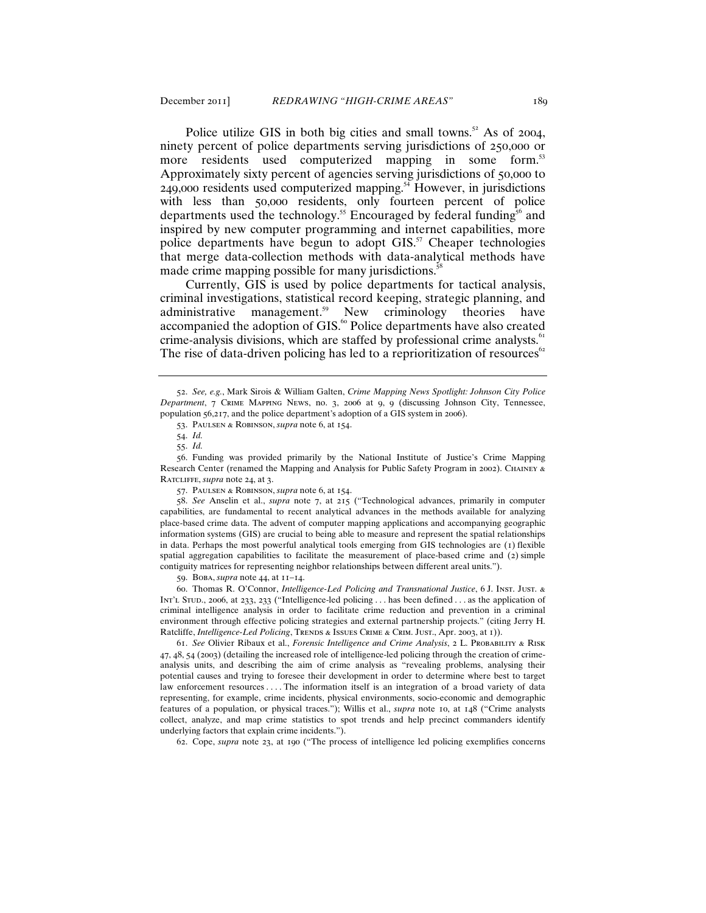Police utilize GIS in both big cities and small towns.<sup>52</sup> As of 2004, ninety percent of police departments serving jurisdictions of 250,000 or more residents used computerized mapping in some form.<sup>53</sup> Approximately sixty percent of agencies serving jurisdictions of 50,000 to  $249,000$  residents used computerized mapping.<sup>54</sup> However, in jurisdictions with less than 50,000 residents, only fourteen percent of police departments used the technology.<sup>55</sup> Encouraged by federal funding<sup>56</sup> and inspired by new computer programming and internet capabilities, more police departments have begun to adopt  $GIS<sup>57</sup>$  Cheaper technologies that merge data-collection methods with data-analytical methods have made crime mapping possible for many jurisdictions.<sup>58</sup>

Currently, GIS is used by police departments for tactical analysis, criminal investigations, statistical record keeping, strategic planning, and administrative management.<sup>59</sup> New criminology theories have accompanied the adoption of GIS.<sup>60</sup> Police departments have also created crime-analysis divisions, which are staffed by professional crime analysts.<sup>61</sup> The rise of data-driven policing has led to a reprioritization of resources $62$ 

57. Paulsen & Robinson, *supra* note 6, at 154.

58. *See* Anselin et al., *supra* note 7, at 215 ("Technological advances, primarily in computer capabilities, are fundamental to recent analytical advances in the methods available for analyzing place-based crime data. The advent of computer mapping applications and accompanying geographic information systems (GIS) are crucial to being able to measure and represent the spatial relationships in data. Perhaps the most powerful analytical tools emerging from GIS technologies are (1) flexible spatial aggregation capabilities to facilitate the measurement of place-based crime and (2) simple contiguity matrices for representing neighbor relationships between different areal units.").

59. Boba, *supra* note 44, at 11–14.

60. Thomas R. O'Connor, *Intelligence-Led Policing and Transnational Justice*, 6 J. Inst. Just. & Int'l Stud., 2006, at 233, 233 ("Intelligence-led policing . . . has been defined . . . as the application of criminal intelligence analysis in order to facilitate crime reduction and prevention in a criminal environment through effective policing strategies and external partnership projects." (citing Jerry H. Ratcliffe, *Intelligence-Led Policing*, TRENDS & ISSUES CRIME & CRIM. JUST., Apr. 2003, at 1)).

61. *See* Olivier Ribaux et al., *Forensic Intelligence and Crime Analysis*, 2 L. Probability & Risk 47, 48, 54 (2003) (detailing the increased role of intelligence-led policing through the creation of crimeanalysis units, and describing the aim of crime analysis as "revealing problems, analysing their potential causes and trying to foresee their development in order to determine where best to target law enforcement resources . . . . The information itself is an integration of a broad variety of data representing, for example, crime incidents, physical environments, socio-economic and demographic features of a population, or physical traces."); Willis et al., *supra* note 10, at 148 ("Crime analysts collect, analyze, and map crime statistics to spot trends and help precinct commanders identify underlying factors that explain crime incidents.").

62. Cope, *supra* note 23, at 190 ("The process of intelligence led policing exemplifies concerns

<sup>52</sup>. *See, e.g.*, Mark Sirois & William Galten, *Crime Mapping News Spotlight: Johnson City Police Department*, 7 Crime Mapping News, no. 3, 2006 at 9, 9 (discussing Johnson City, Tennessee, population 56,217, and the police department's adoption of a GIS system in 2006).

<sup>53</sup>. Paulsen & Robinson, *supra* note 6, at 154.

<sup>54</sup>. *Id.*

<sup>55</sup>. *Id.*

<sup>56</sup>. Funding was provided primarily by the National Institute of Justice's Crime Mapping Research Center (renamed the Mapping and Analysis for Public Safety Program in 2002). Chainey & Ratcliffe, *supra* note 24, at 3.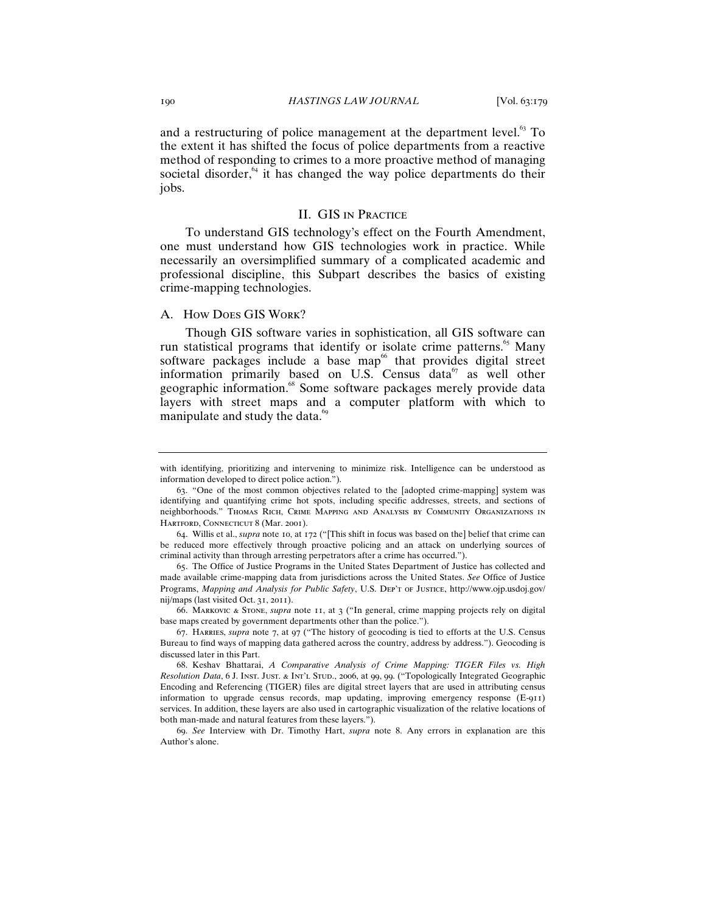and a restructuring of police management at the department level.<sup>63</sup> To the extent it has shifted the focus of police departments from a reactive method of responding to crimes to a more proactive method of managing societal disorder, $64$  it has changed the way police departments do their jobs.

## II. GIS in Practice

To understand GIS technology's effect on the Fourth Amendment, one must understand how GIS technologies work in practice. While necessarily an oversimplified summary of a complicated academic and professional discipline, this Subpart describes the basics of existing crime-mapping technologies.

## A. How Does GIS Work?

Though GIS software varies in sophistication, all GIS software can run statistical programs that identify or isolate crime patterns.<sup>65</sup> Many software packages include a base map<sup>66</sup> that provides digital street information primarily based on U.S. Census data $67$  as well other geographic information.<sup>68</sup> Some software packages merely provide data layers with street maps and a computer platform with which to manipulate and study the data.<sup>99</sup>

66. Markovic & Stone, *supra* note 11, at 3 ("In general, crime mapping projects rely on digital base maps created by government departments other than the police.").

with identifying, prioritizing and intervening to minimize risk. Intelligence can be understood as information developed to direct police action.").

<sup>63</sup>. "One of the most common objectives related to the [adopted crime-mapping] system was identifying and quantifying crime hot spots, including specific addresses, streets, and sections of neighborhoods." Thomas Rich, Crime Mapping and Analysis by Community Organizations in HARTFORD, CONNECTICUT 8 (Mar. 2001).

<sup>64</sup>. Willis et al., *supra* note 10, at 172 ("[This shift in focus was based on the] belief that crime can be reduced more effectively through proactive policing and an attack on underlying sources of criminal activity than through arresting perpetrators after a crime has occurred.").

<sup>65</sup>. The Office of Justice Programs in the United States Department of Justice has collected and made available crime-mapping data from jurisdictions across the United States. *See* Office of Justice Programs, *Mapping and Analysis for Public Safety*, U.S. DEP'T OF JUSTICE, http://www.ojp.usdoj.gov/ nij/maps (last visited Oct. 31, 2011).

<sup>67</sup>. Harries, *supra* note 7, at 97 ("The history of geocoding is tied to efforts at the U.S. Census Bureau to find ways of mapping data gathered across the country, address by address."). Geocoding is discussed later in this Part.

<sup>68</sup>. Keshav Bhattarai, *A Comparative Analysis of Crime Mapping: TIGER Files vs. High Resolution Data*, 6 J. Inst. Just. & Int'l Stud., 2006, at 99, 99. ("Topologically Integrated Geographic Encoding and Referencing (TIGER) files are digital street layers that are used in attributing census information to upgrade census records, map updating, improving emergency response (E-911) services. In addition, these layers are also used in cartographic visualization of the relative locations of both man-made and natural features from these layers.").

<sup>69</sup>. *See* Interview with Dr. Timothy Hart, *supra* note 8. Any errors in explanation are this Author's alone.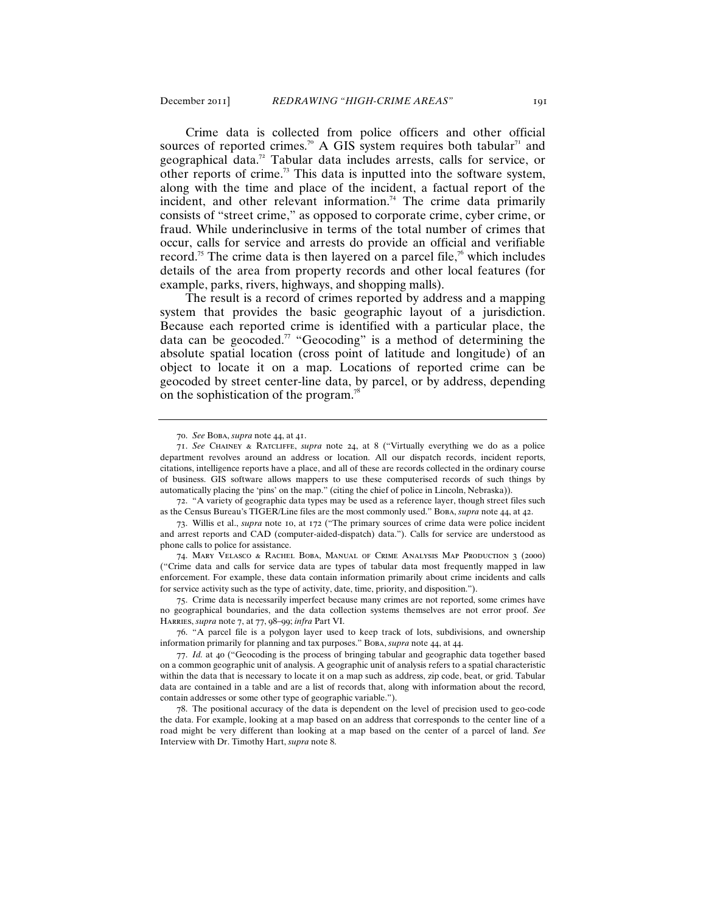Crime data is collected from police officers and other official sources of reported crimes.<sup>70</sup> A GIS system requires both tabular<sup>71</sup> and geographical data.<sup>72</sup> Tabular data includes arrests, calls for service, or other reports of crime.<sup>73</sup> This data is inputted into the software system, along with the time and place of the incident, a factual report of the incident, and other relevant information.<sup>74</sup> The crime data primarily consists of "street crime," as opposed to corporate crime, cyber crime, or fraud. While underinclusive in terms of the total number of crimes that occur, calls for service and arrests do provide an official and verifiable record.<sup>75</sup> The crime data is then layered on a parcel file,<sup>76</sup> which includes details of the area from property records and other local features (for example, parks, rivers, highways, and shopping malls).

The result is a record of crimes reported by address and a mapping system that provides the basic geographic layout of a jurisdiction. Because each reported crime is identified with a particular place, the data can be geocoded.<sup>77</sup> "Geocoding" is a method of determining the absolute spatial location (cross point of latitude and longitude) of an object to locate it on a map. Locations of reported crime can be geocoded by street center-line data, by parcel, or by address, depending on the sophistication of the program.<sup>7</sup>

75. Crime data is necessarily imperfect because many crimes are not reported, some crimes have no geographical boundaries, and the data collection systems themselves are not error proof. *See* Harries, *supra* note 7, at 77, 98–99; *infra* Part VI.

76. "A parcel file is a polygon layer used to keep track of lots, subdivisions, and ownership information primarily for planning and tax purposes." Boba, *supra* note 44, at 44.

<sup>70</sup>. *See* Boba, *supra* note 44, at 41.

<sup>71</sup>. *See* Chainey & Ratcliffe, *supra* note 24, at 8 ("Virtually everything we do as a police department revolves around an address or location. All our dispatch records, incident reports, citations, intelligence reports have a place, and all of these are records collected in the ordinary course of business. GIS software allows mappers to use these computerised records of such things by automatically placing the 'pins' on the map." (citing the chief of police in Lincoln, Nebraska)).

<sup>72</sup>. "A variety of geographic data types may be used as a reference layer, though street files such as the Census Bureau's TIGER/Line files are the most commonly used." Boba, *supra* note 44, at 42.

<sup>73</sup>. Willis et al., *supra* note 10, at 172 ("The primary sources of crime data were police incident and arrest reports and CAD (computer-aided-dispatch) data."). Calls for service are understood as phone calls to police for assistance.

<sup>74</sup>. Mary Velasco & Rachel Boba, Manual of Crime Analysis Map Production 3 (2000) ("Crime data and calls for service data are types of tabular data most frequently mapped in law enforcement. For example, these data contain information primarily about crime incidents and calls for service activity such as the type of activity, date, time, priority, and disposition.").

<sup>77</sup>. *Id.* at 40 ("Geocoding is the process of bringing tabular and geographic data together based on a common geographic unit of analysis. A geographic unit of analysis refers to a spatial characteristic within the data that is necessary to locate it on a map such as address, zip code, beat, or grid. Tabular data are contained in a table and are a list of records that, along with information about the record, contain addresses or some other type of geographic variable.").

<sup>78</sup>. The positional accuracy of the data is dependent on the level of precision used to geo-code the data. For example, looking at a map based on an address that corresponds to the center line of a road might be very different than looking at a map based on the center of a parcel of land. *See* Interview with Dr. Timothy Hart, *supra* note 8.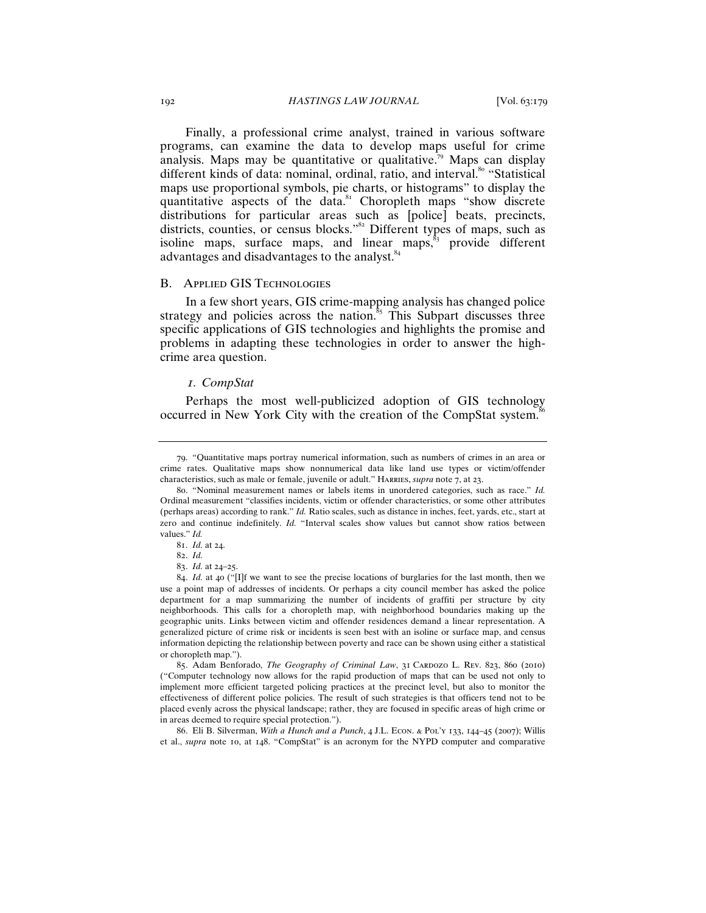Finally, a professional crime analyst, trained in various software programs, can examine the data to develop maps useful for crime analysis. Maps may be quantitative or qualitative.<sup>79</sup> Maps can display different kinds of data: nominal, ordinal, ratio, and interval.<sup>80</sup> "Statistical maps use proportional symbols, pie charts, or histograms" to display the quantitative aspects of the data.<sup>81</sup> Choropleth maps "show discrete" distributions for particular areas such as [police] beats, precincts, districts, counties, or census blocks."<sup>82</sup> Different types of maps, such as isoline maps, surface maps, and linear maps, $\frac{s_3}{s_3}$  provide different advantages and disadvantages to the analyst.<sup>84</sup>

#### B. Applied GIS Technologies

In a few short years, GIS crime-mapping analysis has changed police strategy and policies across the nation.<sup>85</sup> This Subpart discusses three specific applications of GIS technologies and highlights the promise and problems in adapting these technologies in order to answer the highcrime area question.

#### *1. CompStat*

Perhaps the most well-publicized adoption of GIS technology occurred in New York City with the creation of the CompStat system.<sup>8</sup>

85. Adam Benforado, *The Geography of Criminal Law*, 31 CARDOZO L. REV. 823, 860 (2010) ("Computer technology now allows for the rapid production of maps that can be used not only to implement more efficient targeted policing practices at the precinct level, but also to monitor the effectiveness of different police policies. The result of such strategies is that officers tend not to be placed evenly across the physical landscape; rather, they are focused in specific areas of high crime or in areas deemed to require special protection.").

86. Eli B. Silverman, *With a Hunch and a Punch*, 4 J.L. Econ. & Pol'y 133, 144–45 (2007); Willis et al., *supra* note 10, at 148. "CompStat" is an acronym for the NYPD computer and comparative

<sup>79</sup>. "Quantitative maps portray numerical information, such as numbers of crimes in an area or crime rates. Qualitative maps show nonnumerical data like land use types or victim/offender characteristics, such as male or female, juvenile or adult." HARRIES, *supra* note 7, at 23.

<sup>80</sup>. "Nominal measurement names or labels items in unordered categories, such as race." *Id.* Ordinal measurement "classifies incidents, victim or offender characteristics, or some other attributes (perhaps areas) according to rank." *Id.* Ratio scales, such as distance in inches, feet, yards, etc., start at zero and continue indefinitely. *Id.* "Interval scales show values but cannot show ratios between values." *Id.*

<sup>81</sup>. *Id.* at 24.

<sup>82</sup>. *Id.*

<sup>83</sup>. *Id.* at 24–25.

<sup>84</sup>. *Id.* at 40 ("[I]f we want to see the precise locations of burglaries for the last month, then we use a point map of addresses of incidents. Or perhaps a city council member has asked the police department for a map summarizing the number of incidents of graffiti per structure by city neighborhoods. This calls for a choropleth map, with neighborhood boundaries making up the geographic units. Links between victim and offender residences demand a linear representation. A generalized picture of crime risk or incidents is seen best with an isoline or surface map, and census information depicting the relationship between poverty and race can be shown using either a statistical or choropleth map.").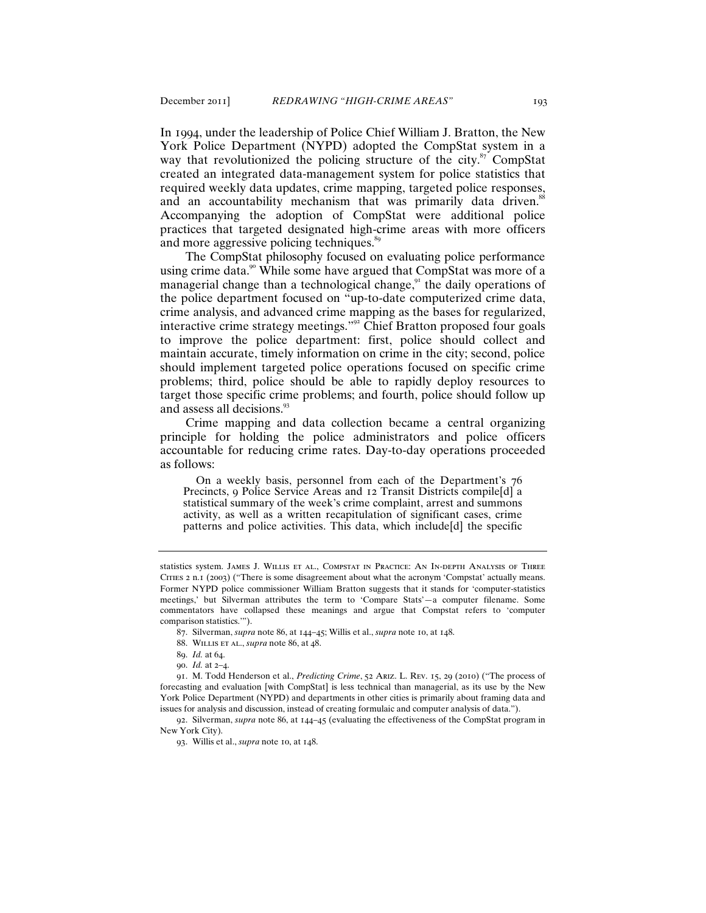In 1994, under the leadership of Police Chief William J. Bratton, the New York Police Department (NYPD) adopted the CompStat system in a way that revolutionized the policing structure of the city. $87$  CompStat created an integrated data-management system for police statistics that required weekly data updates, crime mapping, targeted police responses, and an accountability mechanism that was primarily data driven.<sup>88</sup> Accompanying the adoption of CompStat were additional police practices that targeted designated high-crime areas with more officers and more aggressive policing techniques.<sup>89</sup>

The CompStat philosophy focused on evaluating police performance using crime data.<sup>90</sup> While some have argued that CompStat was more of a managerial change than a technological change, $9<sup>1</sup>$  the daily operations of the police department focused on "up-to-date computerized crime data, crime analysis, and advanced crime mapping as the bases for regularized, interactive crime strategy meetings."<sup>92</sup> Chief Bratton proposed four goals to improve the police department: first, police should collect and maintain accurate, timely information on crime in the city; second, police should implement targeted police operations focused on specific crime problems; third, police should be able to rapidly deploy resources to target those specific crime problems; and fourth, police should follow up and assess all decisions.<sup>93</sup>

Crime mapping and data collection became a central organizing principle for holding the police administrators and police officers accountable for reducing crime rates. Day-to-day operations proceeded as follows:

 On a weekly basis, personnel from each of the Department's 76 Precincts, 9 Police Service Areas and 12 Transit Districts compile[d] a statistical summary of the week's crime complaint, arrest and summons activity, as well as a written recapitulation of significant cases, crime patterns and police activities. This data, which include[d] the specific

88. Willis et al., *supra* note 86, at 48.

90. *Id.* at 2–4.

92. Silverman, *supra* note 86, at 144–45 (evaluating the effectiveness of the CompStat program in New York City).

93. Willis et al., *supra* note 10, at 148.

statistics system. James J. Willis et al., Compstat in Practice: An In-depth Analysis of Three Cities 2 n.1 (2003) ("There is some disagreement about what the acronym 'Compstat' actually means. Former NYPD police commissioner William Bratton suggests that it stands for 'computer-statistics meetings,' but Silverman attributes the term to 'Compare Stats'—a computer filename. Some commentators have collapsed these meanings and argue that Compstat refers to 'computer comparison statistics.'").

<sup>87</sup>. Silverman, *supra* note 86, at 144–45; Willis et al., *supra* note 10, at 148.

<sup>89</sup>. *Id.* at 64.

<sup>91</sup>. M. Todd Henderson et al., *Predicting Crime*, 52 Ariz. L. Rev. 15, 29 (2010) ("The process of forecasting and evaluation [with CompStat] is less technical than managerial, as its use by the New York Police Department (NYPD) and departments in other cities is primarily about framing data and issues for analysis and discussion, instead of creating formulaic and computer analysis of data.").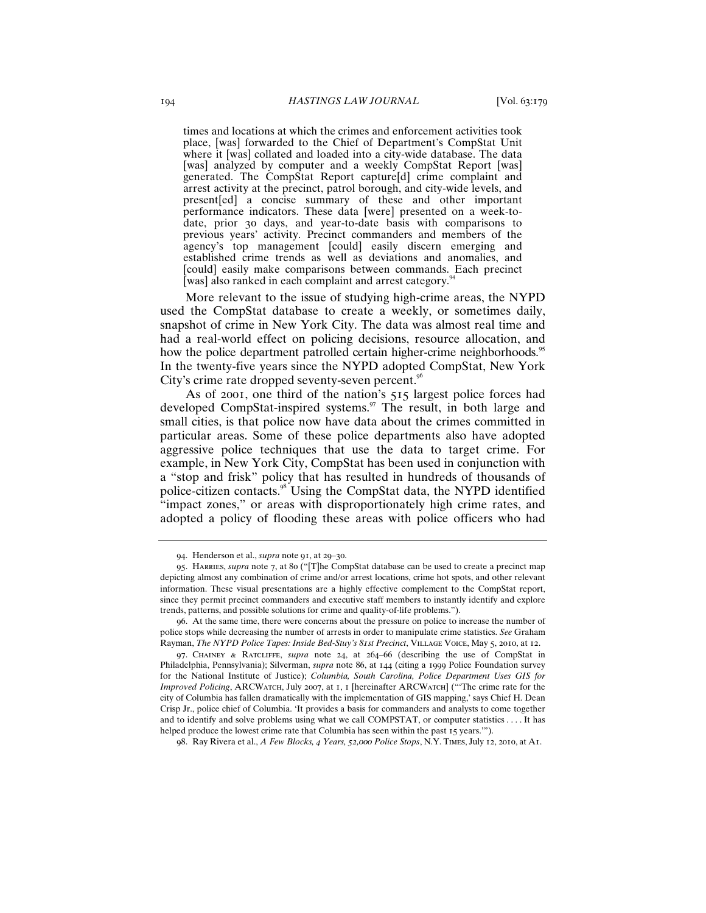times and locations at which the crimes and enforcement activities took place, [was] forwarded to the Chief of Department's CompStat Unit where it [was] collated and loaded into a city-wide database. The data [was] analyzed by computer and a weekly CompStat Report [was] generated. The CompStat Report capture[d] crime complaint and arrest activity at the precinct, patrol borough, and city-wide levels, and present[ed] a concise summary of these and other important performance indicators. These data [were] presented on a week-todate, prior 30 days, and year-to-date basis with comparisons to previous years' activity. Precinct commanders and members of the agency's top management [could] easily discern emerging and established crime trends as well as deviations and anomalies, and [could] easily make comparisons between commands. Each precinct [was] also ranked in each complaint and arrest category.<sup>94</sup>

More relevant to the issue of studying high-crime areas, the NYPD used the CompStat database to create a weekly, or sometimes daily, snapshot of crime in New York City. The data was almost real time and had a real-world effect on policing decisions, resource allocation, and how the police department patrolled certain higher-crime neighborhoods.<sup>95</sup> In the twenty-five years since the NYPD adopted CompStat, New York City's crime rate dropped seventy-seven percent.<sup>96</sup>

As of 2001, one third of the nation's 515 largest police forces had developed CompStat-inspired systems.<sup>97</sup> The result, in both large and small cities, is that police now have data about the crimes committed in particular areas. Some of these police departments also have adopted aggressive police techniques that use the data to target crime. For example, in New York City, CompStat has been used in conjunction with a "stop and frisk" policy that has resulted in hundreds of thousands of police-citizen contacts.<sup>98</sup> Using the CompStat data, the NYPD identified "impact zones," or areas with disproportionately high crime rates, and adopted a policy of flooding these areas with police officers who had

98. Ray Rivera et al., *A Few Blocks, 4 Years, 52,000 Police Stops*, N.Y. Times, July 12, 2010, at A1.

<sup>94</sup>. Henderson et al., *supra* note 91, at 29–30.

<sup>95</sup>. Harries, *supra* note 7, at 80 ("[T]he CompStat database can be used to create a precinct map depicting almost any combination of crime and/or arrest locations, crime hot spots, and other relevant information. These visual presentations are a highly effective complement to the CompStat report, since they permit precinct commanders and executive staff members to instantly identify and explore trends, patterns, and possible solutions for crime and quality-of-life problems.").

<sup>96</sup>. At the same time, there were concerns about the pressure on police to increase the number of police stops while decreasing the number of arrests in order to manipulate crime statistics. *See* Graham Rayman, *The NYPD Police Tapes: Inside Bed-Stuy's 81st Precinct*, Village Voice, May 5, 2010, at 12.

<sup>97</sup>. Chainey & Ratcliffe, *supra* note 24, at 264–66 (describing the use of CompStat in Philadelphia, Pennsylvania); Silverman, *supra* note 86, at 144 (citing a 1999 Police Foundation survey for the National Institute of Justice); *Columbia, South Carolina, Police Department Uses GIS for Improved Policing*, ARCWatch, July 2007, at 1, 1 [hereinafter ARCWatch] ("'The crime rate for the city of Columbia has fallen dramatically with the implementation of GIS mapping,' says Chief H. Dean Crisp Jr., police chief of Columbia. 'It provides a basis for commanders and analysts to come together and to identify and solve problems using what we call COMPSTAT, or computer statistics . . . . It has helped produce the lowest crime rate that Columbia has seen within the past 15 years.'").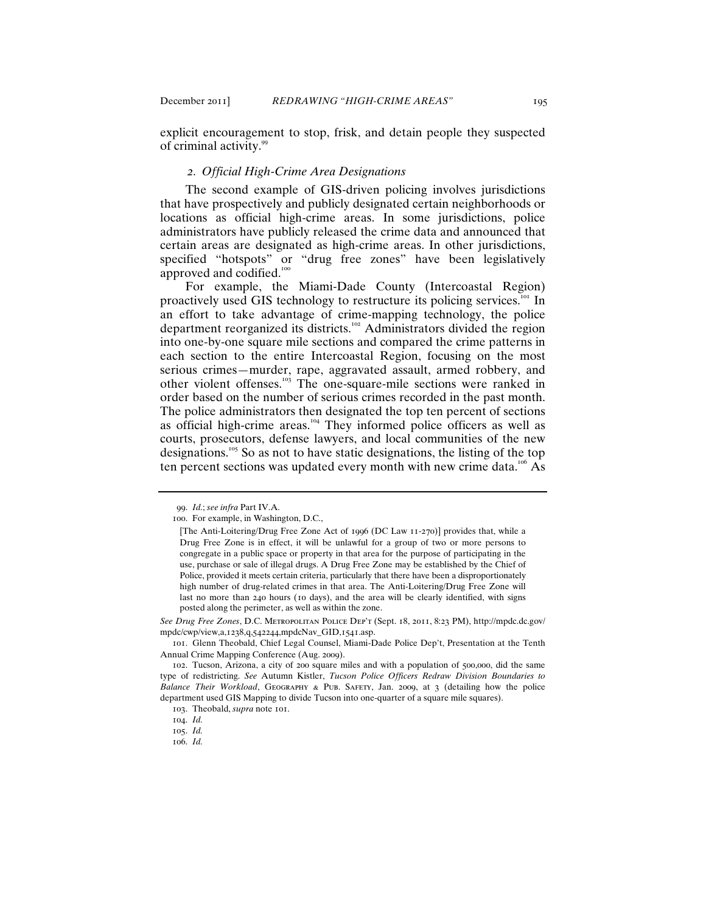explicit encouragement to stop, frisk, and detain people they suspected of criminal activity.<sup>99</sup>

## *2. Official High-Crime Area Designations*

The second example of GIS-driven policing involves jurisdictions that have prospectively and publicly designated certain neighborhoods or locations as official high-crime areas. In some jurisdictions, police administrators have publicly released the crime data and announced that certain areas are designated as high-crime areas. In other jurisdictions, specified "hotspots" or "drug free zones" have been legislatively approved and codified.<sup>100</sup>

For example, the Miami-Dade County (Intercoastal Region) proactively used GIS technology to restructure its policing services.<sup>101</sup> In an effort to take advantage of crime-mapping technology, the police department reorganized its districts.<sup>102</sup> Administrators divided the region into one-by-one square mile sections and compared the crime patterns in each section to the entire Intercoastal Region, focusing on the most serious crimes—murder, rape, aggravated assault, armed robbery, and other violent offenses.<sup>103</sup> The one-square-mile sections were ranked in order based on the number of serious crimes recorded in the past month. The police administrators then designated the top ten percent of sections as official high-crime areas.<sup>104</sup> They informed police officers as well as courts, prosecutors, defense lawyers, and local communities of the new designations.<sup>105</sup> So as not to have static designations, the listing of the top ten percent sections was updated every month with new crime data.<sup>106</sup> As

*See Drug Free Zones*, D.C. Metropolitan Police Dep't (Sept. 18, 2011, 8:23 PM), http://mpdc.dc.gov/ mpdc/cwp/view,a,1238,q,542244,mpdcNav\_GID,1541.asp.

<sup>99</sup>. *Id.*; *see infra* Part IV.A.

<sup>100</sup>. For example, in Washington, D.C.,

<sup>[</sup>The Anti-Loitering/Drug Free Zone Act of 1996 (DC Law 11-270)] provides that, while a Drug Free Zone is in effect, it will be unlawful for a group of two or more persons to congregate in a public space or property in that area for the purpose of participating in the use, purchase or sale of illegal drugs. A Drug Free Zone may be established by the Chief of Police, provided it meets certain criteria, particularly that there have been a disproportionately high number of drug-related crimes in that area. The Anti-Loitering/Drug Free Zone will last no more than 240 hours (10 days), and the area will be clearly identified, with signs posted along the perimeter, as well as within the zone.

<sup>101</sup>. Glenn Theobald, Chief Legal Counsel, Miami-Dade Police Dep't, Presentation at the Tenth Annual Crime Mapping Conference (Aug. 2009).

<sup>102</sup>. Tucson, Arizona, a city of 200 square miles and with a population of 500,000, did the same type of redistricting. *See* Autumn Kistler, *Tucson Police Officers Redraw Division Boundaries to Balance Their Workload*, Geography & Pub. Safety, Jan. 2009, at 3 (detailing how the police department used GIS Mapping to divide Tucson into one-quarter of a square mile squares).

<sup>103</sup>. Theobald, *supra* note 101.

<sup>104</sup>. *Id.*

<sup>105</sup>. *Id.*

<sup>106</sup>. *Id.*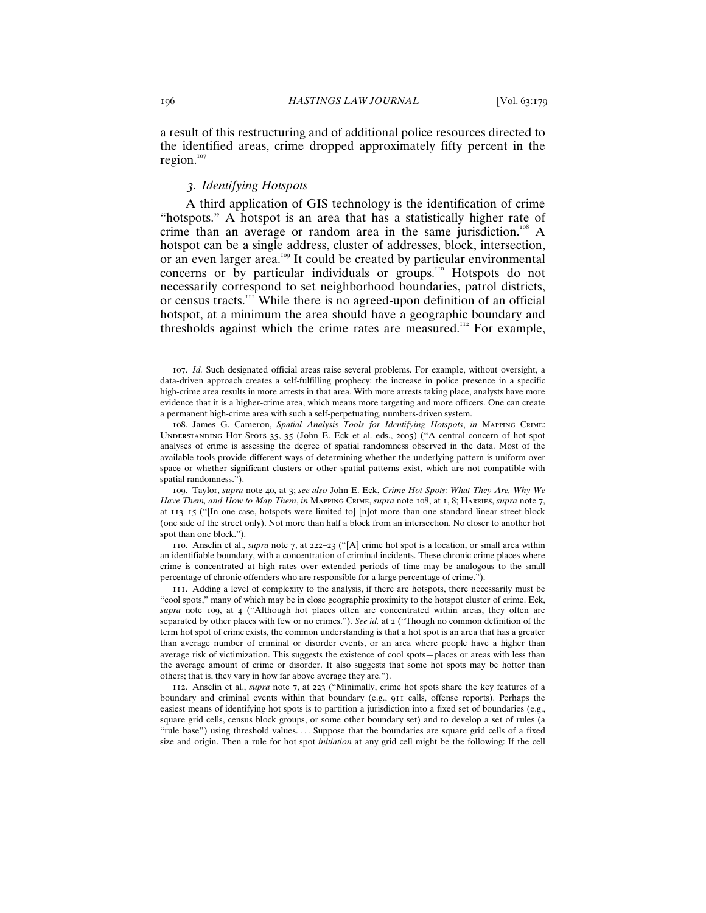a result of this restructuring and of additional police resources directed to the identified areas, crime dropped approximately fifty percent in the region. $107$ 

## *3. Identifying Hotspots*

A third application of GIS technology is the identification of crime "hotspots." A hotspot is an area that has a statistically higher rate of crime than an average or random area in the same jurisdiction.<sup>108</sup> A hotspot can be a single address, cluster of addresses, block, intersection, or an even larger area.<sup>109</sup> It could be created by particular environmental concerns or by particular individuals or groups.<sup>110</sup> Hotspots do not necessarily correspond to set neighborhood boundaries, patrol districts, or census tracts.<sup>111</sup> While there is no agreed-upon definition of an official hotspot, at a minimum the area should have a geographic boundary and thresholds against which the crime rates are measured.<sup>112</sup> For example,

<sup>107</sup>. *Id.* Such designated official areas raise several problems. For example, without oversight, a data-driven approach creates a self-fulfilling prophecy: the increase in police presence in a specific high-crime area results in more arrests in that area. With more arrests taking place, analysts have more evidence that it is a higher-crime area, which means more targeting and more officers. One can create a permanent high-crime area with such a self-perpetuating, numbers-driven system.

<sup>108</sup>. James G. Cameron, *Spatial Analysis Tools for Identifying Hotspots*, *in* Mapping Crime: Understanding Hot Spots 35, 35 (John E. Eck et al. eds., 2005) ("A central concern of hot spot analyses of crime is assessing the degree of spatial randomness observed in the data. Most of the available tools provide different ways of determining whether the underlying pattern is uniform over space or whether significant clusters or other spatial patterns exist, which are not compatible with spatial randomness.").

<sup>109</sup>. Taylor, *supra* note 40, at 3; *see also* John E. Eck, *Crime Hot Spots: What They Are, Why We Have Them, and How to Map Them*, *in* Mapping Crime, *supra* note 108, at 1, 8; Harries, *supra* note 7, at 113–15 ("[In one case, hotspots were limited to] [n]ot more than one standard linear street block (one side of the street only). Not more than half a block from an intersection. No closer to another hot spot than one block.").

<sup>110</sup>. Anselin et al., *supra* note 7, at 222–23 ("[A] crime hot spot is a location, or small area within an identifiable boundary, with a concentration of criminal incidents. These chronic crime places where crime is concentrated at high rates over extended periods of time may be analogous to the small percentage of chronic offenders who are responsible for a large percentage of crime.").

<sup>111</sup>. Adding a level of complexity to the analysis, if there are hotspots, there necessarily must be "cool spots," many of which may be in close geographic proximity to the hotspot cluster of crime. Eck, *supra* note 109, at 4 ("Although hot places often are concentrated within areas, they often are separated by other places with few or no crimes."). *See id.* at 2 ("Though no common definition of the term hot spot of crime exists, the common understanding is that a hot spot is an area that has a greater than average number of criminal or disorder events, or an area where people have a higher than average risk of victimization. This suggests the existence of cool spots—places or areas with less than the average amount of crime or disorder. It also suggests that some hot spots may be hotter than others; that is, they vary in how far above average they are.").

<sup>112</sup>. Anselin et al., *supra* note 7, at 223 ("Minimally, crime hot spots share the key features of a boundary and criminal events within that boundary (e.g., 911 calls, offense reports). Perhaps the easiest means of identifying hot spots is to partition a jurisdiction into a fixed set of boundaries (e.g., square grid cells, census block groups, or some other boundary set) and to develop a set of rules (a "rule base") using threshold values. . . . Suppose that the boundaries are square grid cells of a fixed size and origin. Then a rule for hot spot *initiation* at any grid cell might be the following: If the cell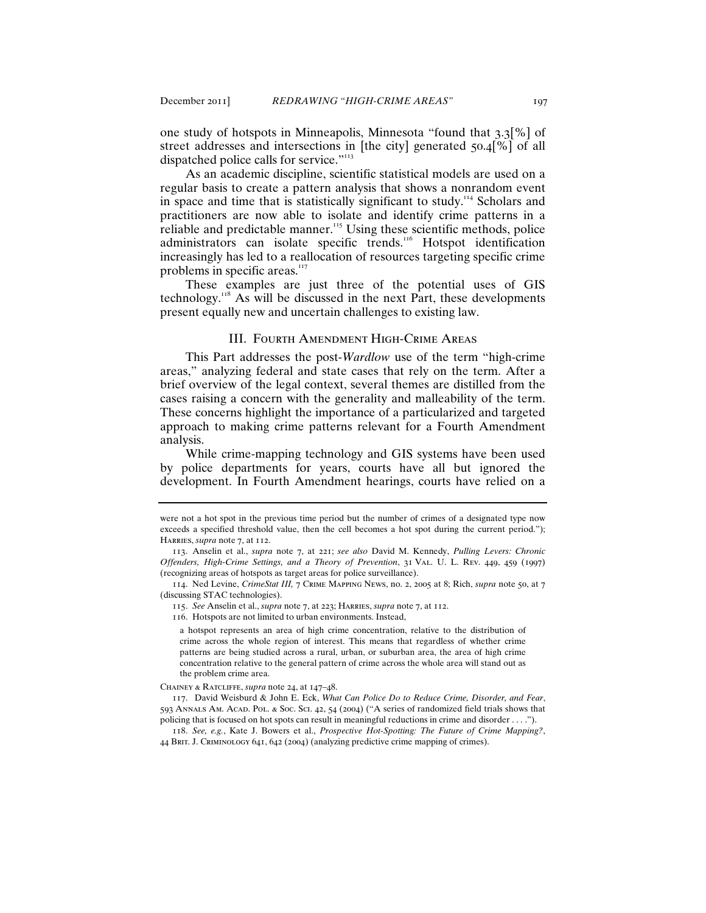one study of hotspots in Minneapolis, Minnesota "found that 3.3[%] of street addresses and intersections in [the city] generated 50.4[%] of all dispatched police calls for service."<sup>113</sup>

As an academic discipline, scientific statistical models are used on a regular basis to create a pattern analysis that shows a nonrandom event in space and time that is statistically significant to study.<sup>114</sup> Scholars and practitioners are now able to isolate and identify crime patterns in a reliable and predictable manner.<sup>115</sup> Using these scientific methods, police administrators can isolate specific trends.<sup>116</sup> Hotspot identification increasingly has led to a reallocation of resources targeting specific crime problems in specific areas.<sup>117</sup>

These examples are just three of the potential uses of GIS technology.<sup>118</sup> As will be discussed in the next Part, these developments present equally new and uncertain challenges to existing law.

## III. Fourth Amendment High-Crime Areas

This Part addresses the post-*Wardlow* use of the term "high-crime areas," analyzing federal and state cases that rely on the term. After a brief overview of the legal context, several themes are distilled from the cases raising a concern with the generality and malleability of the term. These concerns highlight the importance of a particularized and targeted approach to making crime patterns relevant for a Fourth Amendment analysis.

While crime-mapping technology and GIS systems have been used by police departments for years, courts have all but ignored the development. In Fourth Amendment hearings, courts have relied on a

114. Ned Levine, *CrimeStat III,* 7 Crime Mapping News, no. 2, 2005 at 8; Rich, *supra* note 50, at 7 (discussing STAC technologies).

116. Hotspots are not limited to urban environments. Instead,

a hotspot represents an area of high crime concentration, relative to the distribution of crime across the whole region of interest. This means that regardless of whether crime patterns are being studied across a rural, urban, or suburban area, the area of high crime concentration relative to the general pattern of crime across the whole area will stand out as the problem crime area.

Chainey & Ratcliffe, *supra* note 24, at 147–48.

117. David Weisburd & John E. Eck, *What Can Police Do to Reduce Crime, Disorder, and Fear*, 593 Annals Am. Acad. Pol. & Soc. Sci. 42, 54 (2004) ("A series of randomized field trials shows that policing that is focused on hot spots can result in meaningful reductions in crime and disorder . . . .").

118. *See, e.g.*, Kate J. Bowers et al., *Prospective Hot-Spotting: The Future of Crime Mapping?*, 44 Brit. J. Criminology 641, 642 (2004) (analyzing predictive crime mapping of crimes).

were not a hot spot in the previous time period but the number of crimes of a designated type now exceeds a specified threshold value, then the cell becomes a hot spot during the current period."); HARRIES, *supra* note 7, at 112.

<sup>113</sup>. Anselin et al., *supra* note 7, at 221; *see also* David M. Kennedy, *Pulling Levers: Chronic Offenders, High-Crime Settings, and a Theory of Prevention*, 31 Val. U. L. Rev. 449, 459 (1997) (recognizing areas of hotspots as target areas for police surveillance).

<sup>115</sup>. *See* Anselin et al., *supra* note 7, at 223; Harries, *supra* note 7, at 112.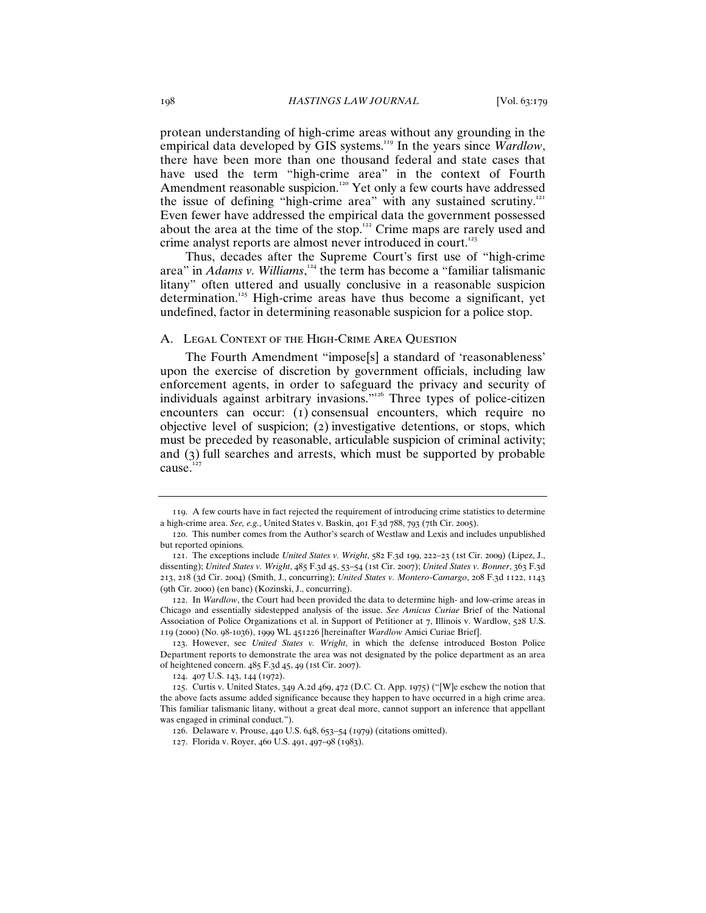protean understanding of high-crime areas without any grounding in the empirical data developed by GIS systems.<sup>119</sup> In the years since *Wardlow*, there have been more than one thousand federal and state cases that have used the term "high-crime area" in the context of Fourth Amendment reasonable suspicion.<sup>120</sup> Yet only a few courts have addressed the issue of defining "high-crime area" with any sustained scrutiny.<sup>121</sup> Even fewer have addressed the empirical data the government possessed about the area at the time of the stop.<sup>122</sup> Crime maps are rarely used and crime analyst reports are almost never introduced in court.<sup>123</sup>

Thus, decades after the Supreme Court's first use of "high-crime area" in *Adams v. Williams*, <sup>124</sup> the term has become a "familiar talismanic litany" often uttered and usually conclusive in a reasonable suspicion determination.<sup>125</sup> High-crime areas have thus become a significant, yet undefined, factor in determining reasonable suspicion for a police stop.

#### A. Legal Context of the High-Crime Area Question

The Fourth Amendment "impose[s] a standard of 'reasonableness' upon the exercise of discretion by government officials, including law enforcement agents, in order to safeguard the privacy and security of individuals against arbitrary invasions."<sup>126</sup> Three types of police-citizen encounters can occur: (1) consensual encounters, which require no objective level of suspicion; (2) investigative detentions, or stops, which must be preceded by reasonable, articulable suspicion of criminal activity; and (3) full searches and arrests, which must be supported by probable cause.<sup>127</sup>

<sup>119</sup>. A few courts have in fact rejected the requirement of introducing crime statistics to determine a high-crime area. *See, e.g.*, United States v. Baskin, 401 F.3d 788, 793 (7th Cir. 2005).

<sup>120</sup>. This number comes from the Author's search of Westlaw and Lexis and includes unpublished but reported opinions.

<sup>121</sup>. The exceptions include *United States v. Wright*, 582 F.3d 199, 222–23 (1st Cir. 2009) (Lipez, J., dissenting); *United States v. Wright*, 485 F.3d 45, 53–54 (1st Cir. 2007); *United States v. Bonner*, 363 F.3d 213, 218 (3d Cir. 2004) (Smith, J., concurring); *United States v. Montero-Camargo*, 208 F.3d 1122, 1143 (9th Cir. 2000) (en banc) (Kozinski, J., concurring).

<sup>122</sup>. In *Wardlow*, the Court had been provided the data to determine high- and low-crime areas in Chicago and essentially sidestepped analysis of the issue. *See Amicus Curiae* Brief of the National Association of Police Organizations et al. in Support of Petitioner at 7, Illinois v. Wardlow, 528 U.S. 119 (2000) (No. 98-1036), 1999 WL 451226 [hereinafter *Wardlow* Amici Curiae Brief].

<sup>123</sup>. However, see *United States v. Wright*, in which the defense introduced Boston Police Department reports to demonstrate the area was not designated by the police department as an area of heightened concern. 485 F.3d 45, 49 (1st Cir. 2007).

<sup>124</sup>. 407 U.S. 143, 144 (1972).

<sup>125</sup>. Curtis v. United States, 349 A.2d 469, 472 (D.C. Ct. App. 1975) ("[W]e eschew the notion that the above facts assume added significance because they happen to have occurred in a high crime area. This familiar talismanic litany, without a great deal more, cannot support an inference that appellant was engaged in criminal conduct.").

<sup>126</sup>. Delaware v. Prouse, 440 U.S. 648, 653–54 (1979) (citations omitted).

<sup>127</sup>. Florida v. Royer, 460 U.S. 491, 497–98 (1983).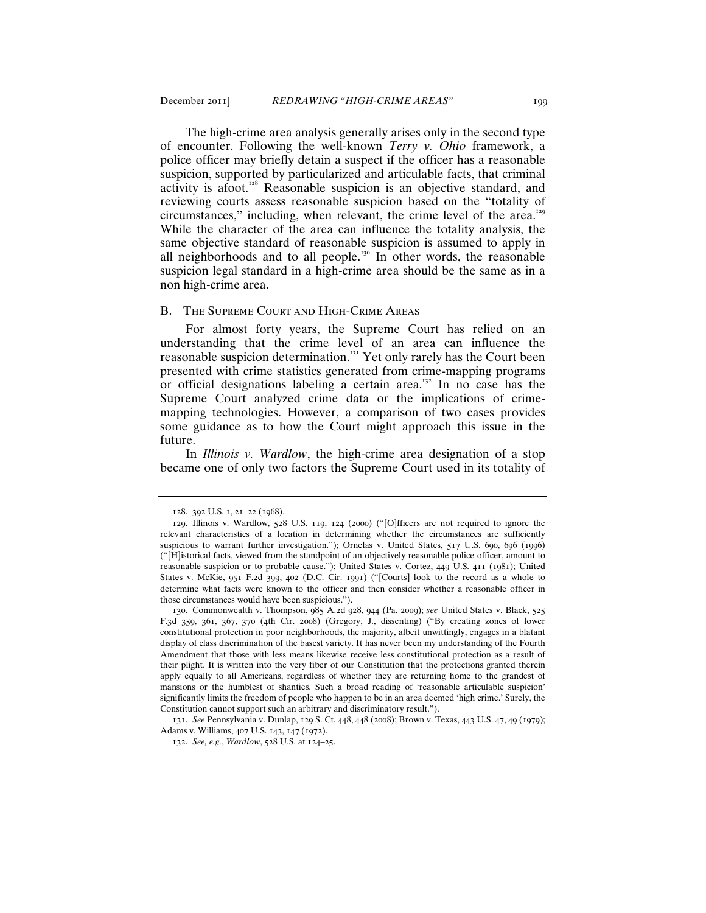The high-crime area analysis generally arises only in the second type of encounter. Following the well-known *Terry v. Ohio* framework, a police officer may briefly detain a suspect if the officer has a reasonable suspicion, supported by particularized and articulable facts, that criminal activity is afoot.<sup>128</sup> Reasonable suspicion is an objective standard, and reviewing courts assess reasonable suspicion based on the "totality of circumstances," including, when relevant, the crime level of the area.<sup>129</sup> While the character of the area can influence the totality analysis, the same objective standard of reasonable suspicion is assumed to apply in all neighborhoods and to all people.<sup>130</sup> In other words, the reasonable suspicion legal standard in a high-crime area should be the same as in a non high-crime area.

## B. The Supreme Court and High-Crime Areas

For almost forty years, the Supreme Court has relied on an understanding that the crime level of an area can influence the reasonable suspicion determination.<sup>131</sup> Yet only rarely has the Court been presented with crime statistics generated from crime-mapping programs or official designations labeling a certain area.<sup>132</sup> In no case has the Supreme Court analyzed crime data or the implications of crimemapping technologies. However, a comparison of two cases provides some guidance as to how the Court might approach this issue in the future.

In *Illinois v. Wardlow*, the high-crime area designation of a stop became one of only two factors the Supreme Court used in its totality of

<sup>128</sup>. 392 U.S. 1, 21–22 (1968).

<sup>129</sup>. Illinois v. Wardlow, 528 U.S. 119, 124 (2000) ("[O]fficers are not required to ignore the relevant characteristics of a location in determining whether the circumstances are sufficiently suspicious to warrant further investigation."); Ornelas v. United States, 517 U.S. 690, 696 (1996) ("[H]istorical facts, viewed from the standpoint of an objectively reasonable police officer, amount to reasonable suspicion or to probable cause."); United States v. Cortez, 449 U.S. 411 (1981); United States v. McKie, 951 F.2d 399, 402 (D.C. Cir. 1991) ("[Courts] look to the record as a whole to determine what facts were known to the officer and then consider whether a reasonable officer in those circumstances would have been suspicious.").

<sup>130</sup>. Commonwealth v. Thompson, 985 A.2d 928, 944 (Pa. 2009); *see* United States v. Black, 525 F.3d 359, 361, 367, 370 (4th Cir. 2008) (Gregory, J., dissenting) ("By creating zones of lower constitutional protection in poor neighborhoods, the majority, albeit unwittingly, engages in a blatant display of class discrimination of the basest variety. It has never been my understanding of the Fourth Amendment that those with less means likewise receive less constitutional protection as a result of their plight. It is written into the very fiber of our Constitution that the protections granted therein apply equally to all Americans, regardless of whether they are returning home to the grandest of mansions or the humblest of shanties. Such a broad reading of 'reasonable articulable suspicion' significantly limits the freedom of people who happen to be in an area deemed 'high crime.' Surely, the Constitution cannot support such an arbitrary and discriminatory result.").

<sup>131</sup>. *See* Pennsylvania v. Dunlap, 129 S. Ct. 448, 448 (2008); Brown v. Texas, 443 U.S. 47, 49 (1979); Adams v. Williams, 407 U.S. 143, 147 (1972).

<sup>132</sup>. *See, e.g.*, *Wardlow*, 528 U.S. at 124–25.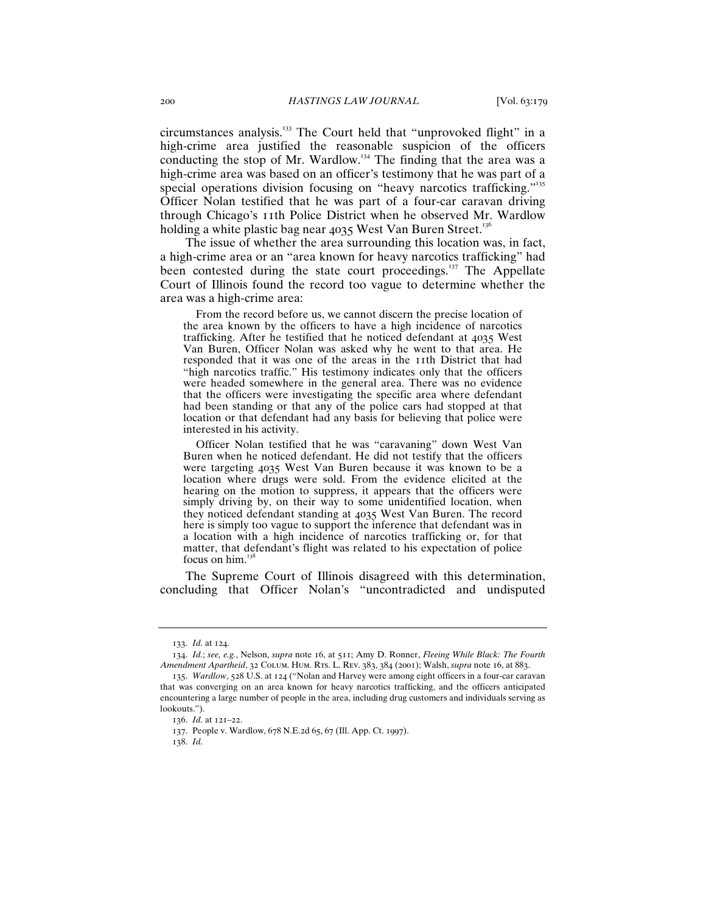circumstances analysis.<sup>133</sup> The Court held that "unprovoked flight" in a high-crime area justified the reasonable suspicion of the officers conducting the stop of Mr. Wardlow.<sup>134</sup> The finding that the area was a high-crime area was based on an officer's testimony that he was part of a special operations division focusing on "heavy narcotics trafficking."<sup>135</sup> Officer Nolan testified that he was part of a four-car caravan driving through Chicago's 11th Police District when he observed Mr. Wardlow holding a white plastic bag near  $4035$  West Van Buren Street.<sup>136</sup>

The issue of whether the area surrounding this location was, in fact, a high-crime area or an "area known for heavy narcotics trafficking" had been contested during the state court proceedings.<sup>137</sup> The Appellate Court of Illinois found the record too vague to determine whether the area was a high-crime area:

 From the record before us, we cannot discern the precise location of the area known by the officers to have a high incidence of narcotics trafficking. After he testified that he noticed defendant at 4035 West Van Buren, Officer Nolan was asked why he went to that area. He responded that it was one of the areas in the 11th District that had "high narcotics traffic." His testimony indicates only that the officers were headed somewhere in the general area. There was no evidence that the officers were investigating the specific area where defendant had been standing or that any of the police cars had stopped at that location or that defendant had any basis for believing that police were interested in his activity.

 Officer Nolan testified that he was "caravaning" down West Van Buren when he noticed defendant. He did not testify that the officers were targeting 4035 West Van Buren because it was known to be a location where drugs were sold. From the evidence elicited at the hearing on the motion to suppress, it appears that the officers were simply driving by, on their way to some unidentified location, when they noticed defendant standing at 4035 West Van Buren. The record here is simply too vague to support the inference that defendant was in a location with a high incidence of narcotics trafficking or, for that matter, that defendant's flight was related to his expectation of police focus on him.<sup>1</sup>

The Supreme Court of Illinois disagreed with this determination, concluding that Officer Nolan's "uncontradicted and undisputed

<sup>133</sup>. *Id.* at 124.

<sup>134</sup>. *Id.*; *see, e.g.*, Nelson, *supra* note 16, at 511; Amy D. Ronner, *Fleeing While Black: The Fourth Amendment Apartheid*, 32 Colum. Hum. Rts. L. Rev. 383, 384 (2001); Walsh, *supra* note 16, at 883.

<sup>135</sup>. *Wardlow*, 528 U.S. at 124 ("Nolan and Harvey were among eight officers in a four-car caravan that was converging on an area known for heavy narcotics trafficking, and the officers anticipated encountering a large number of people in the area, including drug customers and individuals serving as lookouts.").

<sup>136</sup>. *Id.* at 121–22.

<sup>137</sup>. People v. Wardlow, 678 N.E.2d 65, 67 (Ill. App. Ct. 1997).

<sup>138</sup>. *Id.*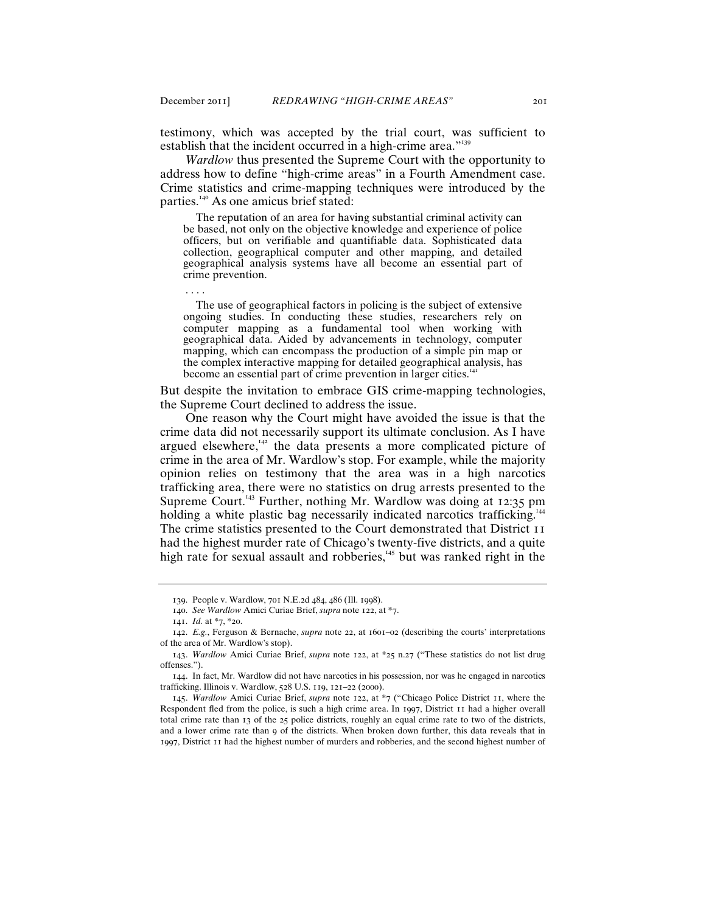. . . .

testimony, which was accepted by the trial court, was sufficient to establish that the incident occurred in a high-crime area."<sup>139</sup>

*Wardlow* thus presented the Supreme Court with the opportunity to address how to define "high-crime areas" in a Fourth Amendment case. Crime statistics and crime-mapping techniques were introduced by the parties.<sup>140</sup> As one amicus brief stated:

 The reputation of an area for having substantial criminal activity can be based, not only on the objective knowledge and experience of police officers, but on verifiable and quantifiable data. Sophisticated data collection, geographical computer and other mapping, and detailed geographical analysis systems have all become an essential part of crime prevention.

 The use of geographical factors in policing is the subject of extensive ongoing studies. In conducting these studies, researchers rely on computer mapping as a fundamental tool when working with geographical data. Aided by advancements in technology, computer mapping, which can encompass the production of a simple pin map or the complex interactive mapping for detailed geographical analysis, has become an essential part of crime prevention in larger cities.<sup>14</sup>

But despite the invitation to embrace GIS crime-mapping technologies, the Supreme Court declined to address the issue.

One reason why the Court might have avoided the issue is that the crime data did not necessarily support its ultimate conclusion. As I have argued elsewhere, $142$  the data presents a more complicated picture of crime in the area of Mr. Wardlow's stop. For example, while the majority opinion relies on testimony that the area was in a high narcotics trafficking area, there were no statistics on drug arrests presented to the Supreme Court.<sup>143</sup> Further, nothing Mr. Wardlow was doing at 12:35 pm holding a white plastic bag necessarily indicated narcotics trafficking.<sup>144</sup> The crime statistics presented to the Court demonstrated that District 11 had the highest murder rate of Chicago's twenty-five districts, and a quite high rate for sexual assault and robberies,<sup>145</sup> but was ranked right in the

<sup>139</sup>. People v. Wardlow, 701 N.E.2d 484, 486 (Ill. 1998).

<sup>140</sup>. *See Wardlow* Amici Curiae Brief, *supra* note 122, at \*7.

<sup>141</sup>. *Id.* at \*7, \*20.

<sup>142</sup>. *E.g.*, Ferguson & Bernache, *supra* note 22, at 1601–02 (describing the courts' interpretations of the area of Mr. Wardlow's stop).

<sup>143</sup>. *Wardlow* Amici Curiae Brief, *supra* note 122, at \*25 n.27 ("These statistics do not list drug offenses.").

<sup>144</sup>. In fact, Mr. Wardlow did not have narcotics in his possession, nor was he engaged in narcotics trafficking. Illinois v. Wardlow, 528 U.S. 119, 121–22 (2000).

<sup>145</sup>. *Wardlow* Amici Curiae Brief, *supra* note 122, at \*7 ("Chicago Police District 11, where the Respondent fled from the police, is such a high crime area. In 1997, District 11 had a higher overall total crime rate than 13 of the 25 police districts, roughly an equal crime rate to two of the districts, and a lower crime rate than 9 of the districts. When broken down further, this data reveals that in 1997, District 11 had the highest number of murders and robberies, and the second highest number of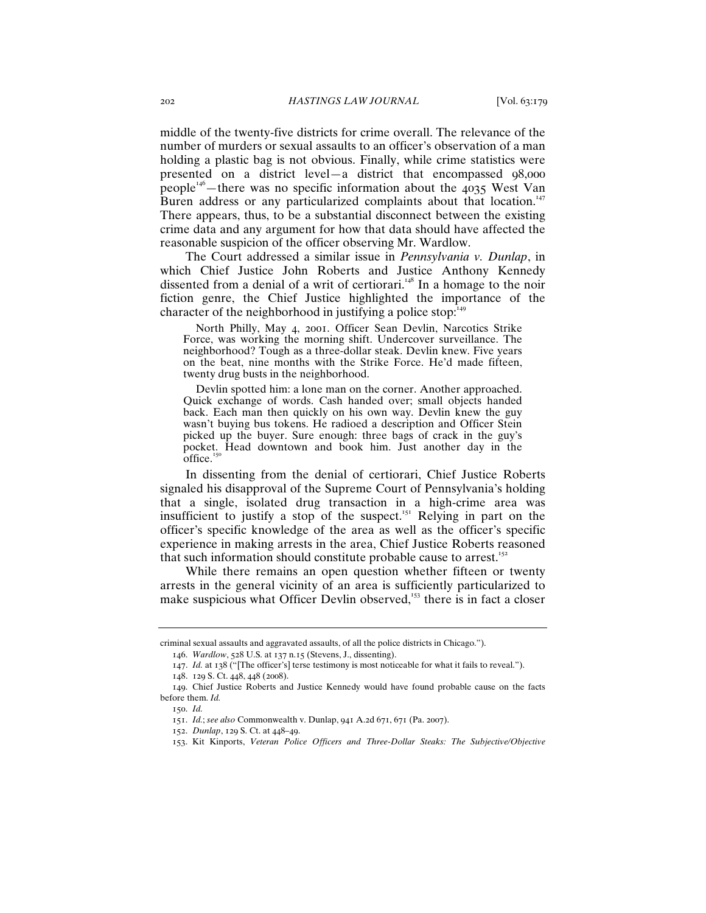middle of the twenty-five districts for crime overall. The relevance of the number of murders or sexual assaults to an officer's observation of a man holding a plastic bag is not obvious. Finally, while crime statistics were presented on a district level—a district that encompassed 98,000 people<sup>146</sup>—there was no specific information about the 4035 West Van Buren address or any particularized complaints about that location.<sup>147</sup> There appears, thus, to be a substantial disconnect between the existing crime data and any argument for how that data should have affected the reasonable suspicion of the officer observing Mr. Wardlow.

The Court addressed a similar issue in *Pennsylvania v. Dunlap*, in which Chief Justice John Roberts and Justice Anthony Kennedy dissented from a denial of a writ of certiorari.<sup>148</sup> In a homage to the noir fiction genre, the Chief Justice highlighted the importance of the character of the neighborhood in justifying a police stop.<sup>14</sup>

 North Philly, May 4, 2001. Officer Sean Devlin, Narcotics Strike Force, was working the morning shift. Undercover surveillance. The neighborhood? Tough as a three-dollar steak. Devlin knew. Five years on the beat, nine months with the Strike Force. He'd made fifteen, twenty drug busts in the neighborhood.

 Devlin spotted him: a lone man on the corner. Another approached. Quick exchange of words. Cash handed over; small objects handed back. Each man then quickly on his own way. Devlin knew the guy wasn't buying bus tokens. He radioed a description and Officer Stein picked up the buyer. Sure enough: three bags of crack in the guy's pocket. Head downtown and book him. Just another day in the office. $15$ 

In dissenting from the denial of certiorari, Chief Justice Roberts signaled his disapproval of the Supreme Court of Pennsylvania's holding that a single, isolated drug transaction in a high-crime area was insufficient to justify a stop of the suspect.<sup>151</sup> Relying in part on the officer's specific knowledge of the area as well as the officer's specific experience in making arrests in the area, Chief Justice Roberts reasoned that such information should constitute probable cause to arrest.<sup>152</sup>

While there remains an open question whether fifteen or twenty arrests in the general vicinity of an area is sufficiently particularized to make suspicious what Officer Devlin observed,<sup>153</sup> there is in fact a closer

criminal sexual assaults and aggravated assaults, of all the police districts in Chicago.").

<sup>146</sup>. *Wardlow*, 528 U.S. at 137 n.15 (Stevens, J., dissenting).

<sup>147</sup>. *Id.* at 138 ("[The officer's] terse testimony is most noticeable for what it fails to reveal.").

<sup>148</sup>. 129 S. Ct. 448, 448 (2008).

<sup>149</sup>. Chief Justice Roberts and Justice Kennedy would have found probable cause on the facts before them. *Id.*

<sup>150</sup>. *Id.*

<sup>151</sup>. *Id.*; *see also* Commonwealth v. Dunlap, 941 A.2d 671, 671 (Pa. 2007).

<sup>152</sup>. *Dunlap*, 129 S. Ct. at 448–49.

<sup>153</sup>. Kit Kinports, *Veteran Police Officers and Three-Dollar Steaks: The Subjective/Objective*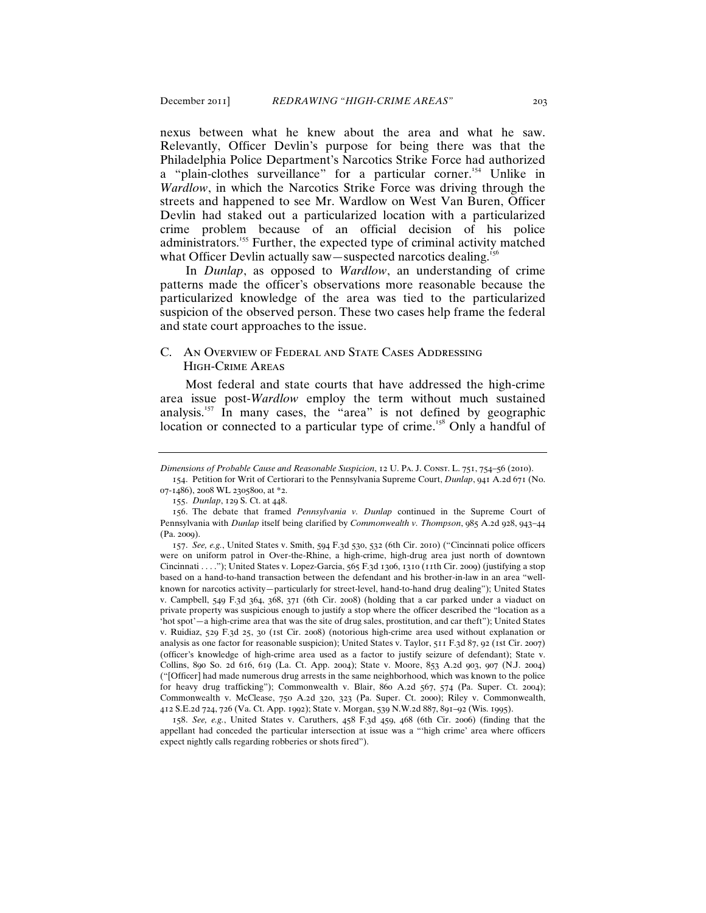nexus between what he knew about the area and what he saw. Relevantly, Officer Devlin's purpose for being there was that the Philadelphia Police Department's Narcotics Strike Force had authorized a "plain-clothes surveillance" for a particular corner.<sup>154</sup> Unlike in *Wardlow*, in which the Narcotics Strike Force was driving through the streets and happened to see Mr. Wardlow on West Van Buren, Officer Devlin had staked out a particularized location with a particularized crime problem because of an official decision of his police administrators.<sup>155</sup> Further, the expected type of criminal activity matched what Officer Devlin actually saw—suspected narcotics dealing.<sup>15</sup>

In *Dunlap*, as opposed to *Wardlow*, an understanding of crime patterns made the officer's observations more reasonable because the particularized knowledge of the area was tied to the particularized suspicion of the observed person. These two cases help frame the federal and state court approaches to the issue.

## C. An Overview of Federal and State Cases Addressing High-Crime Areas

Most federal and state courts that have addressed the high-crime area issue post-*Wardlow* employ the term without much sustained analysis.<sup>157</sup> In many cases, the "area" is not defined by geographic location or connected to a particular type of crime.<sup>158</sup> Only a handful of

158. *See, e.g.*, United States v. Caruthers, 458 F.3d 459, 468 (6th Cir. 2006) (finding that the appellant had conceded the particular intersection at issue was a "'high crime' area where officers expect nightly calls regarding robberies or shots fired").

*Dimensions of Probable Cause and Reasonable Suspicion*, 12 U. Pa. J. Const. L. 751, 754–56 (2010).

<sup>154</sup>. Petition for Writ of Certiorari to the Pennsylvania Supreme Court, *Dunlap*, 941 A.2d 671 (No. 07-1486), 2008 WL 2305800, at \*2.

<sup>155</sup>. *Dunlap*, 129 S. Ct. at 448.

<sup>156</sup>. The debate that framed *Pennsylvania v. Dunlap* continued in the Supreme Court of Pennsylvania with *Dunlap* itself being clarified by *Commonwealth v. Thompson*, 985 A.2d 928, 943–44 (Pa. 2009).

<sup>157</sup>. *See, e.g.*, United States v. Smith, 594 F.3d 530, 532 (6th Cir. 2010) ("Cincinnati police officers were on uniform patrol in Over-the-Rhine, a high-crime, high-drug area just north of downtown Cincinnati . . . ."); United States v. Lopez-Garcia, 565 F.3d 1306, 1310 (11th Cir. 2009) (justifying a stop based on a hand-to-hand transaction between the defendant and his brother-in-law in an area "wellknown for narcotics activity—particularly for street-level, hand-to-hand drug dealing"); United States v. Campbell, 549 F.3d 364, 368, 371 (6th Cir. 2008) (holding that a car parked under a viaduct on private property was suspicious enough to justify a stop where the officer described the "location as a 'hot spot'—a high-crime area that was the site of drug sales, prostitution, and car theft"); United States v. Ruidiaz, 529 F.3d 25, 30 (1st Cir. 2008) (notorious high-crime area used without explanation or analysis as one factor for reasonable suspicion); United States v. Taylor, 511 F.3d 87, 92 (1st Cir. 2007) (officer's knowledge of high-crime area used as a factor to justify seizure of defendant); State v. Collins, 890 So. 2d 616, 619 (La. Ct. App. 2004); State v. Moore, 853 A.2d 903, 907 (N.J. 2004) ("[Officer] had made numerous drug arrests in the same neighborhood, which was known to the police for heavy drug trafficking"); Commonwealth v. Blair, 860 A.2d 567, 574 (Pa. Super. Ct. 2004); Commonwealth v. McClease, 750 A.2d 320, 323 (Pa. Super. Ct. 2000); Riley v. Commonwealth, 412 S.E.2d 724, 726 (Va. Ct. App. 1992); State v. Morgan, 539 N.W.2d 887, 891–92 (Wis. 1995).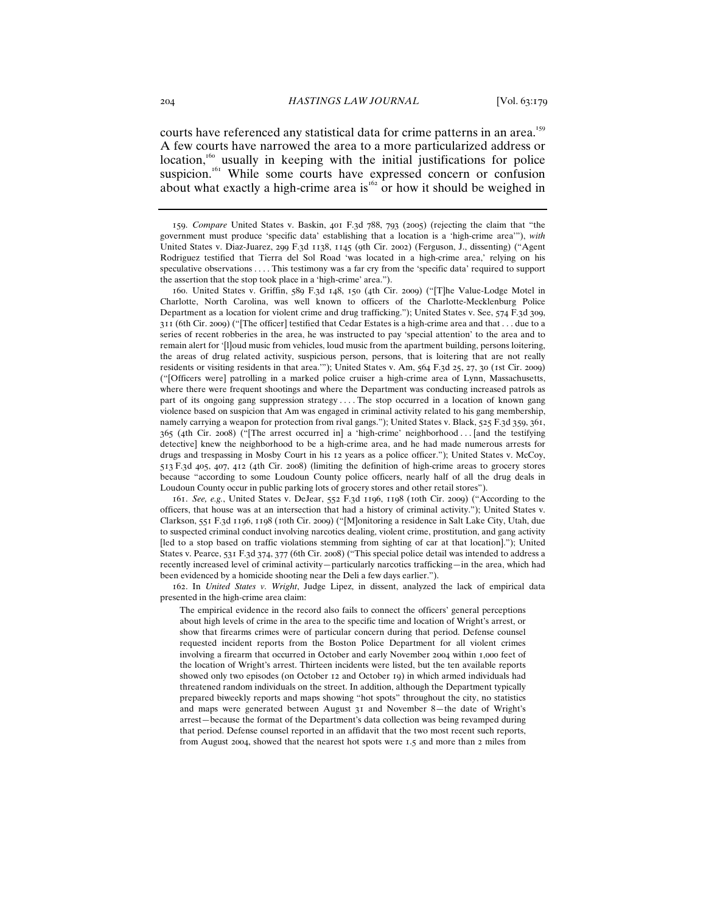courts have referenced any statistical data for crime patterns in an area.<sup>159</sup> A few courts have narrowed the area to a more particularized address or location,<sup>160</sup> usually in keeping with the initial justifications for police suspicion.<sup>161</sup> While some courts have expressed concern or confusion about what exactly a high-crime area is<sup>162</sup> or how it should be weighed in

160. United States v. Griffin, 589 F.3d 148, 150 (4th Cir. 2009) ("[T]he Value-Lodge Motel in Charlotte, North Carolina, was well known to officers of the Charlotte-Mecklenburg Police Department as a location for violent crime and drug trafficking."); United States v. See, 574 F.3d 309, 311 (6th Cir. 2009) ("[The officer] testified that Cedar Estates is a high-crime area and that . . . due to a series of recent robberies in the area, he was instructed to pay 'special attention' to the area and to remain alert for '[l]oud music from vehicles, loud music from the apartment building, persons loitering, the areas of drug related activity, suspicious person, persons, that is loitering that are not really residents or visiting residents in that area.'"); United States v. Am, 564 F.3d 25, 27, 30 (1st Cir. 2009) ("[Officers were] patrolling in a marked police cruiser a high-crime area of Lynn, Massachusetts, where there were frequent shootings and where the Department was conducting increased patrols as part of its ongoing gang suppression strategy .... The stop occurred in a location of known gang violence based on suspicion that Am was engaged in criminal activity related to his gang membership, namely carrying a weapon for protection from rival gangs."); United States v. Black, 525 F.3d 359, 361, 365 (4th Cir. 2008) ("[The arrest occurred in] a 'high-crime' neighborhood . . . [and the testifying detective] knew the neighborhood to be a high-crime area, and he had made numerous arrests for drugs and trespassing in Mosby Court in his 12 years as a police officer."); United States v. McCoy, 513 F.3d 405, 407, 412 (4th Cir. 2008) (limiting the definition of high-crime areas to grocery stores because "according to some Loudoun County police officers, nearly half of all the drug deals in Loudoun County occur in public parking lots of grocery stores and other retail stores").

161. *See, e.g.*, United States v. DeJear, 552 F.3d 1196, 1198 (10th Cir. 2009) ("According to the officers, that house was at an intersection that had a history of criminal activity."); United States v. Clarkson, 551 F.3d 1196, 1198 (10th Cir. 2009) ("[M]onitoring a residence in Salt Lake City, Utah, due to suspected criminal conduct involving narcotics dealing, violent crime, prostitution, and gang activity [led to a stop based on traffic violations stemming from sighting of car at that location]."); United States v. Pearce, 531 F.3d 374, 377 (6th Cir. 2008) ("This special police detail was intended to address a recently increased level of criminal activity—particularly narcotics trafficking—in the area, which had been evidenced by a homicide shooting near the Deli a few days earlier.").

162. In *United States v. Wright*, Judge Lipez, in dissent, analyzed the lack of empirical data presented in the high-crime area claim:

The empirical evidence in the record also fails to connect the officers' general perceptions about high levels of crime in the area to the specific time and location of Wright's arrest, or show that firearms crimes were of particular concern during that period. Defense counsel requested incident reports from the Boston Police Department for all violent crimes involving a firearm that occurred in October and early November 2004 within 1,000 feet of the location of Wright's arrest. Thirteen incidents were listed, but the ten available reports showed only two episodes (on October 12 and October 19) in which armed individuals had threatened random individuals on the street. In addition, although the Department typically prepared biweekly reports and maps showing "hot spots" throughout the city, no statistics and maps were generated between August 31 and November 8—the date of Wright's arrest—because the format of the Department's data collection was being revamped during that period. Defense counsel reported in an affidavit that the two most recent such reports, from August 2004, showed that the nearest hot spots were 1.5 and more than 2 miles from

<sup>159</sup>. *Compare* United States v. Baskin, 401 F.3d 788, 793 (2005) (rejecting the claim that "the government must produce 'specific data' establishing that a location is a 'high-crime area'"), *with* United States v. Diaz-Juarez, 299 F.3d 1138, 1145 (9th Cir. 2002) (Ferguson, J., dissenting) ("Agent Rodriguez testified that Tierra del Sol Road 'was located in a high-crime area,' relying on his speculative observations . . . . This testimony was a far cry from the 'specific data' required to support the assertion that the stop took place in a 'high-crime' area.").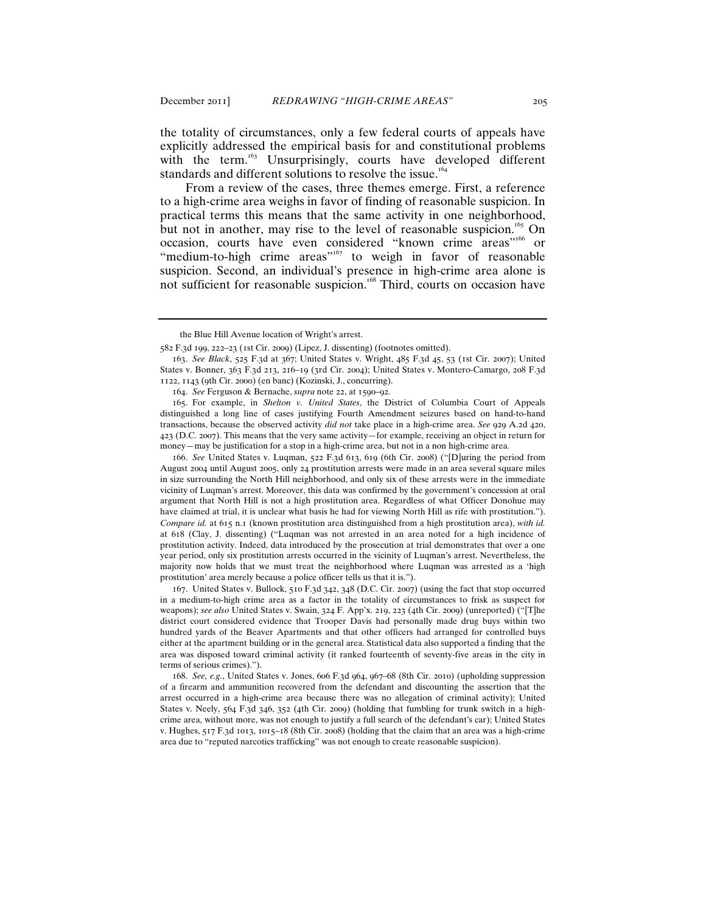the totality of circumstances, only a few federal courts of appeals have explicitly addressed the empirical basis for and constitutional problems with the term.<sup>163</sup> Unsurprisingly, courts have developed different standards and different solutions to resolve the issue.<sup>164</sup>

From a review of the cases, three themes emerge. First, a reference to a high-crime area weighs in favor of finding of reasonable suspicion. In practical terms this means that the same activity in one neighborhood, but not in another, may rise to the level of reasonable suspicion.<sup>165</sup> On occasion, courts have even considered "known crime areas"<sup>166</sup> or "medium-to-high crime areas"<sup>167</sup> to weigh in favor of reasonable suspicion. Second, an individual's presence in high-crime area alone is not sufficient for reasonable suspicion.<sup>168</sup> Third, courts on occasion have

166. *See* United States v. Luqman, 522 F.3d 613, 619 (6th Cir. 2008) ("[D]uring the period from August 2004 until August 2005, only 24 prostitution arrests were made in an area several square miles in size surrounding the North Hill neighborhood, and only six of these arrests were in the immediate vicinity of Luqman's arrest. Moreover, this data was confirmed by the government's concession at oral argument that North Hill is not a high prostitution area. Regardless of what Officer Donohue may have claimed at trial, it is unclear what basis he had for viewing North Hill as rife with prostitution."). *Compare id.* at 615 n.1 (known prostitution area distinguished from a high prostitution area), *with id.* at 618 (Clay, J. dissenting) ("Luqman was not arrested in an area noted for a high incidence of prostitution activity. Indeed, data introduced by the prosecution at trial demonstrates that over a one year period, only six prostitution arrests occurred in the vicinity of Luqman's arrest. Nevertheless, the majority now holds that we must treat the neighborhood where Luqman was arrested as a 'high prostitution' area merely because a police officer tells us that it is.").

167. United States v. Bullock, 510 F.3d 342, 348 (D.C. Cir. 2007) (using the fact that stop occurred in a medium-to-high crime area as a factor in the totality of circumstances to frisk as suspect for weapons); *see also* United States v. Swain, 324 F. App'x. 219, 223 (4th Cir. 2009) (unreported) ("[T]he district court considered evidence that Trooper Davis had personally made drug buys within two hundred yards of the Beaver Apartments and that other officers had arranged for controlled buys either at the apartment building or in the general area. Statistical data also supported a finding that the area was disposed toward criminal activity (it ranked fourteenth of seventy-five areas in the city in terms of serious crimes).").

168. *See, e.g.*, United States v. Jones, 606 F.3d 964, 967–68 (8th Cir. 2010) (upholding suppression of a firearm and ammunition recovered from the defendant and discounting the assertion that the arrest occurred in a high-crime area because there was no allegation of criminal activity); United States v. Neely, 564 F.3d 346, 352 (4th Cir. 2009) (holding that fumbling for trunk switch in a highcrime area, without more, was not enough to justify a full search of the defendant's car); United States v. Hughes, 517 F.3d 1013, 1015–18 (8th Cir. 2008) (holding that the claim that an area was a high-crime area due to "reputed narcotics trafficking" was not enough to create reasonable suspicion).

the Blue Hill Avenue location of Wright's arrest.

<sup>582</sup> F.3d 199, 222–23 (1st Cir. 2009) (Lipez, J. dissenting) (footnotes omitted).

<sup>163</sup>. *See Black*, 525 F.3d at 367; United States v. Wright, 485 F.3d 45, 53 (1st Cir. 2007); United States v. Bonner, 363 F.3d 213, 216–19 (3rd Cir. 2004); United States v. Montero-Camargo, 208 F.3d 1122, 1143 (9th Cir. 2000) (en banc) (Kozinski, J., concurring).

<sup>164</sup>. *See* Ferguson & Bernache, *supra* note 22, at 1590–92.

<sup>165</sup>. For example, in *Shelton v. United States*, the District of Columbia Court of Appeals distinguished a long line of cases justifying Fourth Amendment seizures based on hand-to-hand transactions, because the observed activity *did not* take place in a high-crime area. *See* 929 A.2d 420, 423 (D.C. 2007). This means that the very same activity—for example, receiving an object in return for money—may be justification for a stop in a high-crime area, but not in a non high-crime area.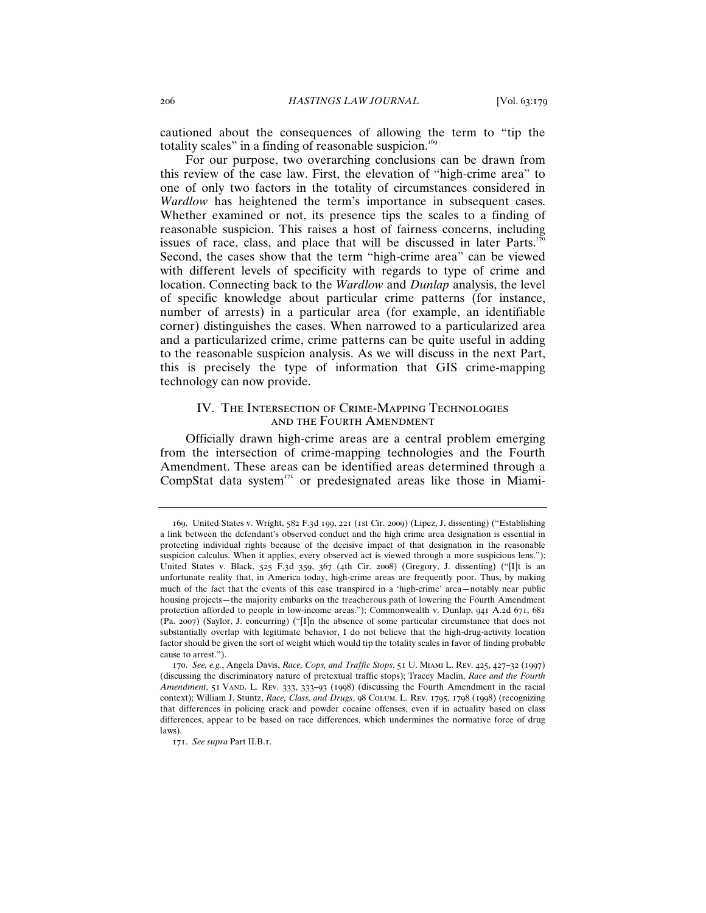cautioned about the consequences of allowing the term to "tip the totality scales" in a finding of reasonable suspicion.<sup>169</sup>

For our purpose, two overarching conclusions can be drawn from this review of the case law. First, the elevation of "high-crime area" to one of only two factors in the totality of circumstances considered in *Wardlow* has heightened the term's importance in subsequent cases. Whether examined or not, its presence tips the scales to a finding of reasonable suspicion. This raises a host of fairness concerns, including issues of race, class, and place that will be discussed in later Parts.<sup>1</sup> Second, the cases show that the term "high-crime area" can be viewed with different levels of specificity with regards to type of crime and location. Connecting back to the *Wardlow* and *Dunlap* analysis, the level of specific knowledge about particular crime patterns (for instance, number of arrests) in a particular area (for example, an identifiable corner) distinguishes the cases. When narrowed to a particularized area and a particularized crime, crime patterns can be quite useful in adding to the reasonable suspicion analysis. As we will discuss in the next Part, this is precisely the type of information that GIS crime-mapping technology can now provide.

## IV. The Intersection of Crime-Mapping Technologies and the Fourth Amendment

Officially drawn high-crime areas are a central problem emerging from the intersection of crime-mapping technologies and the Fourth Amendment. These areas can be identified areas determined through a CompStat data system $171$  or predesignated areas like those in Miami-

<sup>169</sup>. United States v. Wright, 582 F.3d 199, 221 (1st Cir. 2009) (Lipez, J. dissenting) ("Establishing a link between the defendant's observed conduct and the high crime area designation is essential in protecting individual rights because of the decisive impact of that designation in the reasonable suspicion calculus. When it applies, every observed act is viewed through a more suspicious lens."); United States v. Black, 525 F.3d 359, 367 (4th Cir. 2008) (Gregory, J. dissenting) ("[I]t is an unfortunate reality that, in America today, high-crime areas are frequently poor. Thus, by making much of the fact that the events of this case transpired in a 'high-crime' area—notably near public housing projects—the majority embarks on the treacherous path of lowering the Fourth Amendment protection afforded to people in low-income areas."); Commonwealth v. Dunlap, 941 A.2d 671, 681 (Pa. 2007) (Saylor, J. concurring) ("[I]n the absence of some particular circumstance that does not substantially overlap with legitimate behavior, I do not believe that the high-drug-activity location factor should be given the sort of weight which would tip the totality scales in favor of finding probable cause to arrest.").

<sup>170</sup>. *See, e.g.*, Angela Davis, *Race, Cops, and Traffic Stops*, 51 U. Miami L. Rev. 425, 427–32 (1997) (discussing the discriminatory nature of pretextual traffic stops); Tracey Maclin, *Race and the Fourth*  Amendment, 51 VAND. L. REV. 333, 333-93 (1998) (discussing the Fourth Amendment in the racial context); William J. Stuntz, *Race, Class, and Drugs*, 98 Colum. L. Rev. 1795, 1798 (1998) (recognizing that differences in policing crack and powder cocaine offenses, even if in actuality based on class differences, appear to be based on race differences, which undermines the normative force of drug laws).

<sup>171</sup>. *See supra* Part II.B.1.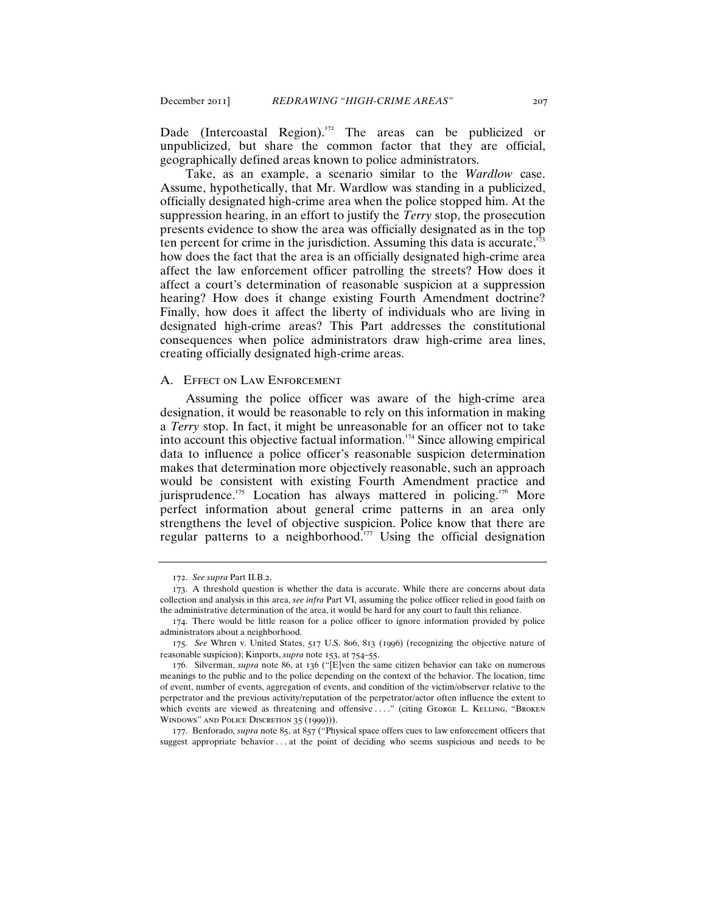Dade (Intercoastal Region).<sup>172</sup> The areas can be publicized or unpublicized, but share the common factor that they are official, geographically defined areas known to police administrators.

Take, as an example, a scenario similar to the *Wardlow* case. Assume, hypothetically, that Mr. Wardlow was standing in a publicized, officially designated high-crime area when the police stopped him. At the suppression hearing, in an effort to justify the *Terry* stop, the prosecution presents evidence to show the area was officially designated as in the top ten percent for crime in the jurisdiction. Assuming this data is accurate, $\overline{1}$ how does the fact that the area is an officially designated high-crime area affect the law enforcement officer patrolling the streets? How does it affect a court's determination of reasonable suspicion at a suppression hearing? How does it change existing Fourth Amendment doctrine? Finally, how does it affect the liberty of individuals who are living in designated high-crime areas? This Part addresses the constitutional consequences when police administrators draw high-crime area lines, creating officially designated high-crime areas.

#### A. Effect on Law Enforcement

Assuming the police officer was aware of the high-crime area designation, it would be reasonable to rely on this information in making a *Terry* stop. In fact, it might be unreasonable for an officer not to take into account this objective factual information.<sup> $174$ </sup> Since allowing empirical data to influence a police officer's reasonable suspicion determination makes that determination more objectively reasonable, such an approach would be consistent with existing Fourth Amendment practice and jurisprudence.<sup>175</sup> Location has always mattered in policing.<sup>176</sup> More perfect information about general crime patterns in an area only strengthens the level of objective suspicion. Police know that there are regular patterns to a neighborhood.<sup>177</sup> Using the official designation

177. Benforado, *supra* note 85, at 857 ("Physical space offers cues to law enforcement officers that suggest appropriate behavior ... at the point of deciding who seems suspicious and needs to be

<sup>172</sup>. *See supra* Part II.B.2.

<sup>173</sup>. A threshold question is whether the data is accurate. While there are concerns about data collection and analysis in this area, *see infra* Part VI, assuming the police officer relied in good faith on the administrative determination of the area, it would be hard for any court to fault this reliance.

<sup>174</sup>. There would be little reason for a police officer to ignore information provided by police administrators about a neighborhood.

<sup>175</sup>. *See* Whren v. United States, 517 U.S. 806, 813 (1996) (recognizing the objective nature of reasonable suspicion); Kinports, *supra* note 153, at 754–55.

<sup>176</sup>. Silverman, *supra* note 86, at 136 ("[E]ven the same citizen behavior can take on numerous meanings to the public and to the police depending on the context of the behavior. The location, time of event, number of events, aggregation of events, and condition of the victim/observer relative to the perpetrator and the previous activity/reputation of the perpetrator/actor often influence the extent to which events are viewed as threatening and offensive ...." (citing GEORGE L. KELLING, "BROKEN WINDOWS" AND POLICE DISCRETION 35 (1999))).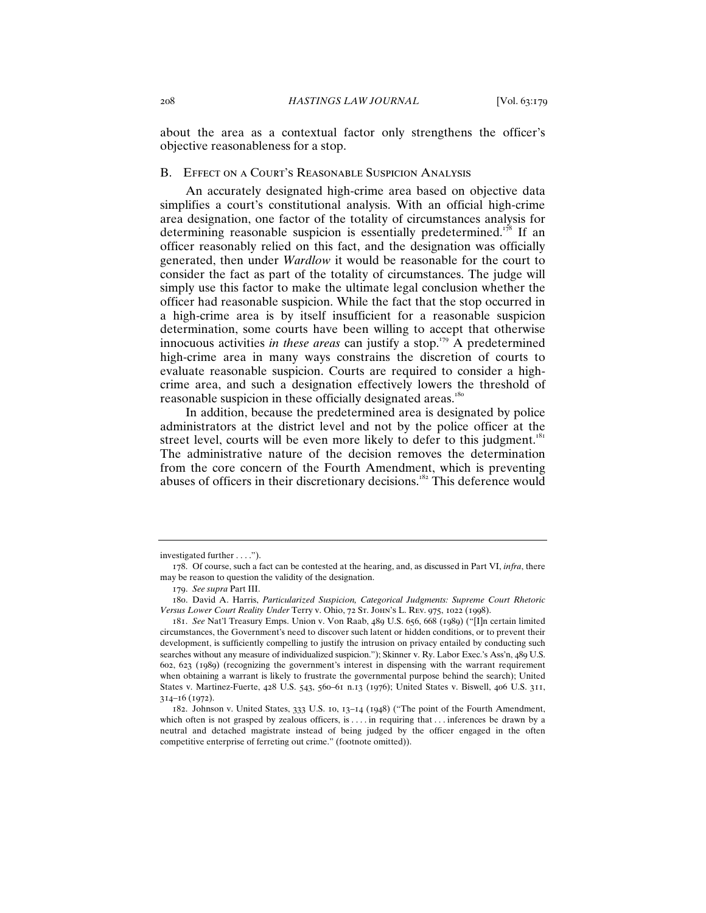about the area as a contextual factor only strengthens the officer's objective reasonableness for a stop.

#### B. Effect on a Court's Reasonable Suspicion Analysis

An accurately designated high-crime area based on objective data simplifies a court's constitutional analysis. With an official high-crime area designation, one factor of the totality of circumstances analysis for determining reasonable suspicion is essentially predetermined.<sup>178</sup> If an officer reasonably relied on this fact, and the designation was officially generated, then under *Wardlow* it would be reasonable for the court to consider the fact as part of the totality of circumstances. The judge will simply use this factor to make the ultimate legal conclusion whether the officer had reasonable suspicion. While the fact that the stop occurred in a high-crime area is by itself insufficient for a reasonable suspicion determination, some courts have been willing to accept that otherwise innocuous activities *in these areas* can justify a stop.<sup>179</sup> A predetermined high-crime area in many ways constrains the discretion of courts to evaluate reasonable suspicion. Courts are required to consider a highcrime area, and such a designation effectively lowers the threshold of reasonable suspicion in these officially designated areas.<sup>180</sup>

In addition, because the predetermined area is designated by police administrators at the district level and not by the police officer at the street level, courts will be even more likely to defer to this judgment.<sup>181</sup> The administrative nature of the decision removes the determination from the core concern of the Fourth Amendment, which is preventing abuses of officers in their discretionary decisions.<sup>182</sup> This deference would

investigated further . . . .").

<sup>178</sup>. Of course, such a fact can be contested at the hearing, and, as discussed in Part VI, *infra*, there may be reason to question the validity of the designation.

<sup>179</sup>. *See supra* Part III.

<sup>180</sup>. David A. Harris, *Particularized Suspicion, Categorical Judgments: Supreme Court Rhetoric Versus Lower Court Reality Under* Terry v. Ohio, 72 St. John's L. Rev. 975, 1022 (1998).

<sup>181</sup>. *See* Nat'l Treasury Emps. Union v. Von Raab, 489 U.S. 656, 668 (1989) ("[I]n certain limited circumstances, the Government's need to discover such latent or hidden conditions, or to prevent their development, is sufficiently compelling to justify the intrusion on privacy entailed by conducting such searches without any measure of individualized suspicion."); Skinner v. Ry. Labor Exec.'s Ass'n, 489 U.S. 602, 623 (1989) (recognizing the government's interest in dispensing with the warrant requirement when obtaining a warrant is likely to frustrate the governmental purpose behind the search); United States v. Martinez-Fuerte, 428 U.S. 543, 560–61 n.13 (1976); United States v. Biswell, 406 U.S. 311, 314–16 (1972).

<sup>182</sup>. Johnson v. United States, 333 U.S. 10, 13–14 (1948) ("The point of the Fourth Amendment, which often is not grasped by zealous officers, is . . . . in requiring that . . . inferences be drawn by a neutral and detached magistrate instead of being judged by the officer engaged in the often competitive enterprise of ferreting out crime." (footnote omitted)).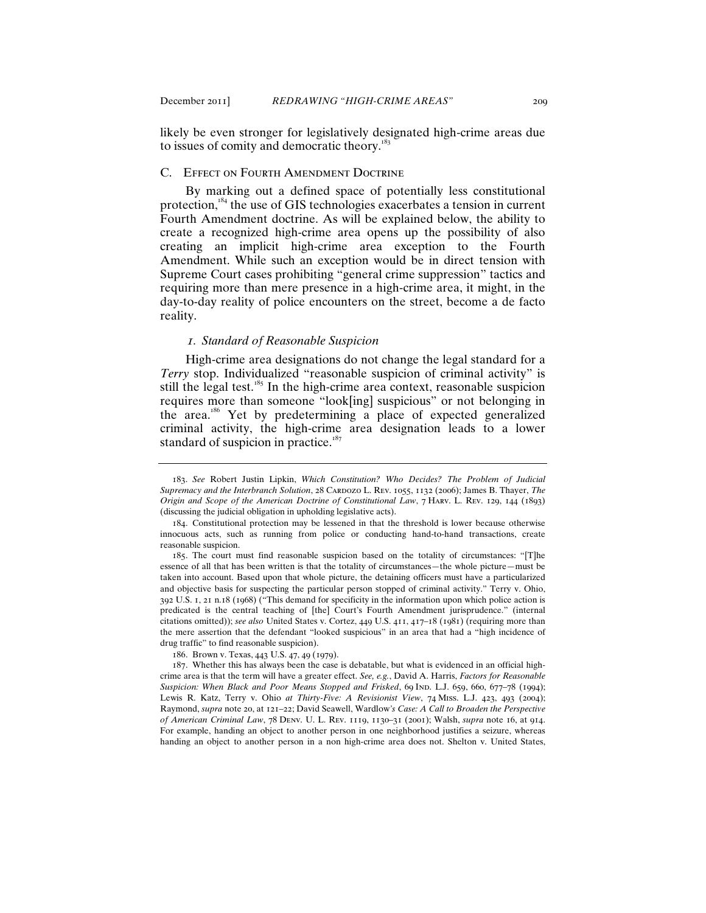likely be even stronger for legislatively designated high-crime areas due to issues of comity and democratic theory.<sup>18</sup>

#### C. Effect on Fourth Amendment Doctrine

By marking out a defined space of potentially less constitutional protection,<sup>184</sup> the use of GIS technologies exacerbates a tension in current Fourth Amendment doctrine. As will be explained below, the ability to create a recognized high-crime area opens up the possibility of also creating an implicit high-crime area exception to the Fourth Amendment. While such an exception would be in direct tension with Supreme Court cases prohibiting "general crime suppression" tactics and requiring more than mere presence in a high-crime area, it might, in the day-to-day reality of police encounters on the street, become a de facto reality.

## *1. Standard of Reasonable Suspicion*

High-crime area designations do not change the legal standard for a *Terry* stop. Individualized "reasonable suspicion of criminal activity" is still the legal test.<sup>185</sup> In the high-crime area context, reasonable suspicion requires more than someone "look[ing] suspicious" or not belonging in the area.<sup>186</sup> Yet by predetermining a place of expected generalized criminal activity, the high-crime area designation leads to a lower standard of suspicion in practice.<sup>187</sup>

186. Brown v. Texas, 443 U.S. 47, 49 (1979).

<sup>183</sup>. *See* Robert Justin Lipkin, *Which Constitution? Who Decides? The Problem of Judicial Supremacy and the Interbranch Solution*, 28 CARDOZO L. REV. 1055, 1132 (2006); James B. Thayer, *The Origin and Scope of the American Doctrine of Constitutional Law*, 7 Harv. L. Rev. 129, 144 (1893) (discussing the judicial obligation in upholding legislative acts).

<sup>184</sup>. Constitutional protection may be lessened in that the threshold is lower because otherwise innocuous acts, such as running from police or conducting hand-to-hand transactions, create reasonable suspicion.

<sup>185</sup>. The court must find reasonable suspicion based on the totality of circumstances: "[T]he essence of all that has been written is that the totality of circumstances—the whole picture—must be taken into account. Based upon that whole picture, the detaining officers must have a particularized and objective basis for suspecting the particular person stopped of criminal activity." Terry v. Ohio, 392 U.S. 1, 21 n.18 (1968) ("This demand for specificity in the information upon which police action is predicated is the central teaching of [the] Court's Fourth Amendment jurisprudence." (internal citations omitted)); *see also* United States v. Cortez, 449 U.S. 411, 417–18 (1981) (requiring more than the mere assertion that the defendant "looked suspicious" in an area that had a "high incidence of drug traffic" to find reasonable suspicion).

<sup>187</sup>. Whether this has always been the case is debatable, but what is evidenced in an official highcrime area is that the term will have a greater effect. *See, e.g.*, David A. Harris, *Factors for Reasonable*  Suspicion: When Black and Poor Means Stopped and Frisked, 69 Ind. L.J. 659, 660, 677-78 (1994); Lewis R. Katz, Terry v. Ohio *at Thirty-Five: A Revisionist View*, 74 Miss. L.J. 423, 493 (2004); Raymond, *supra* note 20, at 121–22; David Seawell, Wardlow*'s Case: A Call to Broaden the Perspective of American Criminal Law*, 78 Denv. U. L. Rev. 1119, 1130–31 (2001); Walsh, *supra* note 16, at 914. For example, handing an object to another person in one neighborhood justifies a seizure, whereas handing an object to another person in a non high-crime area does not. Shelton v. United States,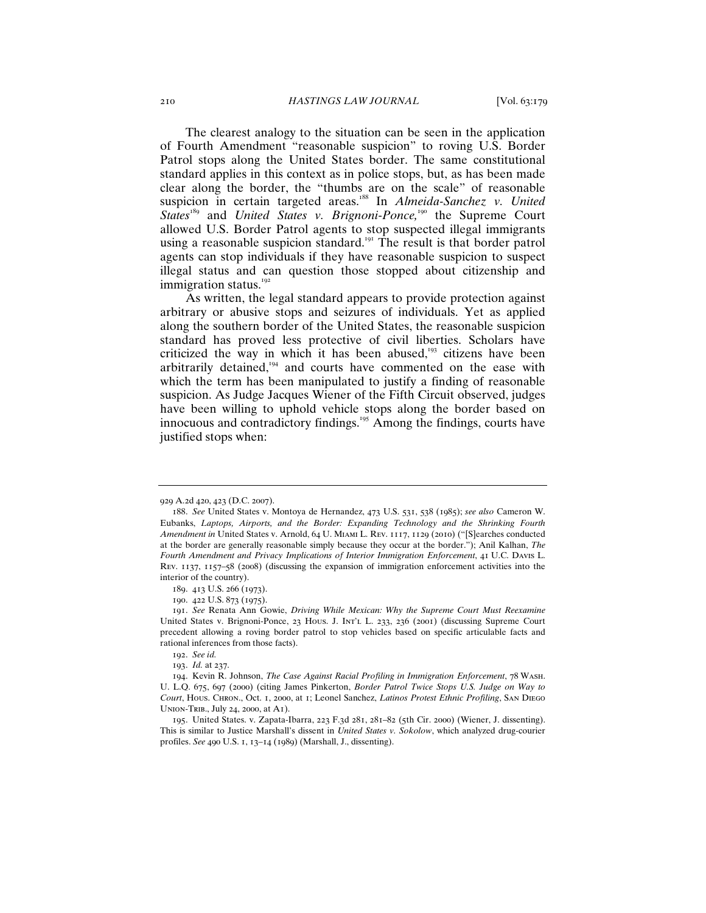The clearest analogy to the situation can be seen in the application of Fourth Amendment "reasonable suspicion" to roving U.S. Border Patrol stops along the United States border. The same constitutional standard applies in this context as in police stops, but, as has been made clear along the border, the "thumbs are on the scale" of reasonable suspicion in certain targeted areas.<sup>188</sup> In *Almeida-Sanchez v. United States*<sup>189</sup> and *United States v. Brignoni*-*Ponce,*<sup>190</sup> the Supreme Court allowed U.S. Border Patrol agents to stop suspected illegal immigrants using a reasonable suspicion standard.<sup>191</sup> The result is that border patrol agents can stop individuals if they have reasonable suspicion to suspect illegal status and can question those stopped about citizenship and immigration status.<sup>192</sup>

As written, the legal standard appears to provide protection against arbitrary or abusive stops and seizures of individuals. Yet as applied along the southern border of the United States, the reasonable suspicion standard has proved less protective of civil liberties. Scholars have criticized the way in which it has been abused, $193$  citizens have been arbitrarily detained,<sup>194</sup> and courts have commented on the ease with which the term has been manipulated to justify a finding of reasonable suspicion. As Judge Jacques Wiener of the Fifth Circuit observed, judges have been willing to uphold vehicle stops along the border based on innocuous and contradictory findings.<sup>195</sup> Among the findings, courts have justified stops when:

<sup>929</sup> A.2d 420, 423 (D.C. 2007).

<sup>188</sup>. *See* United States v. Montoya de Hernandez, 473 U.S. 531, 538 (1985); *see also* Cameron W. Eubanks, *Laptops, Airports, and the Border: Expanding Technology and the Shrinking Fourth Amendment in* United States v. Arnold, 64 U. Miami L. Rev. 1117, 1129 (2010) ("[S]earches conducted at the border are generally reasonable simply because they occur at the border."); Anil Kalhan, *The Fourth Amendment and Privacy Implications of Interior Immigration Enforcement*, 41 U.C. Davis L. Rev. 1137, 1157–58 (2008) (discussing the expansion of immigration enforcement activities into the interior of the country).

<sup>189</sup>. 413 U.S. 266 (1973).

<sup>190</sup>. 422 U.S. 873 (1975).

<sup>191</sup>. *See* Renata Ann Gowie, *Driving While Mexican: Why the Supreme Court Must Reexamine*  United States v. Brignoni-Ponce, 23 Hous. J. Int'l L. 233, 236 (2001) (discussing Supreme Court precedent allowing a roving border patrol to stop vehicles based on specific articulable facts and rational inferences from those facts).

<sup>192</sup>. *See id.*

<sup>193</sup>. *Id.* at 237.

<sup>194</sup>. Kevin R. Johnson, *The Case Against Racial Profiling in Immigration Enforcement*, 78 Wash. U. L.Q. 675, 697 (2000) (citing James Pinkerton, *Border Patrol Twice Stops U.S. Judge on Way to Court*, Hous. Chron., Oct. 1, 2000, at 1; Leonel Sanchez, *Latinos Protest Ethnic Profiling*, San Diego Union-Trib., July 24, 2000, at A1).

<sup>195</sup>. United States. v. Zapata-Ibarra, 223 F.3d 281, 281–82 (5th Cir. 2000) (Wiener, J. dissenting). This is similar to Justice Marshall's dissent in *United States v. Sokolow*, which analyzed drug-courier profiles. *See* 490 U.S. 1, 13–14 (1989) (Marshall, J., dissenting).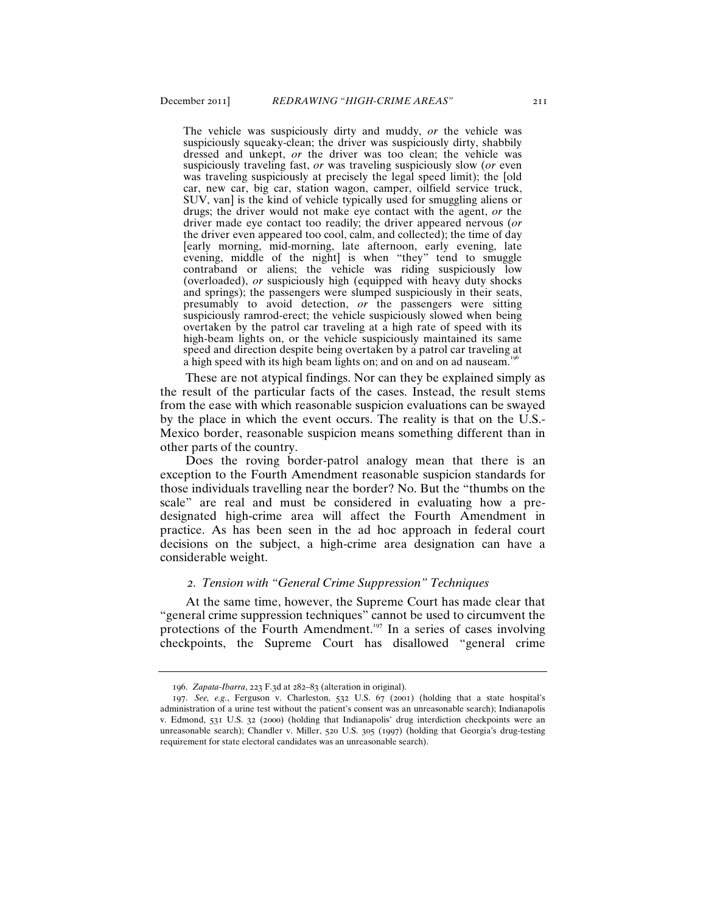The vehicle was suspiciously dirty and muddy, *or* the vehicle was suspiciously squeaky-clean; the driver was suspiciously dirty, shabbily dressed and unkept, *or* the driver was too clean; the vehicle was suspiciously traveling fast, *or* was traveling suspiciously slow (*or* even was traveling suspiciously at precisely the legal speed limit); the [old car, new car, big car, station wagon, camper, oilfield service truck, SUV, van] is the kind of vehicle typically used for smuggling aliens or drugs; the driver would not make eye contact with the agent, *or* the driver made eye contact too readily; the driver appeared nervous (*or* the driver even appeared too cool, calm, and collected); the time of day [early morning, mid-morning, late afternoon, early evening, late evening, middle of the night] is when "they" tend to smuggle contraband or aliens; the vehicle was riding suspiciously low (overloaded), *or* suspiciously high (equipped with heavy duty shocks and springs); the passengers were slumped suspiciously in their seats, presumably to avoid detection, *or* the passengers were sitting suspiciously ramrod-erect; the vehicle suspiciously slowed when being overtaken by the patrol car traveling at a high rate of speed with its high-beam lights on, or the vehicle suspiciously maintained its same speed and direction despite being overtaken by a patrol car traveling at a high speed with its high beam lights on; and on and on ad nauseam.<sup>19</sup>

These are not atypical findings. Nor can they be explained simply as the result of the particular facts of the cases. Instead, the result stems from the ease with which reasonable suspicion evaluations can be swayed by the place in which the event occurs. The reality is that on the U.S.- Mexico border, reasonable suspicion means something different than in other parts of the country.

Does the roving border-patrol analogy mean that there is an exception to the Fourth Amendment reasonable suspicion standards for those individuals travelling near the border? No. But the "thumbs on the scale" are real and must be considered in evaluating how a predesignated high-crime area will affect the Fourth Amendment in practice. As has been seen in the ad hoc approach in federal court decisions on the subject, a high-crime area designation can have a considerable weight.

## *2. Tension with "General Crime Suppression" Techniques*

At the same time, however, the Supreme Court has made clear that "general crime suppression techniques" cannot be used to circumvent the protections of the Fourth Amendment.<sup>197</sup> In a series of cases involving checkpoints, the Supreme Court has disallowed "general crime

<sup>196</sup>. *Zapata-Ibarra*, 223 F.3d at 282–83 (alteration in original).

<sup>197</sup>. *See, e.g.*, Ferguson v. Charleston, 532 U.S. 67 (2001) (holding that a state hospital's administration of a urine test without the patient's consent was an unreasonable search); Indianapolis v. Edmond, 531 U.S. 32 (2000) (holding that Indianapolis' drug interdiction checkpoints were an unreasonable search); Chandler v. Miller, 520 U.S. 305 (1997) (holding that Georgia's drug-testing requirement for state electoral candidates was an unreasonable search).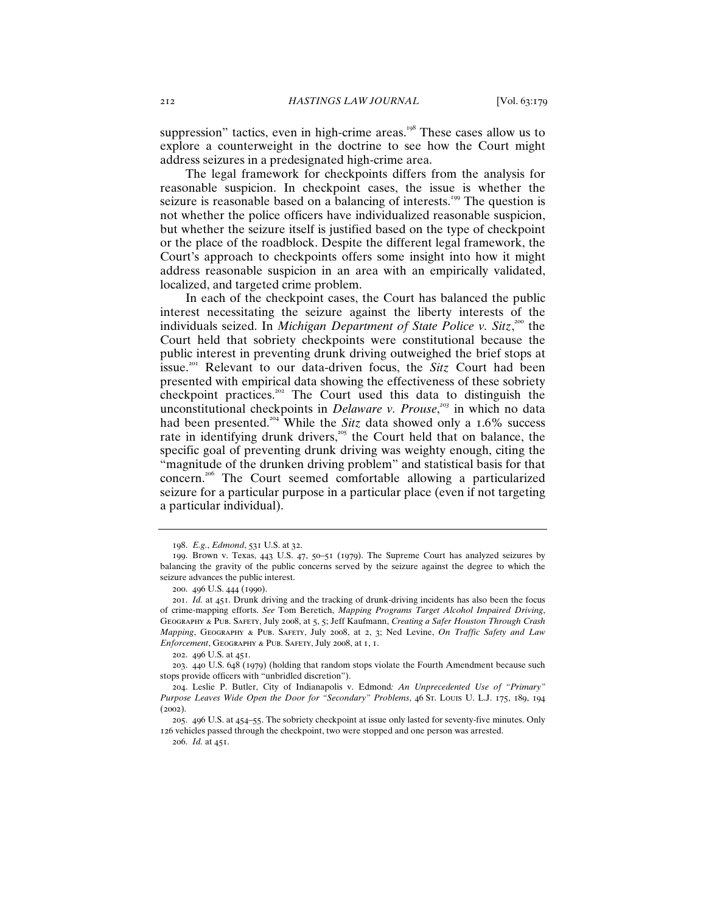suppression" tactics, even in high-crime areas.<sup>198</sup> These cases allow us to explore a counterweight in the doctrine to see how the Court might address seizures in a predesignated high-crime area.

The legal framework for checkpoints differs from the analysis for reasonable suspicion. In checkpoint cases, the issue is whether the seizure is reasonable based on a balancing of interests.<sup>199</sup> The question is not whether the police officers have individualized reasonable suspicion, but whether the seizure itself is justified based on the type of checkpoint or the place of the roadblock. Despite the different legal framework, the Court's approach to checkpoints offers some insight into how it might address reasonable suspicion in an area with an empirically validated, localized, and targeted crime problem.

In each of the checkpoint cases, the Court has balanced the public interest necessitating the seizure against the liberty interests of the individuals seized. In *Michigan Department of State Police v. Sitz*,<sup>200</sup> the Court held that sobriety checkpoints were constitutional because the public interest in preventing drunk driving outweighed the brief stops at issue.<sup>201</sup> Relevant to our data-driven focus, the *Sitz* Court had been presented with empirical data showing the effectiveness of these sobriety checkpoint practices.<sup>202</sup> The Court used this data to distinguish the unconstitutional checkpoints in *Delaware v. Prouse*, *<sup>203</sup>* in which no data had been presented.<sup>204</sup> While the *Sitz* data showed only a 1.6% success rate in identifying drunk drivers, $205$  the Court held that on balance, the specific goal of preventing drunk driving was weighty enough, citing the "magnitude of the drunken driving problem" and statistical basis for that concern. <sup>206</sup> The Court seemed comfortable allowing a particularized seizure for a particular purpose in a particular place (even if not targeting a particular individual).

<sup>198</sup>. *E.g.*, *Edmond*, 531 U.S. at 32.

<sup>199</sup>. Brown v. Texas, 443 U.S. 47, 50–51 (1979). The Supreme Court has analyzed seizures by balancing the gravity of the public concerns served by the seizure against the degree to which the seizure advances the public interest.

<sup>200</sup>. 496 U.S. 444 (1990).

<sup>201</sup>. *Id.* at 451. Drunk driving and the tracking of drunk-driving incidents has also been the focus of crime-mapping efforts. *See* Tom Beretich, *Mapping Programs Target Alcohol Impaired Driving*, Geography & Pub. Safety, July 2008, at 5, 5; Jeff Kaufmann, *Creating a Safer Houston Through Crash Mapping*, Geography & Pub. Safety, July 2008, at 2, 3; Ned Levine, *On Traffic Safety and Law Enforcement*, Geography & Pub. Safety, July 2008, at 1, 1.

<sup>202</sup>. 496 U.S. at 451.

<sup>203</sup>. 440 U.S. 648 (1979) (holding that random stops violate the Fourth Amendment because such stops provide officers with "unbridled discretion").

<sup>204</sup>. Leslie P. Butler, City of Indianapolis v. Edmond*: An Unprecedented Use of "Primary" Purpose Leaves Wide Open the Door for "Secondary" Problems*, 46 St. Louis U. L.J. 175, 189, 194 (2002).

<sup>205</sup>. 496 U.S. at 454–55. The sobriety checkpoint at issue only lasted for seventy-five minutes. Only 126 vehicles passed through the checkpoint, two were stopped and one person was arrested.

<sup>206</sup>. *Id.* at 451.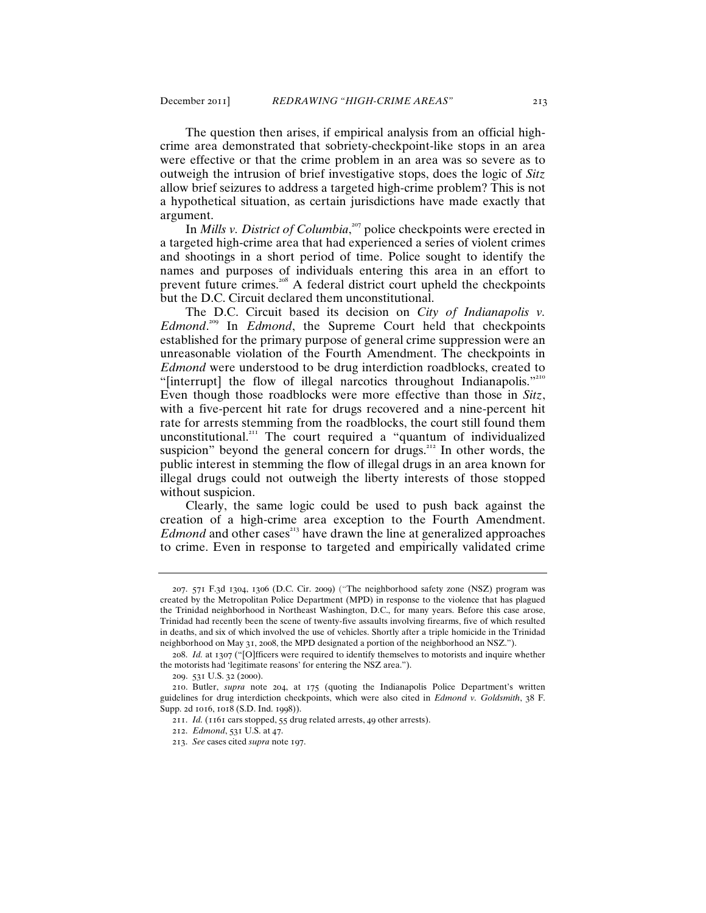The question then arises, if empirical analysis from an official highcrime area demonstrated that sobriety-checkpoint-like stops in an area were effective or that the crime problem in an area was so severe as to outweigh the intrusion of brief investigative stops, does the logic of *Sitz* allow brief seizures to address a targeted high-crime problem? This is not a hypothetical situation, as certain jurisdictions have made exactly that argument.

In *Mills v. District of Columbia*,<sup>207</sup> police checkpoints were erected in a targeted high-crime area that had experienced a series of violent crimes and shootings in a short period of time. Police sought to identify the names and purposes of individuals entering this area in an effort to prevent future crimes.<sup>208</sup> A federal district court upheld the checkpoints but the D.C. Circuit declared them unconstitutional.

The D.C. Circuit based its decision on *City of Indianapolis v. Edmond*. <sup>209</sup> In *Edmond*, the Supreme Court held that checkpoints established for the primary purpose of general crime suppression were an unreasonable violation of the Fourth Amendment. The checkpoints in *Edmond* were understood to be drug interdiction roadblocks, created to "[interrupt] the flow of illegal narcotics throughout Indianapolis."<sup>210</sup> Even though those roadblocks were more effective than those in *Sitz*, with a five-percent hit rate for drugs recovered and a nine-percent hit rate for arrests stemming from the roadblocks, the court still found them unconstitutional.<sup>211</sup> The court required a "quantum of individualized suspicion" beyond the general concern for drugs.<sup>212</sup> In other words, the public interest in stemming the flow of illegal drugs in an area known for illegal drugs could not outweigh the liberty interests of those stopped without suspicion.

Clearly, the same logic could be used to push back against the creation of a high-crime area exception to the Fourth Amendment. *Edmond* and other cases<sup>213</sup> have drawn the line at generalized approaches to crime. Even in response to targeted and empirically validated crime

<sup>207</sup>. 571 F.3d 1304, 1306 (D.C. Cir. 2009) ("The neighborhood safety zone (NSZ) program was created by the Metropolitan Police Department (MPD) in response to the violence that has plagued the Trinidad neighborhood in Northeast Washington, D.C., for many years. Before this case arose, Trinidad had recently been the scene of twenty-five assaults involving firearms, five of which resulted in deaths, and six of which involved the use of vehicles. Shortly after a triple homicide in the Trinidad neighborhood on May 31, 2008, the MPD designated a portion of the neighborhood an NSZ.").

<sup>208</sup>. *Id.* at 1307 ("[O]fficers were required to identify themselves to motorists and inquire whether the motorists had 'legitimate reasons' for entering the NSZ area.").

<sup>209</sup>. 531 U.S. 32 (2000).

<sup>210</sup>. Butler, *supra* note 204, at 175 (quoting the Indianapolis Police Department's written guidelines for drug interdiction checkpoints, which were also cited in *Edmond v. Goldsmith*, 38 F. Supp. 2d 1016, 1018 (S.D. Ind. 1998)).

<sup>211</sup>. *Id.* (1161 cars stopped, 55 drug related arrests, 49 other arrests).

<sup>212</sup>. *Edmond*, 531 U.S. at 47.

<sup>213</sup>. *See* cases cited *supra* note 197.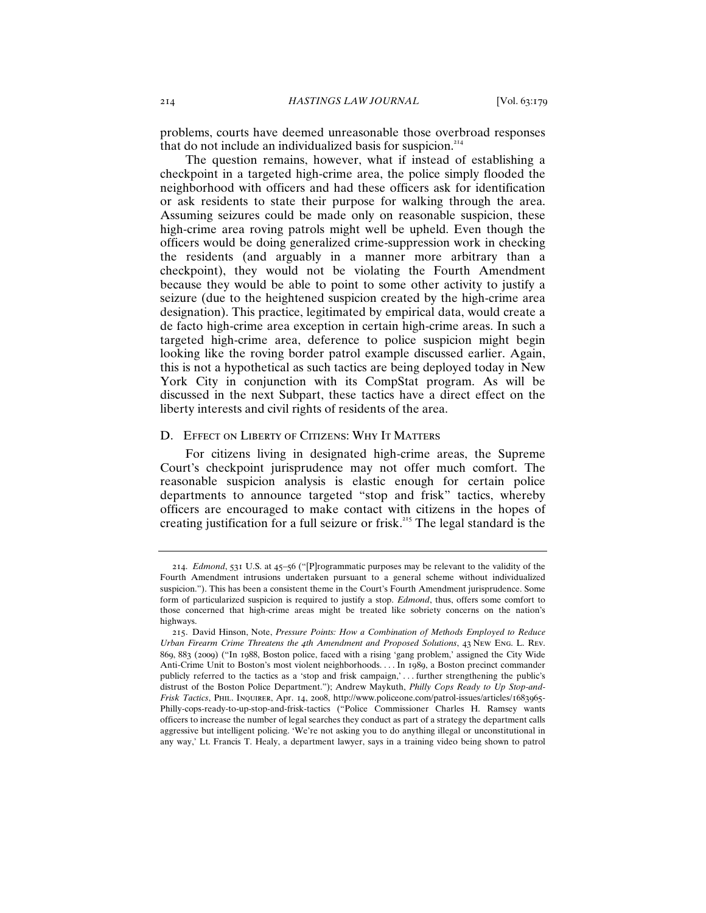problems, courts have deemed unreasonable those overbroad responses that do not include an individualized basis for suspicion.<sup>214</sup>

The question remains, however, what if instead of establishing a checkpoint in a targeted high-crime area, the police simply flooded the neighborhood with officers and had these officers ask for identification or ask residents to state their purpose for walking through the area. Assuming seizures could be made only on reasonable suspicion, these high-crime area roving patrols might well be upheld. Even though the officers would be doing generalized crime-suppression work in checking the residents (and arguably in a manner more arbitrary than a checkpoint), they would not be violating the Fourth Amendment because they would be able to point to some other activity to justify a seizure (due to the heightened suspicion created by the high-crime area designation). This practice, legitimated by empirical data, would create a de facto high-crime area exception in certain high-crime areas. In such a targeted high-crime area, deference to police suspicion might begin looking like the roving border patrol example discussed earlier. Again, this is not a hypothetical as such tactics are being deployed today in New York City in conjunction with its CompStat program. As will be discussed in the next Subpart, these tactics have a direct effect on the liberty interests and civil rights of residents of the area.

#### D. EFFECT ON LIBERTY OF CITIZENS: WHY IT MATTERS

For citizens living in designated high-crime areas, the Supreme Court's checkpoint jurisprudence may not offer much comfort. The reasonable suspicion analysis is elastic enough for certain police departments to announce targeted "stop and frisk" tactics, whereby officers are encouraged to make contact with citizens in the hopes of creating justification for a full seizure or frisk.<sup>215</sup> The legal standard is the

<sup>214</sup>. *Edmond*, 531 U.S. at 45–56 ("[P]rogrammatic purposes may be relevant to the validity of the Fourth Amendment intrusions undertaken pursuant to a general scheme without individualized suspicion."). This has been a consistent theme in the Court's Fourth Amendment jurisprudence. Some form of particularized suspicion is required to justify a stop. *Edmond*, thus, offers some comfort to those concerned that high-crime areas might be treated like sobriety concerns on the nation's highways.

<sup>215</sup>. David Hinson, Note, *Pressure Points: How a Combination of Methods Employed to Reduce Urban Firearm Crime Threatens the 4th Amendment and Proposed Solutions*, 43 New Eng. L. Rev. 869, 883 (2009) ("In 1988, Boston police, faced with a rising 'gang problem,' assigned the City Wide Anti-Crime Unit to Boston's most violent neighborhoods. . . . In 1989, a Boston precinct commander publicly referred to the tactics as a 'stop and frisk campaign,' . . . further strengthening the public's distrust of the Boston Police Department."); Andrew Maykuth, *Philly Cops Ready to Up Stop-and-Frisk Tactics*, Phil. Inquirer, Apr. 14, 2008, http://www.policeone.com/patrol-issues/articles/1683965- Philly-cops-ready-to-up-stop-and-frisk-tactics ("Police Commissioner Charles H. Ramsey wants officers to increase the number of legal searches they conduct as part of a strategy the department calls aggressive but intelligent policing. 'We're not asking you to do anything illegal or unconstitutional in any way,' Lt. Francis T. Healy, a department lawyer, says in a training video being shown to patrol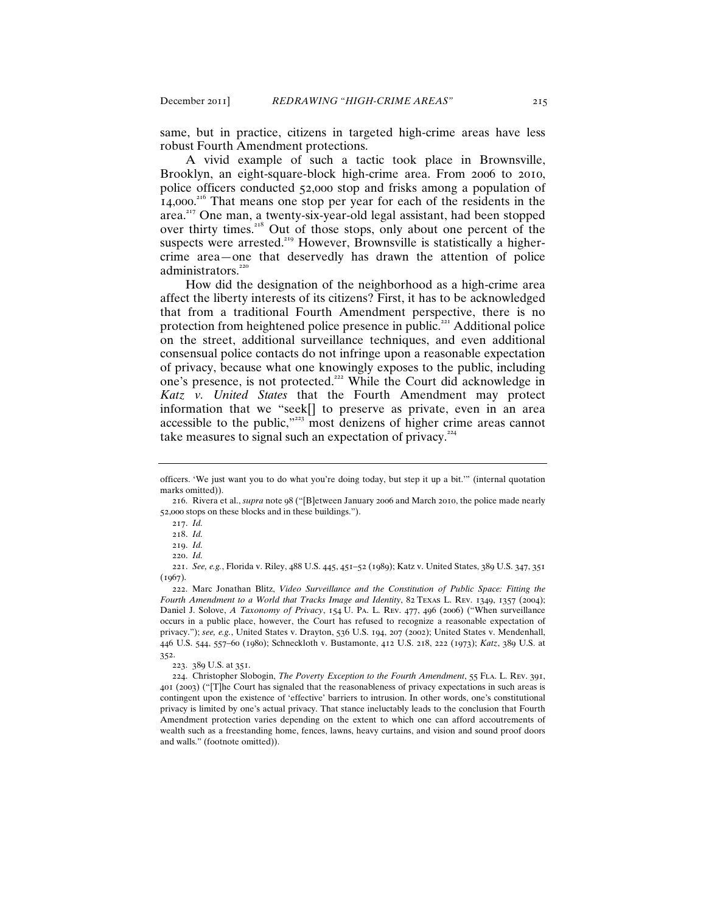same, but in practice, citizens in targeted high-crime areas have less robust Fourth Amendment protections.

A vivid example of such a tactic took place in Brownsville, Brooklyn, an eight-square-block high-crime area. From 2006 to 2010, police officers conducted 52,000 stop and frisks among a population of 14,000.<sup>216</sup> That means one stop per year for each of the residents in the area.<sup>217</sup> One man, a twenty-six-year-old legal assistant, had been stopped over thirty times.<sup>218</sup> Out of those stops, only about one percent of the suspects were arrested.<sup>219</sup> However, Brownsville is statistically a highercrime area—one that deservedly has drawn the attention of police administrators.<sup>220</sup>

How did the designation of the neighborhood as a high-crime area affect the liberty interests of its citizens? First, it has to be acknowledged that from a traditional Fourth Amendment perspective, there is no protection from heightened police presence in public.<sup>221</sup> Additional police on the street, additional surveillance techniques, and even additional consensual police contacts do not infringe upon a reasonable expectation of privacy, because what one knowingly exposes to the public, including one's presence, is not protected.<sup>222</sup> While the Court did acknowledge in *Katz v. United States* that the Fourth Amendment may protect information that we "seek[] to preserve as private, even in an area accessible to the public,"<sup>223</sup> most denizens of higher crime areas cannot take measures to signal such an expectation of privacy.<sup>224</sup>

223. 389 U.S. at 351.

officers. 'We just want you to do what you're doing today, but step it up a bit.'" (internal quotation marks omitted)).

<sup>216</sup>. Rivera et al., *supra* note 98 ("[B]etween January 2006 and March 2010, the police made nearly 52,000 stops on these blocks and in these buildings.").

<sup>217</sup>. *Id.*

<sup>218</sup>. *Id.*

<sup>219</sup>. *Id.*

<sup>220</sup>. *Id.*

<sup>221</sup>. *See, e.g.*, Florida v. Riley, 488 U.S. 445, 451–52 (1989); Katz v. United States, 389 U.S. 347, 351  $(1967)$ .

<sup>222</sup>. Marc Jonathan Blitz, *Video Surveillance and the Constitution of Public Space: Fitting the Fourth Amendment to a World that Tracks Image and Identity*, 82 Texas L. Rev. 1349, 1357 (2004); Daniel J. Solove, *A Taxonomy of Privacy*, 154 U. Pa. L. Rev. 477, 496 (2006) ("When surveillance occurs in a public place, however, the Court has refused to recognize a reasonable expectation of privacy."); *see, e.g.*, United States v. Drayton, 536 U.S. 194, 207 (2002); United States v. Mendenhall, 446 U.S. 544, 557–60 (1980); Schneckloth v. Bustamonte, 412 U.S. 218, 222 (1973); *Katz*, 389 U.S. at 352.

<sup>224</sup>. Christopher Slobogin, *The Poverty Exception to the Fourth Amendment*, 55 Fla. L. Rev. 391, 401 (2003) ("[T]he Court has signaled that the reasonableness of privacy expectations in such areas is contingent upon the existence of 'effective' barriers to intrusion. In other words, one's constitutional privacy is limited by one's actual privacy. That stance ineluctably leads to the conclusion that Fourth Amendment protection varies depending on the extent to which one can afford accoutrements of wealth such as a freestanding home, fences, lawns, heavy curtains, and vision and sound proof doors and walls." (footnote omitted)).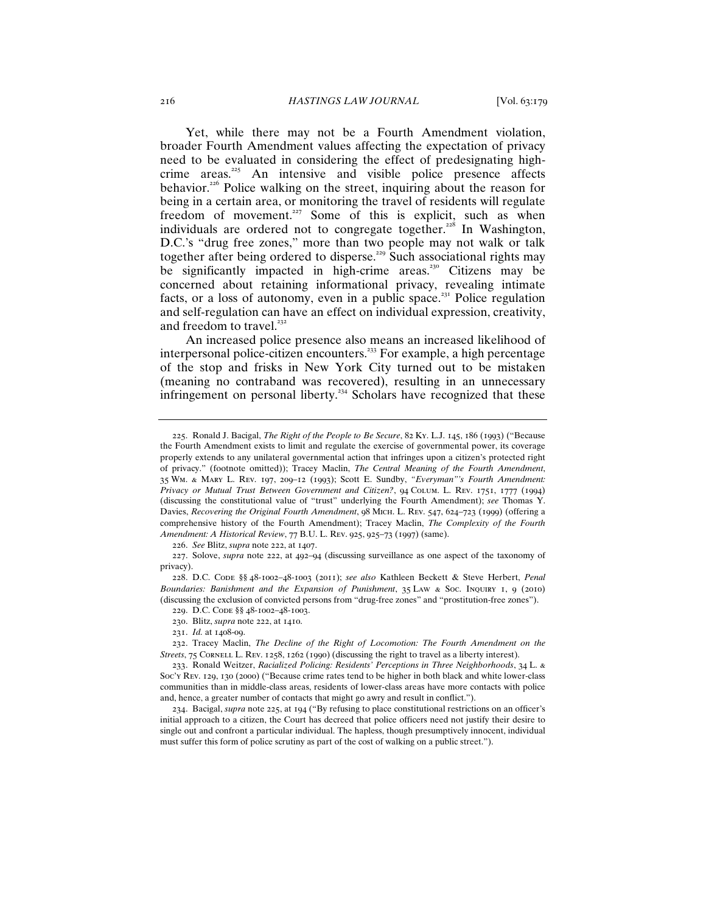Yet, while there may not be a Fourth Amendment violation, broader Fourth Amendment values affecting the expectation of privacy need to be evaluated in considering the effect of predesignating highcrime areas.<sup>225</sup> An intensive and visible police presence affects behavior.<sup>226</sup> Police walking on the street, inquiring about the reason for being in a certain area, or monitoring the travel of residents will regulate freedom of movement.<sup>227</sup> Some of this is explicit, such as when individuals are ordered not to congregate together.<sup>228</sup> In Washington, D.C.'s "drug free zones," more than two people may not walk or talk together after being ordered to disperse.<sup>229</sup> Such associational rights may be significantly impacted in high-crime areas.<sup>230</sup> Citizens may be concerned about retaining informational privacy, revealing intimate facts, or a loss of autonomy, even in a public space.<sup>231</sup> Police regulation and self-regulation can have an effect on individual expression, creativity, and freedom to travel. $^{232}$ 

An increased police presence also means an increased likelihood of interpersonal police-citizen encounters.<sup>233</sup> For example, a high percentage of the stop and frisks in New York City turned out to be mistaken (meaning no contraband was recovered), resulting in an unnecessary infringement on personal liberty.<sup>234</sup> Scholars have recognized that these

226. *See* Blitz, *supra* note 222, at 1407.

230. Blitz, *supra* note 222, at 1410.

<sup>225</sup>. Ronald J. Bacigal, *The Right of the People to Be Secure*, 82 Ky. L.J. 145, 186 (1993) ("Because the Fourth Amendment exists to limit and regulate the exercise of governmental power, its coverage properly extends to any unilateral governmental action that infringes upon a citizen's protected right of privacy." (footnote omitted)); Tracey Maclin, *The Central Meaning of the Fourth Amendment*, 35 Wm. & Mary L. Rev. 197, 209–12 (1993); Scott E. Sundby, *"Everyman"'s Fourth Amendment: Privacy or Mutual Trust Between Government and Citizen?*, 94 Colum. L. Rev. 1751, 1777 (1994) (discussing the constitutional value of "trust" underlying the Fourth Amendment); *see* Thomas Y. Davies, *Recovering the Original Fourth Amendment*, 98 Mich. L. Rev. 547, 624–723 (1999) (offering a comprehensive history of the Fourth Amendment); Tracey Maclin, *The Complexity of the Fourth Amendment: A Historical Review*, 77 B.U. L. Rev. 925, 925–73 (1997) (same).

<sup>227</sup>. Solove, *supra* note 222, at 492–94 (discussing surveillance as one aspect of the taxonomy of privacy).

<sup>228</sup>. D.C. Code §§ 48-1002–48-1003 (2011); *see also* Kathleen Beckett & Steve Herbert, *Penal Boundaries: Banishment and the Expansion of Punishment*, 35 Law & Soc. Inquiry 1, 9 (2010) (discussing the exclusion of convicted persons from "drug-free zones" and "prostitution-free zones").

<sup>229</sup>. D.C. Code §§ 48-1002–48-1003.

<sup>231</sup>. *Id.* at 1408-09.

<sup>232</sup>. Tracey Maclin, *The Decline of the Right of Locomotion: The Fourth Amendment on the Streets*, 75 CORNELL L. REV. 1258, 1262 (1990) (discussing the right to travel as a liberty interest).

<sup>233</sup>. Ronald Weitzer, *Racialized Policing: Residents' Perceptions in Three Neighborhoods*, 34 L. & Soc'y Rev. 129, 130 (2000) ("Because crime rates tend to be higher in both black and white lower-class communities than in middle-class areas, residents of lower-class areas have more contacts with police and, hence, a greater number of contacts that might go awry and result in conflict.").

<sup>234</sup>. Bacigal, *supra* note 225, at 194 ("By refusing to place constitutional restrictions on an officer's initial approach to a citizen, the Court has decreed that police officers need not justify their desire to single out and confront a particular individual. The hapless, though presumptively innocent, individual must suffer this form of police scrutiny as part of the cost of walking on a public street.").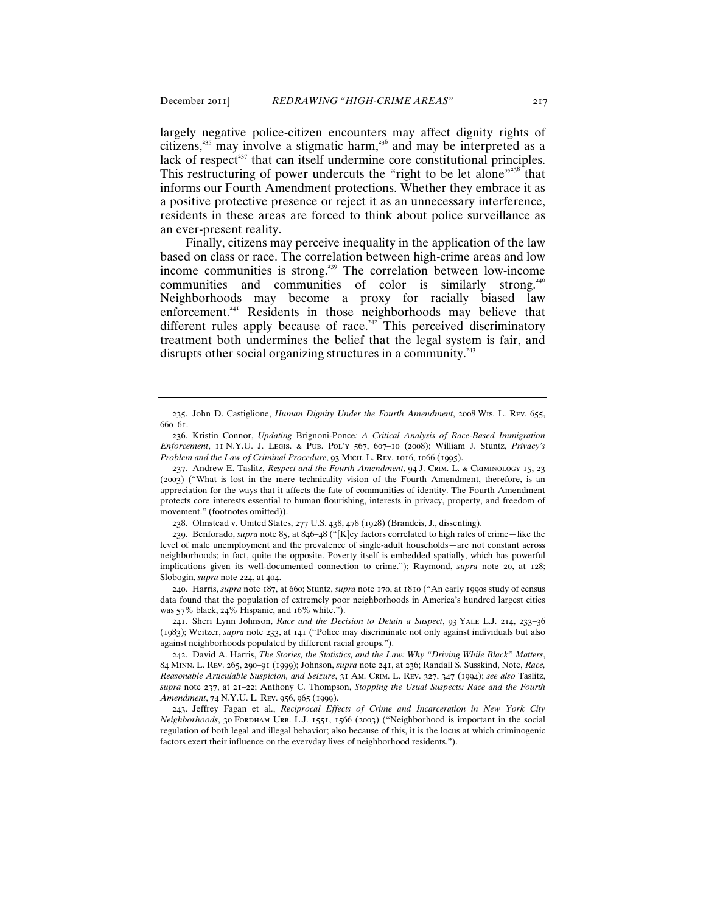largely negative police-citizen encounters may affect dignity rights of citizens,<sup>235</sup> may involve a stigmatic harm,<sup>236</sup> and may be interpreted as a lack of respect<sup> $237$ </sup> that can itself undermine core constitutional principles. This restructuring of power undercuts the "right to be let alone"<sup>238</sup> that informs our Fourth Amendment protections. Whether they embrace it as a positive protective presence or reject it as an unnecessary interference, residents in these areas are forced to think about police surveillance as an ever-present reality.

Finally, citizens may perceive inequality in the application of the law based on class or race. The correlation between high-crime areas and low income communities is strong.<sup>239</sup> The correlation between low-income communities and communities of color is similarly strong.<sup>240</sup> Neighborhoods may become a proxy for racially biased law enforcement.<sup>241</sup> Residents in those neighborhoods may believe that different rules apply because of race.<sup>242</sup> This perceived discriminatory treatment both undermines the belief that the legal system is fair, and disrupts other social organizing structures in a community.<sup>243</sup>

238. Olmstead v. United States, 277 U.S. 438, 478 (1928) (Brandeis, J., dissenting).

240. Harris, *supra* note 187, at 660; Stuntz, *supra* note 170, at 1810 ("An early 1990s study of census data found that the population of extremely poor neighborhoods in America's hundred largest cities was 57% black, 24% Hispanic, and 16% white.").

241. Sheri Lynn Johnson, *Race and the Decision to Detain a Suspect*, 93 Yale L.J. 214, 233–36 (1983); Weitzer, *supra* note 233, at 141 ("Police may discriminate not only against individuals but also against neighborhoods populated by different racial groups.").

<sup>235</sup>. John D. Castiglione, *Human Dignity Under the Fourth Amendment*, 2008 Wis. L. Rev. 655, 660–61.

<sup>236</sup>. Kristin Connor, *Updating* Brignoni-Ponce*: A Critical Analysis of Race-Based Immigration Enforcement*, 11 N.Y.U. J. Legis. & Pub. Pol'y 567, 607–10 (2008); William J. Stuntz, *Privacy's Problem and the Law of Criminal Procedure*, 93 Mich. L. Rev. 1016, 1066 (1995).

<sup>237</sup>. Andrew E. Taslitz, *Respect and the Fourth Amendment*, 94 J. Crim. L. & Criminology 15, 23 (2003) ("What is lost in the mere technicality vision of the Fourth Amendment, therefore, is an appreciation for the ways that it affects the fate of communities of identity. The Fourth Amendment protects core interests essential to human flourishing, interests in privacy, property, and freedom of movement." (footnotes omitted)).

<sup>239</sup>. Benforado, *supra* note 85, at 846–48 ("[K]ey factors correlated to high rates of crime—like the level of male unemployment and the prevalence of single-adult households—are not constant across neighborhoods; in fact, quite the opposite. Poverty itself is embedded spatially, which has powerful implications given its well-documented connection to crime."); Raymond, *supra* note 20, at 128; Slobogin, *supra* note 224, at 404.

<sup>242</sup>. David A. Harris, *The Stories, the Statistics, and the Law: Why "Driving While Black" Matters*, 84 Minn. L. Rev. 265, 290–91 (1999); Johnson, *supra* note 241, at 236; Randall S. Susskind, Note, *Race, Reasonable Articulable Suspicion, and Seizure*, 31 Am. Crim. L. Rev. 327, 347 (1994); *see also* Taslitz, *supra* note 237, at 21–22; Anthony C. Thompson, *Stopping the Usual Suspects: Race and the Fourth Amendment*, 74 N.Y.U. L. Rev. 956, 965 (1999).

<sup>243</sup>. Jeffrey Fagan et al., *Reciprocal Effects of Crime and Incarceration in New York City Neighborhoods*, 30 FORDHAM URB. L.J. 1551, 1566 (2003) ("Neighborhood is important in the social regulation of both legal and illegal behavior; also because of this, it is the locus at which criminogenic factors exert their influence on the everyday lives of neighborhood residents.").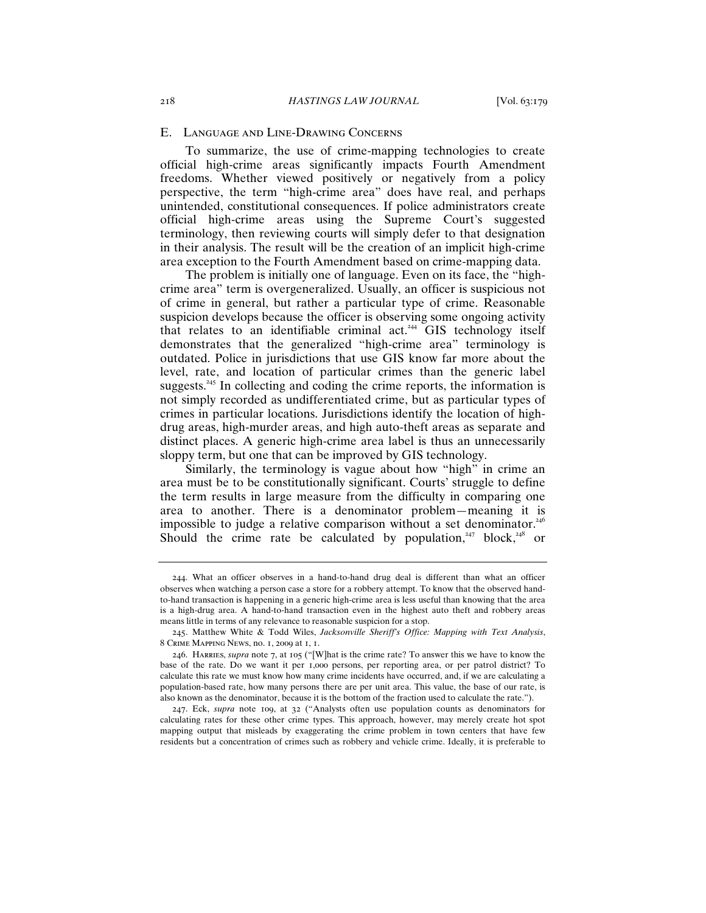## E. Language and Line-Drawing Concerns

To summarize, the use of crime-mapping technologies to create official high-crime areas significantly impacts Fourth Amendment freedoms. Whether viewed positively or negatively from a policy perspective, the term "high-crime area" does have real, and perhaps unintended, constitutional consequences. If police administrators create official high-crime areas using the Supreme Court's suggested terminology, then reviewing courts will simply defer to that designation in their analysis. The result will be the creation of an implicit high-crime area exception to the Fourth Amendment based on crime-mapping data.

The problem is initially one of language. Even on its face, the "highcrime area" term is overgeneralized. Usually, an officer is suspicious not of crime in general, but rather a particular type of crime. Reasonable suspicion develops because the officer is observing some ongoing activity that relates to an identifiable criminal act.<sup>244</sup>  $\overline{GIS}$  technology itself demonstrates that the generalized "high-crime area" terminology is outdated. Police in jurisdictions that use GIS know far more about the level, rate, and location of particular crimes than the generic label suggests.<sup>245</sup> In collecting and coding the crime reports, the information is not simply recorded as undifferentiated crime, but as particular types of crimes in particular locations. Jurisdictions identify the location of highdrug areas, high-murder areas, and high auto-theft areas as separate and distinct places. A generic high-crime area label is thus an unnecessarily sloppy term, but one that can be improved by GIS technology.

Similarly, the terminology is vague about how "high" in crime an area must be to be constitutionally significant. Courts' struggle to define the term results in large measure from the difficulty in comparing one area to another. There is a denominator problem—meaning it is impossible to judge a relative comparison without a set denominator.<sup>246</sup> Should the crime rate be calculated by population, <sup>247</sup> block, <sup>248</sup> or

<sup>244</sup>. What an officer observes in a hand-to-hand drug deal is different than what an officer observes when watching a person case a store for a robbery attempt. To know that the observed handto-hand transaction is happening in a generic high-crime area is less useful than knowing that the area is a high-drug area. A hand-to-hand transaction even in the highest auto theft and robbery areas means little in terms of any relevance to reasonable suspicion for a stop.

<sup>245</sup>. Matthew White & Todd Wiles, *Jacksonville Sheriff's Office: Mapping with Text Analysis*, 8 Crime Mapping News, no. 1, 2009 at 1, 1.

<sup>246</sup>. Harries, *supra* note 7, at 105 ("[W]hat is the crime rate? To answer this we have to know the base of the rate. Do we want it per 1,000 persons, per reporting area, or per patrol district? To calculate this rate we must know how many crime incidents have occurred, and, if we are calculating a population-based rate, how many persons there are per unit area. This value, the base of our rate, is also known as the denominator, because it is the bottom of the fraction used to calculate the rate.").

<sup>247</sup>. Eck, *supra* note 109, at 32 ("Analysts often use population counts as denominators for calculating rates for these other crime types. This approach, however, may merely create hot spot mapping output that misleads by exaggerating the crime problem in town centers that have few residents but a concentration of crimes such as robbery and vehicle crime. Ideally, it is preferable to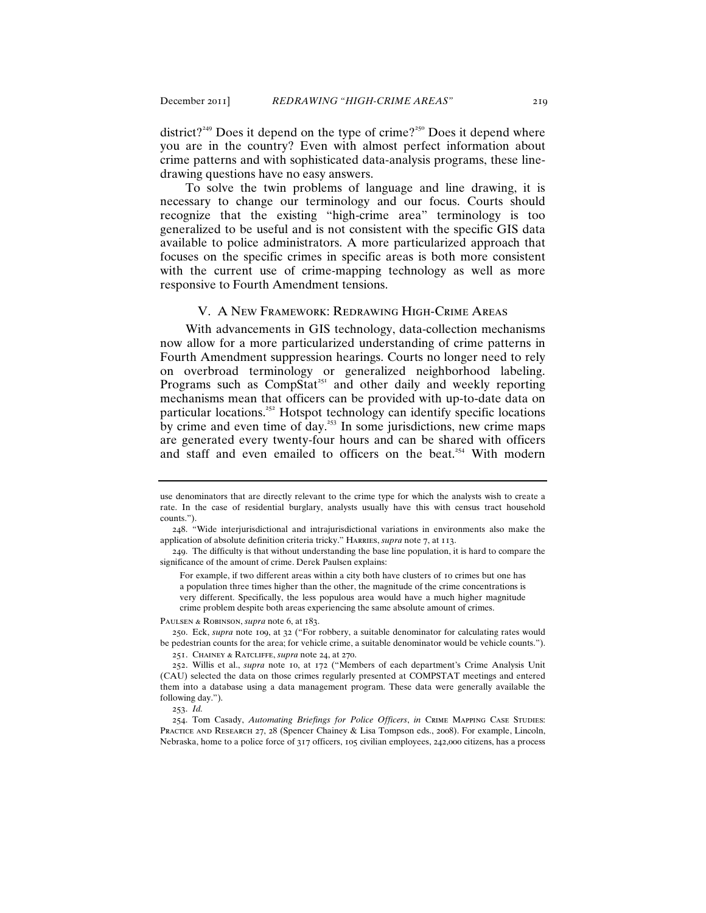district?<sup>249</sup> Does it depend on the type of crime?<sup>250</sup> Does it depend where you are in the country? Even with almost perfect information about crime patterns and with sophisticated data-analysis programs, these linedrawing questions have no easy answers.

To solve the twin problems of language and line drawing, it is necessary to change our terminology and our focus. Courts should recognize that the existing "high-crime area" terminology is too generalized to be useful and is not consistent with the specific GIS data available to police administrators. A more particularized approach that focuses on the specific crimes in specific areas is both more consistent with the current use of crime-mapping technology as well as more responsive to Fourth Amendment tensions.

## V. A New Framework: Redrawing High-Crime Areas

With advancements in GIS technology, data-collection mechanisms now allow for a more particularized understanding of crime patterns in Fourth Amendment suppression hearings. Courts no longer need to rely on overbroad terminology or generalized neighborhood labeling. Programs such as CompStat<sup>251</sup> and other daily and weekly reporting mechanisms mean that officers can be provided with up-to-date data on particular locations.<sup>252</sup> Hotspot technology can identify specific locations by crime and even time of day.<sup>253</sup> In some jurisdictions, new crime maps are generated every twenty-four hours and can be shared with officers and staff and even emailed to officers on the beat.<sup>254</sup> With modern

Paulsen & Robinson, *supra* note 6, at 183.

250. Eck, *supra* note 109, at 32 ("For robbery, a suitable denominator for calculating rates would be pedestrian counts for the area; for vehicle crime, a suitable denominator would be vehicle counts."). 251. Chainey & Ratcliffe, *supra* note 24, at 270.

253. *Id.*

254. Tom Casady, *Automating Briefings for Police Officers*, *in* Crime Mapping Case Studies: PRACTICE AND RESEARCH 27, 28 (Spencer Chainey & Lisa Tompson eds., 2008). For example, Lincoln, Nebraska, home to a police force of 317 officers, 105 civilian employees, 242,000 citizens, has a process

use denominators that are directly relevant to the crime type for which the analysts wish to create a rate. In the case of residential burglary, analysts usually have this with census tract household counts.").

<sup>248</sup>. "Wide interjurisdictional and intrajurisdictional variations in environments also make the application of absolute definition criteria tricky." HARRIES, *supra* note 7, at 113.

<sup>249</sup>. The difficulty is that without understanding the base line population, it is hard to compare the significance of the amount of crime. Derek Paulsen explains:

For example, if two different areas within a city both have clusters of 10 crimes but one has a population three times higher than the other, the magnitude of the crime concentrations is very different. Specifically, the less populous area would have a much higher magnitude crime problem despite both areas experiencing the same absolute amount of crimes.

<sup>252</sup>. Willis et al., *supra* note 10, at 172 ("Members of each department's Crime Analysis Unit (CAU) selected the data on those crimes regularly presented at COMPSTAT meetings and entered them into a database using a data management program. These data were generally available the following day.").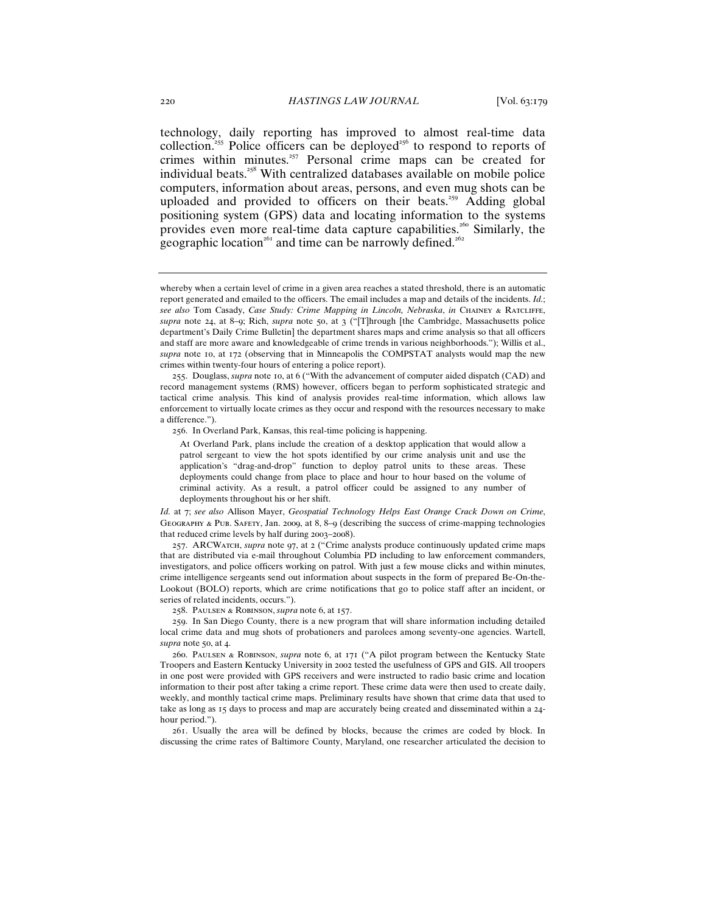technology, daily reporting has improved to almost real-time data collection.<sup>255</sup> Police officers can be deployed<sup>256</sup> to respond to reports of crimes within minutes.<sup>257</sup> Personal crime maps can be created for individual beats.<sup>258</sup> With centralized databases available on mobile police computers, information about areas, persons, and even mug shots can be uploaded and provided to officers on their beats.<sup>259</sup> Adding global positioning system (GPS) data and locating information to the systems provides even more real-time data capture capabilities.<sup>260</sup> Similarly, the geographic location<sup>261</sup> and time can be narrowly defined.<sup>262</sup>

256. In Overland Park, Kansas, this real-time policing is happening.

*Id.* at 7; *see also* Allison Mayer, *Geospatial Technology Helps East Orange Crack Down on Crime*, Geography & Pub. Safety, Jan. 2009, at 8, 8–9 (describing the success of crime-mapping technologies that reduced crime levels by half during 2003–2008).

257. ARCWatch, *supra* note 97, at 2 ("Crime analysts produce continuously updated crime maps that are distributed via e-mail throughout Columbia PD including to law enforcement commanders, investigators, and police officers working on patrol. With just a few mouse clicks and within minutes, crime intelligence sergeants send out information about suspects in the form of prepared Be-On-the-Lookout (BOLO) reports, which are crime notifications that go to police staff after an incident, or series of related incidents, occurs.").

258. Paulsen & Robinson, *supra* note 6, at 157.

259. In San Diego County, there is a new program that will share information including detailed local crime data and mug shots of probationers and parolees among seventy-one agencies. Wartell, *supra* note 50, at 4.

260. Paulsen & Robinson, *supra* note 6, at 171 ("A pilot program between the Kentucky State Troopers and Eastern Kentucky University in 2002 tested the usefulness of GPS and GIS. All troopers in one post were provided with GPS receivers and were instructed to radio basic crime and location information to their post after taking a crime report. These crime data were then used to create daily, weekly, and monthly tactical crime maps. Preliminary results have shown that crime data that used to take as long as 15 days to process and map are accurately being created and disseminated within a 24 hour period.").

261. Usually the area will be defined by blocks, because the crimes are coded by block. In discussing the crime rates of Baltimore County, Maryland, one researcher articulated the decision to

whereby when a certain level of crime in a given area reaches a stated threshold, there is an automatic report generated and emailed to the officers. The email includes a map and details of the incidents. *Id.*; *see also* Tom Casady, *Case Study: Crime Mapping in Lincoln, Nebraska*, *in* Chainey & Ratcliffe, *supra* note 24, at 8–9; Rich, *supra* note 50, at 3 ("[T]hrough [the Cambridge, Massachusetts police department's Daily Crime Bulletin] the department shares maps and crime analysis so that all officers and staff are more aware and knowledgeable of crime trends in various neighborhoods."); Willis et al., *supra* note 10, at 172 (observing that in Minneapolis the COMPSTAT analysts would map the new crimes within twenty-four hours of entering a police report).

<sup>255</sup>. Douglass, *supra* note 10, at 6 ("With the advancement of computer aided dispatch (CAD) and record management systems (RMS) however, officers began to perform sophisticated strategic and tactical crime analysis. This kind of analysis provides real-time information, which allows law enforcement to virtually locate crimes as they occur and respond with the resources necessary to make a difference.").

At Overland Park, plans include the creation of a desktop application that would allow a patrol sergeant to view the hot spots identified by our crime analysis unit and use the application's "drag-and-drop" function to deploy patrol units to these areas. These deployments could change from place to place and hour to hour based on the volume of criminal activity. As a result, a patrol officer could be assigned to any number of deployments throughout his or her shift.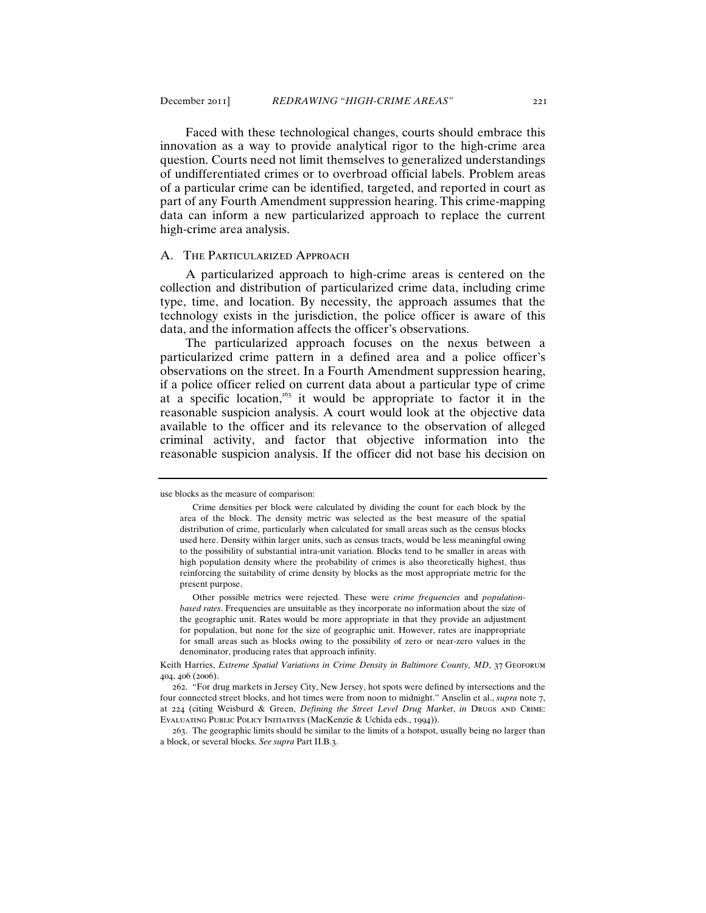Faced with these technological changes, courts should embrace this innovation as a way to provide analytical rigor to the high-crime area question. Courts need not limit themselves to generalized understandings of undifferentiated crimes or to overbroad official labels. Problem areas of a particular crime can be identified, targeted, and reported in court as part of any Fourth Amendment suppression hearing. This crime-mapping data can inform a new particularized approach to replace the current high-crime area analysis.

#### A. The Particularized Approach

A particularized approach to high-crime areas is centered on the collection and distribution of particularized crime data, including crime type, time, and location. By necessity, the approach assumes that the technology exists in the jurisdiction, the police officer is aware of this data, and the information affects the officer's observations.

The particularized approach focuses on the nexus between a particularized crime pattern in a defined area and a police officer's observations on the street. In a Fourth Amendment suppression hearing, if a police officer relied on current data about a particular type of crime at a specific location,<sup>263</sup> it would be appropriate to factor it in the reasonable suspicion analysis. A court would look at the objective data available to the officer and its relevance to the observation of alleged criminal activity, and factor that objective information into the reasonable suspicion analysis. If the officer did not base his decision on

use blocks as the measure of comparison:

Crime densities per block were calculated by dividing the count for each block by the area of the block. The density metric was selected as the best measure of the spatial distribution of crime, particularly when calculated for small areas such as the census blocks used here. Density within larger units, such as census tracts, would be less meaningful owing to the possibility of substantial intra-unit variation. Blocks tend to be smaller in areas with high population density where the probability of crimes is also theoretically highest, thus reinforcing the suitability of crime density by blocks as the most appropriate metric for the present purpose.

Other possible metrics were rejected. These were *crime frequencies* and *populationbased rates*. Frequencies are unsuitable as they incorporate no information about the size of the geographic unit. Rates would be more appropriate in that they provide an adjustment for population, but none for the size of geographic unit. However, rates are inappropriate for small areas such as blocks owing to the possibility of zero or near-zero values in the denominator, producing rates that approach infinity.

Keith Harries, *Extreme Spatial Variations in Crime Density in Baltimore County, MD*, 37 Geoforum 404, 406 (2006).

<sup>262</sup>. "For drug markets in Jersey City, New Jersey, hot spots were defined by intersections and the four connected street blocks, and hot times were from noon to midnight." Anselin et al., *supra* note 7, at 224 (citing Weisburd & Green, *Defining the Street Level Drug Market*, *in* Drugs and Crime: Evaluating Public Policy Initiatives (MacKenzie & Uchida eds., 1994)).

<sup>263</sup>. The geographic limits should be similar to the limits of a hotspot, usually being no larger than a block, or several blocks. *See supra* Part II.B.3.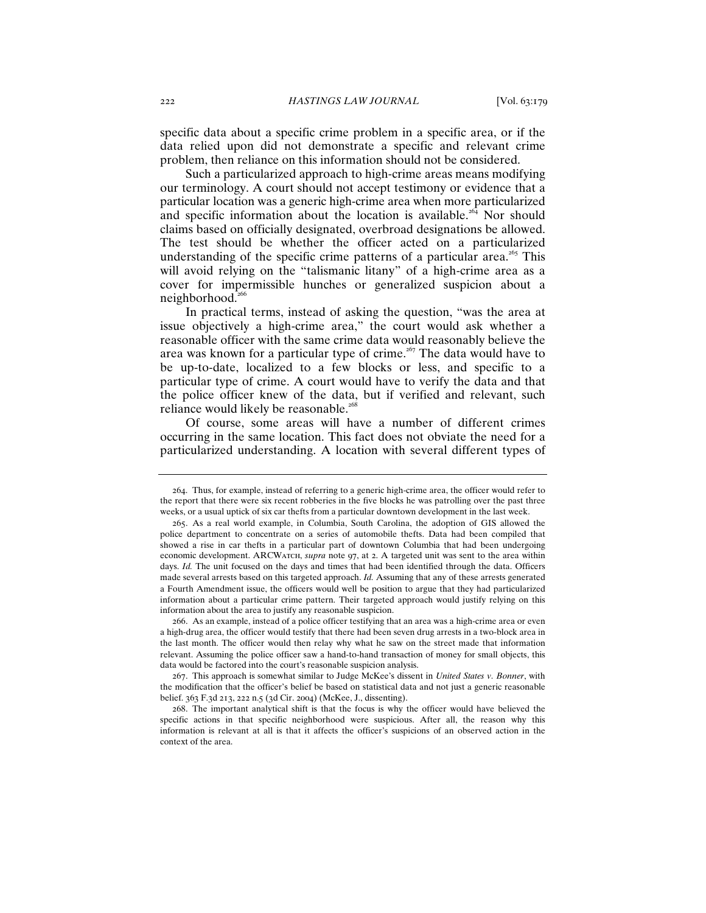specific data about a specific crime problem in a specific area, or if the data relied upon did not demonstrate a specific and relevant crime problem, then reliance on this information should not be considered.

Such a particularized approach to high-crime areas means modifying our terminology. A court should not accept testimony or evidence that a particular location was a generic high-crime area when more particularized and specific information about the location is available.<sup>264</sup> Nor should claims based on officially designated, overbroad designations be allowed. The test should be whether the officer acted on a particularized understanding of the specific crime patterns of a particular area.<sup>265</sup> This will avoid relying on the "talismanic litany" of a high-crime area as a cover for impermissible hunches or generalized suspicion about a neighborhood. $266$ 

In practical terms, instead of asking the question, "was the area at issue objectively a high-crime area," the court would ask whether a reasonable officer with the same crime data would reasonably believe the area was known for a particular type of crime.<sup>267</sup> The data would have to be up-to-date, localized to a few blocks or less, and specific to a particular type of crime. A court would have to verify the data and that the police officer knew of the data, but if verified and relevant, such reliance would likely be reasonable.<sup>26</sup>

Of course, some areas will have a number of different crimes occurring in the same location. This fact does not obviate the need for a particularized understanding. A location with several different types of

266. As an example, instead of a police officer testifying that an area was a high-crime area or even a high-drug area, the officer would testify that there had been seven drug arrests in a two-block area in the last month. The officer would then relay why what he saw on the street made that information relevant. Assuming the police officer saw a hand-to-hand transaction of money for small objects, this data would be factored into the court's reasonable suspicion analysis.

267. This approach is somewhat similar to Judge McKee's dissent in *United States v. Bonner*, with the modification that the officer's belief be based on statistical data and not just a generic reasonable belief. 363 F.3d 213, 222 n.5 (3d Cir. 2004) (McKee, J., dissenting).

268. The important analytical shift is that the focus is why the officer would have believed the specific actions in that specific neighborhood were suspicious. After all, the reason why this information is relevant at all is that it affects the officer's suspicions of an observed action in the context of the area.

<sup>264</sup>. Thus, for example, instead of referring to a generic high-crime area, the officer would refer to the report that there were six recent robberies in the five blocks he was patrolling over the past three weeks, or a usual uptick of six car thefts from a particular downtown development in the last week.

<sup>265</sup>. As a real world example, in Columbia, South Carolina, the adoption of GIS allowed the police department to concentrate on a series of automobile thefts. Data had been compiled that showed a rise in car thefts in a particular part of downtown Columbia that had been undergoing economic development. ARCWATCH, *supra* note 97, at 2. A targeted unit was sent to the area within days. *Id.* The unit focused on the days and times that had been identified through the data. Officers made several arrests based on this targeted approach. *Id.* Assuming that any of these arrests generated a Fourth Amendment issue, the officers would well be position to argue that they had particularized information about a particular crime pattern. Their targeted approach would justify relying on this information about the area to justify any reasonable suspicion.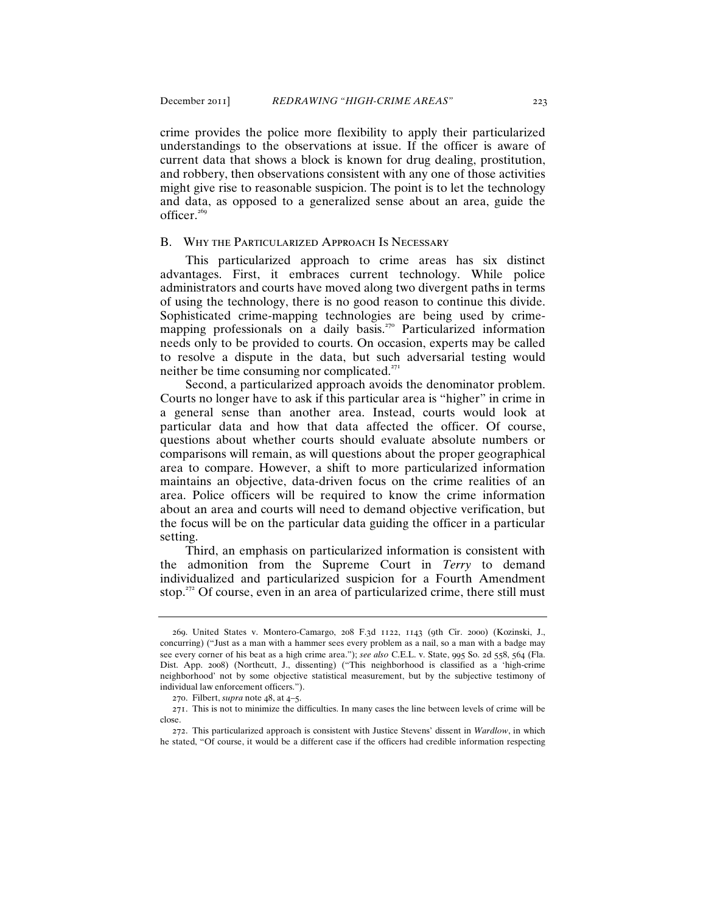crime provides the police more flexibility to apply their particularized understandings to the observations at issue. If the officer is aware of current data that shows a block is known for drug dealing, prostitution, and robbery, then observations consistent with any one of those activities

might give rise to reasonable suspicion. The point is to let the technology and data, as opposed to a generalized sense about an area, guide the officer. $269$ 

## B. Why the Particularized Approach Is Necessary

This particularized approach to crime areas has six distinct advantages. First, it embraces current technology. While police administrators and courts have moved along two divergent paths in terms of using the technology, there is no good reason to continue this divide. Sophisticated crime-mapping technologies are being used by crimemapping professionals on a daily basis.<sup>270</sup> Particularized information needs only to be provided to courts. On occasion, experts may be called to resolve a dispute in the data, but such adversarial testing would neither be time consuming nor complicated.<sup>271</sup>

Second, a particularized approach avoids the denominator problem. Courts no longer have to ask if this particular area is "higher" in crime in a general sense than another area. Instead, courts would look at particular data and how that data affected the officer. Of course, questions about whether courts should evaluate absolute numbers or comparisons will remain, as will questions about the proper geographical area to compare. However, a shift to more particularized information maintains an objective, data-driven focus on the crime realities of an area. Police officers will be required to know the crime information about an area and courts will need to demand objective verification, but the focus will be on the particular data guiding the officer in a particular setting.

Third, an emphasis on particularized information is consistent with the admonition from the Supreme Court in *Terry* to demand individualized and particularized suspicion for a Fourth Amendment stop.<sup>272</sup> Of course, even in an area of particularized crime, there still must

<sup>269</sup>. United States v. Montero-Camargo, 208 F.3d 1122, 1143 (9th Cir. 2000) (Kozinski, J., concurring) ("Just as a man with a hammer sees every problem as a nail, so a man with a badge may see every corner of his beat as a high crime area."); *see also* C.E.L. v. State, 995 So. 2d 558, 564 (Fla. Dist. App. 2008) (Northcutt, J., dissenting) ("This neighborhood is classified as a 'high-crime neighborhood' not by some objective statistical measurement, but by the subjective testimony of individual law enforcement officers.").

<sup>270</sup>. Filbert, *supra* note 48, at 4–5.

<sup>271</sup>. This is not to minimize the difficulties. In many cases the line between levels of crime will be close.

<sup>272</sup>. This particularized approach is consistent with Justice Stevens' dissent in *Wardlow*, in which he stated, "Of course, it would be a different case if the officers had credible information respecting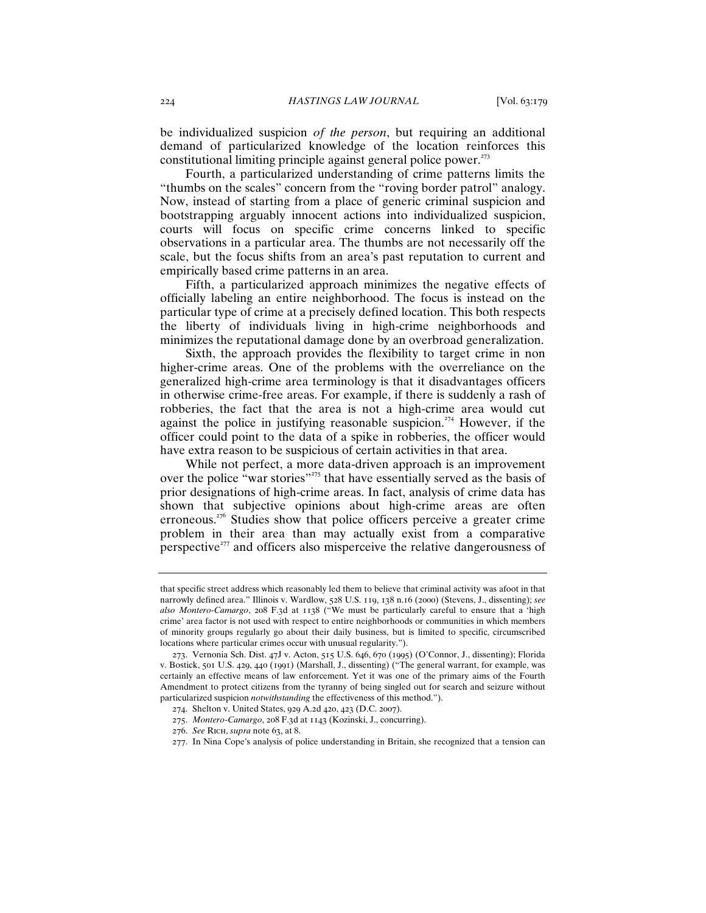be individualized suspicion *of the person*, but requiring an additional demand of particularized knowledge of the location reinforces this constitutional limiting principle against general police power. $273$ 

Fourth, a particularized understanding of crime patterns limits the "thumbs on the scales" concern from the "roving border patrol" analogy. Now, instead of starting from a place of generic criminal suspicion and bootstrapping arguably innocent actions into individualized suspicion, courts will focus on specific crime concerns linked to specific observations in a particular area. The thumbs are not necessarily off the scale, but the focus shifts from an area's past reputation to current and empirically based crime patterns in an area.

Fifth, a particularized approach minimizes the negative effects of officially labeling an entire neighborhood. The focus is instead on the particular type of crime at a precisely defined location. This both respects the liberty of individuals living in high-crime neighborhoods and minimizes the reputational damage done by an overbroad generalization.

Sixth, the approach provides the flexibility to target crime in non higher-crime areas. One of the problems with the overreliance on the generalized high-crime area terminology is that it disadvantages officers in otherwise crime-free areas. For example, if there is suddenly a rash of robberies, the fact that the area is not a high-crime area would cut against the police in justifying reasonable suspicion. <sup>274</sup> However, if the officer could point to the data of a spike in robberies, the officer would have extra reason to be suspicious of certain activities in that area.

While not perfect, a more data-driven approach is an improvement over the police "war stories"<sup>275</sup> that have essentially served as the basis of prior designations of high-crime areas. In fact, analysis of crime data has shown that subjective opinions about high-crime areas are often erroneous.<sup>276</sup> Studies show that police officers perceive a greater crime problem in their area than may actually exist from a comparative perspective $277$  and officers also misperceive the relative dangerousness of

that specific street address which reasonably led them to believe that criminal activity was afoot in that narrowly defined area." Illinois v. Wardlow, 528 U.S. 119, 138 n.16 (2000) (Stevens, J., dissenting); *see also Montero-Camargo*, 208 F.3d at 1138 ("We must be particularly careful to ensure that a 'high crime' area factor is not used with respect to entire neighborhoods or communities in which members of minority groups regularly go about their daily business, but is limited to specific, circumscribed locations where particular crimes occur with unusual regularity.").

<sup>273</sup>. Vernonia Sch. Dist. 47J v. Acton, 515 U.S. 646, 670 (1995) (O'Connor, J., dissenting); Florida v. Bostick, 501 U.S. 429, 440 (1991) (Marshall, J., dissenting) ("The general warrant, for example, was certainly an effective means of law enforcement. Yet it was one of the primary aims of the Fourth Amendment to protect citizens from the tyranny of being singled out for search and seizure without particularized suspicion *notwithstanding* the effectiveness of this method.").

<sup>274</sup>. Shelton v. United States, 929 A.2d 420, 423 (D.C. 2007).

<sup>275</sup>. *Montero-Camargo*, 208 F.3d at 1143 (Kozinski, J., concurring).

<sup>276</sup>. *See* Rich, *supra* note 63, at 8.

<sup>277</sup>. In Nina Cope's analysis of police understanding in Britain, she recognized that a tension can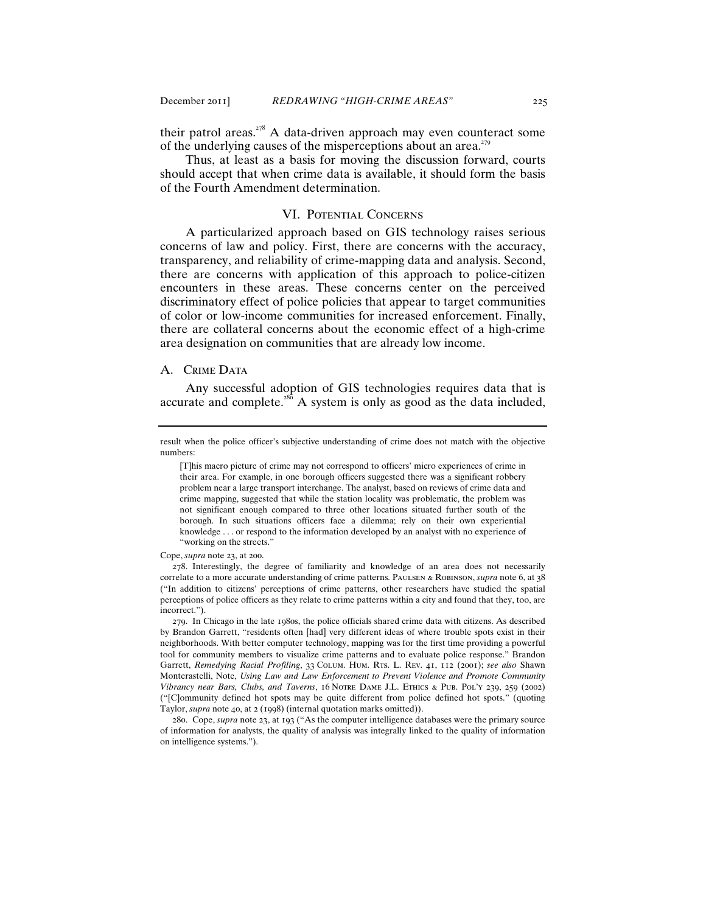their patrol areas. $278$  A data-driven approach may even counteract some of the underlying causes of the misperceptions about an area.<sup>279</sup>

Thus, at least as a basis for moving the discussion forward, courts should accept that when crime data is available, it should form the basis of the Fourth Amendment determination.

#### VI. Potential Concerns

A particularized approach based on GIS technology raises serious concerns of law and policy. First, there are concerns with the accuracy, transparency, and reliability of crime-mapping data and analysis. Second, there are concerns with application of this approach to police-citizen encounters in these areas. These concerns center on the perceived discriminatory effect of police policies that appear to target communities of color or low-income communities for increased enforcement. Finally, there are collateral concerns about the economic effect of a high-crime area designation on communities that are already low income.

## A. CRIME DATA

Any successful adoption of GIS technologies requires data that is accurate and complete.<sup>280</sup> A system is only as good as the data included,

#### Cope, *supra* note 23, at 200.

result when the police officer's subjective understanding of crime does not match with the objective numbers:

 <sup>[</sup>T]his macro picture of crime may not correspond to officers' micro experiences of crime in their area. For example, in one borough officers suggested there was a significant robbery problem near a large transport interchange. The analyst, based on reviews of crime data and crime mapping, suggested that while the station locality was problematic, the problem was not significant enough compared to three other locations situated further south of the borough. In such situations officers face a dilemma; rely on their own experiential knowledge . . . or respond to the information developed by an analyst with no experience of "working on the streets."

<sup>278</sup>. Interestingly, the degree of familiarity and knowledge of an area does not necessarily correlate to a more accurate understanding of crime patterns. Paulsen & Robinson, *supra* note 6, at 38 ("In addition to citizens' perceptions of crime patterns, other researchers have studied the spatial perceptions of police officers as they relate to crime patterns within a city and found that they, too, are incorrect.").

<sup>279</sup>. In Chicago in the late 1980s, the police officials shared crime data with citizens. As described by Brandon Garrett, "residents often [had] very different ideas of where trouble spots exist in their neighborhoods. With better computer technology, mapping was for the first time providing a powerful tool for community members to visualize crime patterns and to evaluate police response." Brandon Garrett, *Remedying Racial Profiling*, 33 Colum. Hum. Rts. L. Rev. 41, 112 (2001); *see also* Shawn Monterastelli, Note, *Using Law and Law Enforcement to Prevent Violence and Promote Community Vibrancy near Bars, Clubs, and Taverns*, 16 Notre Dame J.L. Ethics & Pub. Pol'y 239, 259 (2002) ("[C]ommunity defined hot spots may be quite different from police defined hot spots." (quoting Taylor, *supra* note 40, at 2 (1998) (internal quotation marks omitted)).

<sup>280</sup>. Cope, *supra* note 23, at 193 ("As the computer intelligence databases were the primary source of information for analysts, the quality of analysis was integrally linked to the quality of information on intelligence systems.").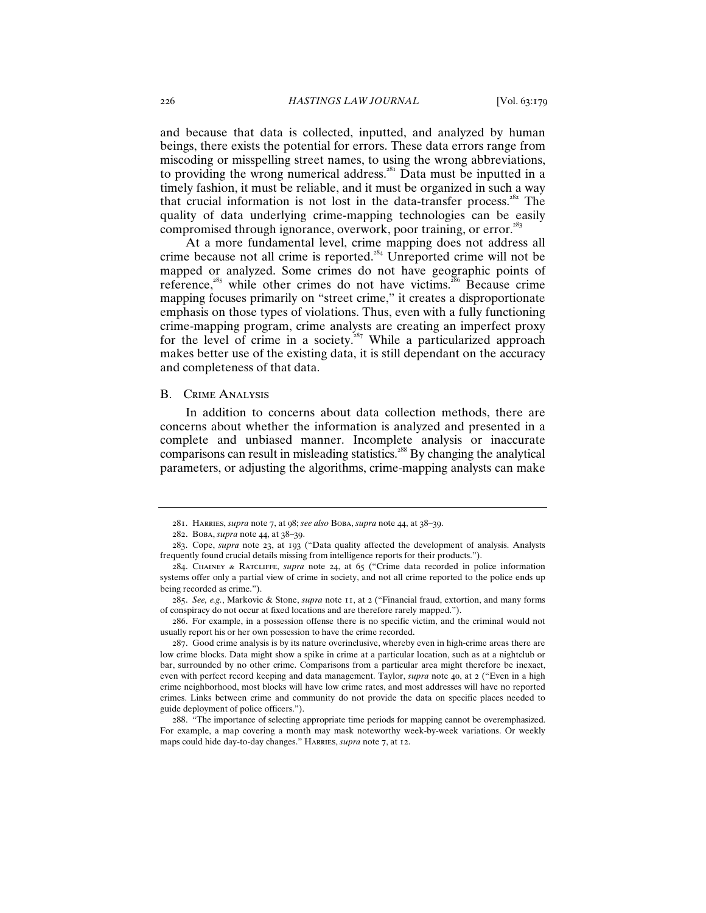and because that data is collected, inputted, and analyzed by human beings, there exists the potential for errors. These data errors range from miscoding or misspelling street names, to using the wrong abbreviations, to providing the wrong numerical address.<sup>281</sup> Data must be inputted in a timely fashion, it must be reliable, and it must be organized in such a way that crucial information is not lost in the data-transfer process.<sup> $282$ </sup> The quality of data underlying crime-mapping technologies can be easily compromised through ignorance, overwork, poor training, or error.<sup>283</sup>

At a more fundamental level, crime mapping does not address all crime because not all crime is reported.<sup>284</sup> Unreported crime will not be mapped or analyzed. Some crimes do not have geographic points of reference,<sup>285</sup> while other crimes do not have victims.<sup>286</sup> Because crime mapping focuses primarily on "street crime," it creates a disproportionate emphasis on those types of violations. Thus, even with a fully functioning crime-mapping program, crime analysts are creating an imperfect proxy for the level of crime in a society.<sup>287</sup> While a particularized approach makes better use of the existing data, it is still dependant on the accuracy and completeness of that data.

## B. Crime Analysis

In addition to concerns about data collection methods, there are concerns about whether the information is analyzed and presented in a complete and unbiased manner. Incomplete analysis or inaccurate comparisons can result in misleading statistics.<sup>288</sup> By changing the analytical parameters, or adjusting the algorithms, crime-mapping analysts can make

286. For example, in a possession offense there is no specific victim, and the criminal would not usually report his or her own possession to have the crime recorded.

<sup>281</sup>. Harries, *supra* note 7, at 98; *see also* Boba, *supra* note 44, at 38–39.

<sup>282</sup>. Boba, *supra* note 44, at 38–39.

<sup>283</sup>. Cope, *supra* note 23, at 193 ("Data quality affected the development of analysis. Analysts frequently found crucial details missing from intelligence reports for their products.").

<sup>284</sup>. Chainey & Ratcliffe, *supra* note 24, at 65 ("Crime data recorded in police information systems offer only a partial view of crime in society, and not all crime reported to the police ends up being recorded as crime.").

<sup>285</sup>. *See, e.g.*, Markovic & Stone, *supra* note 11, at 2 ("Financial fraud, extortion, and many forms of conspiracy do not occur at fixed locations and are therefore rarely mapped.").

<sup>287</sup>. Good crime analysis is by its nature overinclusive, whereby even in high-crime areas there are low crime blocks. Data might show a spike in crime at a particular location, such as at a nightclub or bar, surrounded by no other crime. Comparisons from a particular area might therefore be inexact, even with perfect record keeping and data management. Taylor, *supra* note 40, at 2 ("Even in a high crime neighborhood, most blocks will have low crime rates, and most addresses will have no reported crimes. Links between crime and community do not provide the data on specific places needed to guide deployment of police officers.").

<sup>288</sup>. "The importance of selecting appropriate time periods for mapping cannot be overemphasized. For example, a map covering a month may mask noteworthy week-by-week variations. Or weekly maps could hide day-to-day changes." Harries, *supra* note 7, at 12.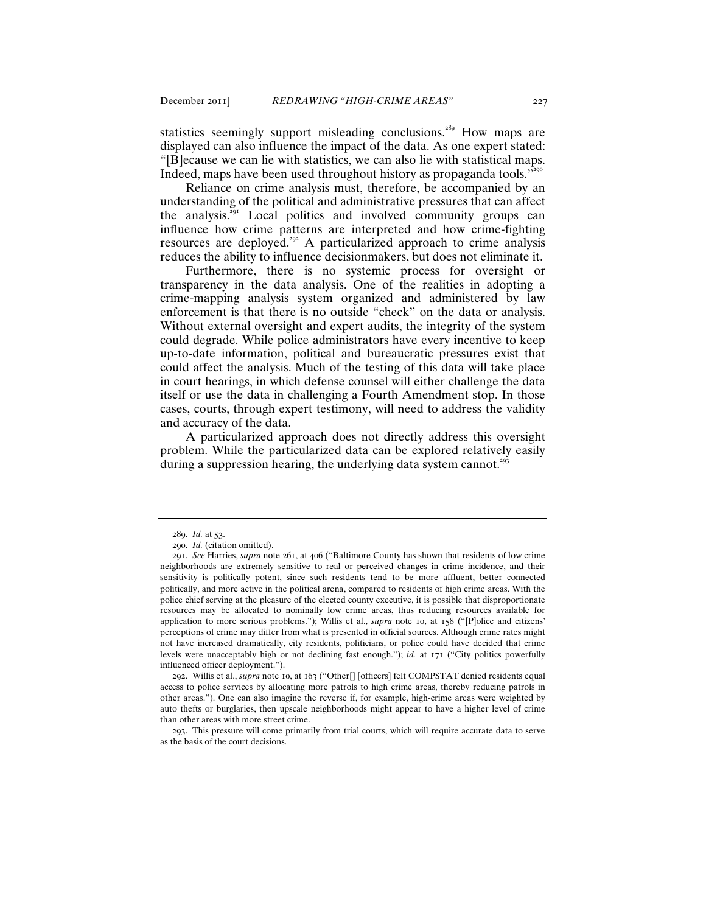statistics seemingly support misleading conclusions.<sup>289</sup> How maps are displayed can also influence the impact of the data. As one expert stated: "[B]ecause we can lie with statistics, we can also lie with statistical maps. Indeed, maps have been used throughout history as propaganda tools."<sup>290</sup>

Reliance on crime analysis must, therefore, be accompanied by an understanding of the political and administrative pressures that can affect the analysis.<sup>291</sup> Local politics and involved community groups can influence how crime patterns are interpreted and how crime-fighting resources are deployed.<sup>292</sup> A particularized approach to crime analysis reduces the ability to influence decisionmakers, but does not eliminate it.

Furthermore, there is no systemic process for oversight or transparency in the data analysis. One of the realities in adopting a crime-mapping analysis system organized and administered by law enforcement is that there is no outside "check" on the data or analysis. Without external oversight and expert audits, the integrity of the system could degrade. While police administrators have every incentive to keep up-to-date information, political and bureaucratic pressures exist that could affect the analysis. Much of the testing of this data will take place in court hearings, in which defense counsel will either challenge the data itself or use the data in challenging a Fourth Amendment stop. In those cases, courts, through expert testimony, will need to address the validity and accuracy of the data.

A particularized approach does not directly address this oversight problem. While the particularized data can be explored relatively easily during a suppression hearing, the underlying data system cannot.<sup>293</sup>

293. This pressure will come primarily from trial courts, which will require accurate data to serve as the basis of the court decisions.

<sup>289</sup>. *Id.* at 53.

<sup>290</sup>. *Id.* (citation omitted).

<sup>291</sup>. *See* Harries, *supra* note 261, at 406 ("Baltimore County has shown that residents of low crime neighborhoods are extremely sensitive to real or perceived changes in crime incidence, and their sensitivity is politically potent, since such residents tend to be more affluent, better connected politically, and more active in the political arena, compared to residents of high crime areas. With the police chief serving at the pleasure of the elected county executive, it is possible that disproportionate resources may be allocated to nominally low crime areas, thus reducing resources available for application to more serious problems."); Willis et al., *supra* note 10, at 158 ("[P]olice and citizens' perceptions of crime may differ from what is presented in official sources. Although crime rates might not have increased dramatically, city residents, politicians, or police could have decided that crime levels were unacceptably high or not declining fast enough."); *id.* at 171 ("City politics powerfully influenced officer deployment.").

<sup>292</sup>. Willis et al., *supra* note 10, at 163 ("Other[] [officers] felt COMPSTAT denied residents equal access to police services by allocating more patrols to high crime areas, thereby reducing patrols in other areas."). One can also imagine the reverse if, for example, high-crime areas were weighted by auto thefts or burglaries, then upscale neighborhoods might appear to have a higher level of crime than other areas with more street crime.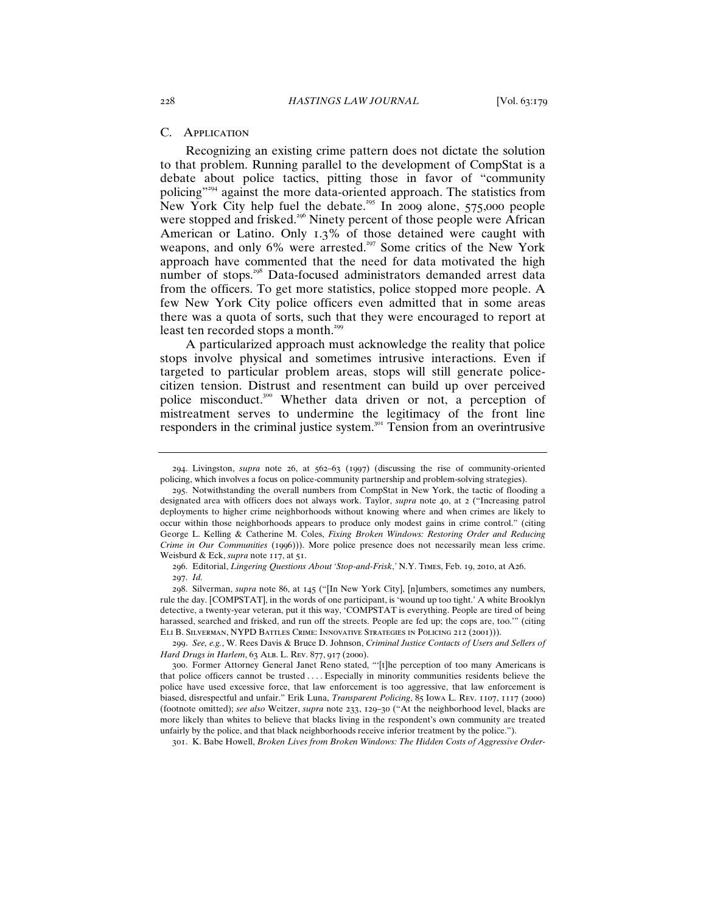## C. Application

Recognizing an existing crime pattern does not dictate the solution to that problem. Running parallel to the development of CompStat is a debate about police tactics, pitting those in favor of "community policing"<sup>294</sup> against the more data-oriented approach. The statistics from New York City help fuel the debate.<sup>295</sup> In 2009 alone, 575,000 people were stopped and frisked.<sup>296</sup> Ninety percent of those people were African American or Latino. Only 1.3% of those detained were caught with weapons, and only 6% were arrested.<sup>297</sup> Some critics of the New York approach have commented that the need for data motivated the high number of stops.<sup>298</sup> Data-focused administrators demanded arrest data from the officers. To get more statistics, police stopped more people. A few New York City police officers even admitted that in some areas there was a quota of sorts, such that they were encouraged to report at least ten recorded stops a month.<sup>299</sup>

A particularized approach must acknowledge the reality that police stops involve physical and sometimes intrusive interactions. Even if targeted to particular problem areas, stops will still generate policecitizen tension. Distrust and resentment can build up over perceived police misconduct.<sup>300</sup> Whether data driven or not, a perception of mistreatment serves to undermine the legitimacy of the front line responders in the criminal justice system.<sup>301</sup> Tension from an overintrusive

298. Silverman, *supra* note 86, at 145 ("[In New York City], [n]umbers, sometimes any numbers, rule the day. [COMPSTAT], in the words of one participant, is 'wound up too tight.' A white Brooklyn detective, a twenty-year veteran, put it this way, 'COMPSTAT is everything. People are tired of being harassed, searched and frisked, and run off the streets. People are fed up; the cops are, too.'" (citing Eli B. Silverman, NYPD Battles Crime: Innovative Strategies in Policing 212 (2001))).

299. *See, e.g.*, W. Rees Davis & Bruce D. Johnson, *Criminal Justice Contacts of Users and Sellers of Hard Drugs in Harlem*, 63 Alb. L. Rev. 877, 917 (2000).

301. K. Babe Howell, *Broken Lives from Broken Windows: The Hidden Costs of Aggressive Order-*

<sup>294</sup>. Livingston, *supra* note 26, at 562–63 (1997) (discussing the rise of community-oriented policing, which involves a focus on police-community partnership and problem-solving strategies).

<sup>295</sup>. Notwithstanding the overall numbers from CompStat in New York, the tactic of flooding a designated area with officers does not always work. Taylor, *supra* note 40, at 2 ("Increasing patrol deployments to higher crime neighborhoods without knowing where and when crimes are likely to occur within those neighborhoods appears to produce only modest gains in crime control." (citing George L. Kelling & Catherine M. Coles, *Fixing Broken Windows: Restoring Order and Reducing Crime in Our Communities* (1996))). More police presence does not necessarily mean less crime. Weisburd & Eck, *supra* note 117, at 51.

<sup>296</sup>. Editorial, *Lingering Questions About 'Stop-and-Frisk*,*'* N.Y. Times, Feb. 19, 2010, at A26.

<sup>297</sup>. *Id.*

<sup>300</sup>. Former Attorney General Janet Reno stated, "'[t]he perception of too many Americans is that police officers cannot be trusted . . . . Especially in minority communities residents believe the police have used excessive force, that law enforcement is too aggressive, that law enforcement is biased, disrespectful and unfair." Erik Luna, *Transparent Policing*, 85 Iowa L. Rev. 1107, 1117 (2000) (footnote omitted); *see also* Weitzer, *supra* note 233, 129–30 ("At the neighborhood level, blacks are more likely than whites to believe that blacks living in the respondent's own community are treated unfairly by the police, and that black neighborhoods receive inferior treatment by the police.").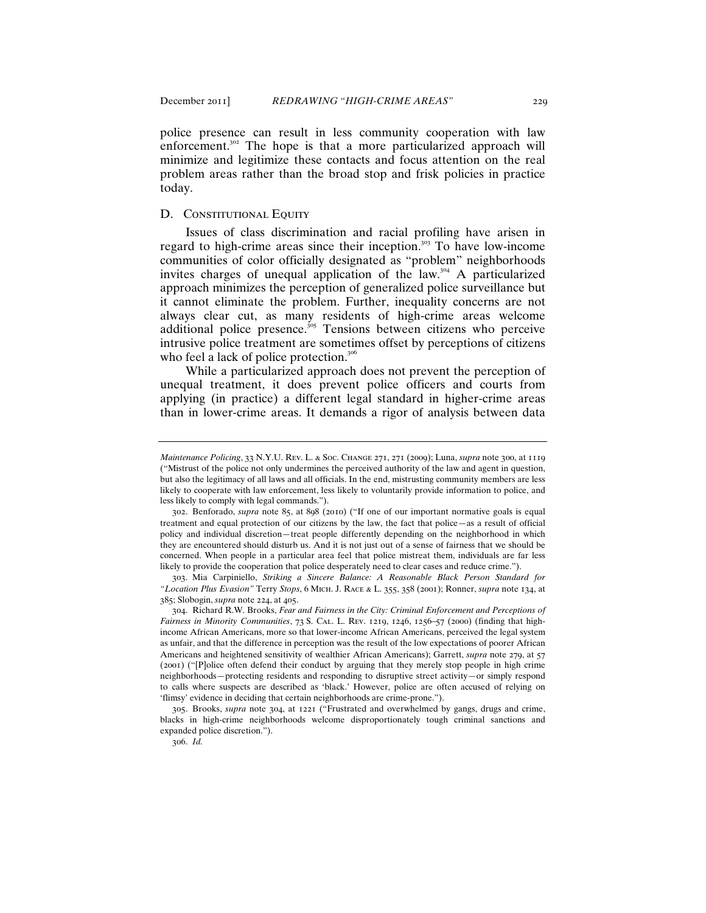police presence can result in less community cooperation with law enforcement.<sup>302</sup> The hope is that a more particularized approach will minimize and legitimize these contacts and focus attention on the real problem areas rather than the broad stop and frisk policies in practice today.

## D. CONSTITUTIONAL EQUITY

Issues of class discrimination and racial profiling have arisen in regard to high-crime areas since their inception.<sup>303</sup> To have low-income communities of color officially designated as "problem" neighborhoods invites charges of unequal application of the law.<sup>304</sup> A particularized approach minimizes the perception of generalized police surveillance but it cannot eliminate the problem. Further, inequality concerns are not always clear cut, as many residents of high-crime areas welcome additional police presence.<sup>305</sup> Tensions between citizens who perceive intrusive police treatment are sometimes offset by perceptions of citizens who feel a lack of police protection.<sup>306</sup>

While a particularized approach does not prevent the perception of unequal treatment, it does prevent police officers and courts from applying (in practice) a different legal standard in higher-crime areas than in lower-crime areas. It demands a rigor of analysis between data

*Maintenance Policing*, 33 N.Y.U. Rev. L. & Soc. Change 271, 271 (2009); Luna, *supra* note 300, at 1119 ("Mistrust of the police not only undermines the perceived authority of the law and agent in question, but also the legitimacy of all laws and all officials. In the end, mistrusting community members are less likely to cooperate with law enforcement, less likely to voluntarily provide information to police, and less likely to comply with legal commands.").

<sup>302</sup>. Benforado, *supra* note 85, at 898 (2010) ("If one of our important normative goals is equal treatment and equal protection of our citizens by the law, the fact that police—as a result of official policy and individual discretion—treat people differently depending on the neighborhood in which they are encountered should disturb us. And it is not just out of a sense of fairness that we should be concerned. When people in a particular area feel that police mistreat them, individuals are far less likely to provide the cooperation that police desperately need to clear cases and reduce crime.").

<sup>303</sup>. Mia Carpiniello, *Striking a Sincere Balance: A Reasonable Black Person Standard for "Location Plus Evasion"* Terry *Stops*, 6 Mich. J. Race & L. 355, 358 (2001); Ronner, *supra* note 134, at 385; Slobogin, *supra* note 224, at 405.

<sup>304</sup>. Richard R.W. Brooks, *Fear and Fairness in the City: Criminal Enforcement and Perceptions of Fairness in Minority Communities*, 73 S. Cal. L. Rev. 1219, 1246, 1256–57 (2000) (finding that highincome African Americans, more so that lower-income African Americans, perceived the legal system as unfair, and that the difference in perception was the result of the low expectations of poorer African Americans and heightened sensitivity of wealthier African Americans); Garrett, *supra* note 279, at 57 (2001) ("[P]olice often defend their conduct by arguing that they merely stop people in high crime neighborhoods—protecting residents and responding to disruptive street activity—or simply respond to calls where suspects are described as 'black.' However, police are often accused of relying on 'flimsy' evidence in deciding that certain neighborhoods are crime-prone.").

<sup>305</sup>. Brooks, *supra* note 304, at 1221 ("Frustrated and overwhelmed by gangs, drugs and crime, blacks in high-crime neighborhoods welcome disproportionately tough criminal sanctions and expanded police discretion.").

<sup>306</sup>. *Id.*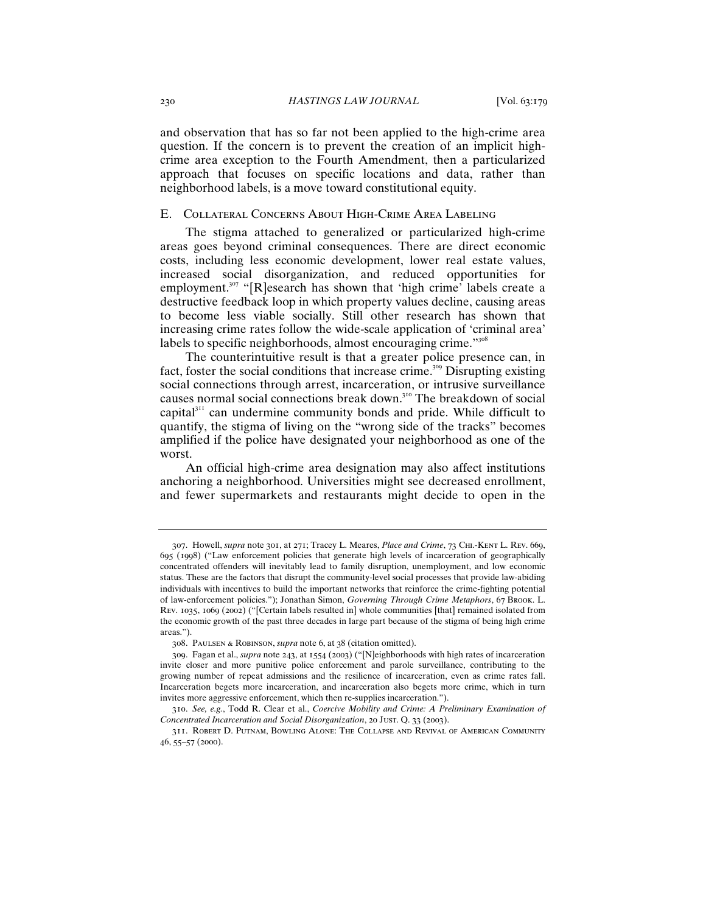and observation that has so far not been applied to the high-crime area question. If the concern is to prevent the creation of an implicit highcrime area exception to the Fourth Amendment, then a particularized approach that focuses on specific locations and data, rather than neighborhood labels, is a move toward constitutional equity.

## E. Collateral Concerns About High-Crime Area Labeling

The stigma attached to generalized or particularized high-crime areas goes beyond criminal consequences. There are direct economic costs, including less economic development, lower real estate values, increased social disorganization, and reduced opportunities for employment.<sup>307</sup> "[R]esearch has shown that 'high crime' labels create a destructive feedback loop in which property values decline, causing areas to become less viable socially. Still other research has shown that increasing crime rates follow the wide-scale application of 'criminal area' labels to specific neighborhoods, almost encouraging crime."<sup>308</sup>

The counterintuitive result is that a greater police presence can, in fact, foster the social conditions that increase crime.<sup>309</sup> Disrupting existing social connections through arrest, incarceration, or intrusive surveillance causes normal social connections break down.<sup>310</sup> The breakdown of social capital $311$  can undermine community bonds and pride. While difficult to quantify, the stigma of living on the "wrong side of the tracks" becomes amplified if the police have designated your neighborhood as one of the worst.

An official high-crime area designation may also affect institutions anchoring a neighborhood. Universities might see decreased enrollment, and fewer supermarkets and restaurants might decide to open in the

<sup>307</sup>. Howell, *supra* note 301, at 271; Tracey L. Meares, *Place and Crime*, 73 Chi.-Kent L. Rev. 669, 695 (1998) ("Law enforcement policies that generate high levels of incarceration of geographically concentrated offenders will inevitably lead to family disruption, unemployment, and low economic status. These are the factors that disrupt the community-level social processes that provide law-abiding individuals with incentives to build the important networks that reinforce the crime-fighting potential of law-enforcement policies."); Jonathan Simon, *Governing Through Crime Metaphors*, 67 Brook. L. Rev. 1035, 1069 (2002) ("[Certain labels resulted in] whole communities [that] remained isolated from the economic growth of the past three decades in large part because of the stigma of being high crime areas.").

<sup>308</sup>. Paulsen & Robinson, *supra* note 6, at 38 (citation omitted).

<sup>309</sup>. Fagan et al., *supra* note 243, at 1554 (2003) ("[N]eighborhoods with high rates of incarceration invite closer and more punitive police enforcement and parole surveillance, contributing to the growing number of repeat admissions and the resilience of incarceration, even as crime rates fall. Incarceration begets more incarceration, and incarceration also begets more crime, which in turn invites more aggressive enforcement, which then re-supplies incarceration.").

<sup>310</sup>. *See, e.g.*, Todd R. Clear et al., *Coercive Mobility and Crime: A Preliminary Examination of Concentrated Incarceration and Social Disorganization*, 20 Just. Q. 33 (2003).

<sup>311</sup>. Robert D. Putnam, Bowling Alone: The Collapse and Revival of American Community 46, 55–57 (2000).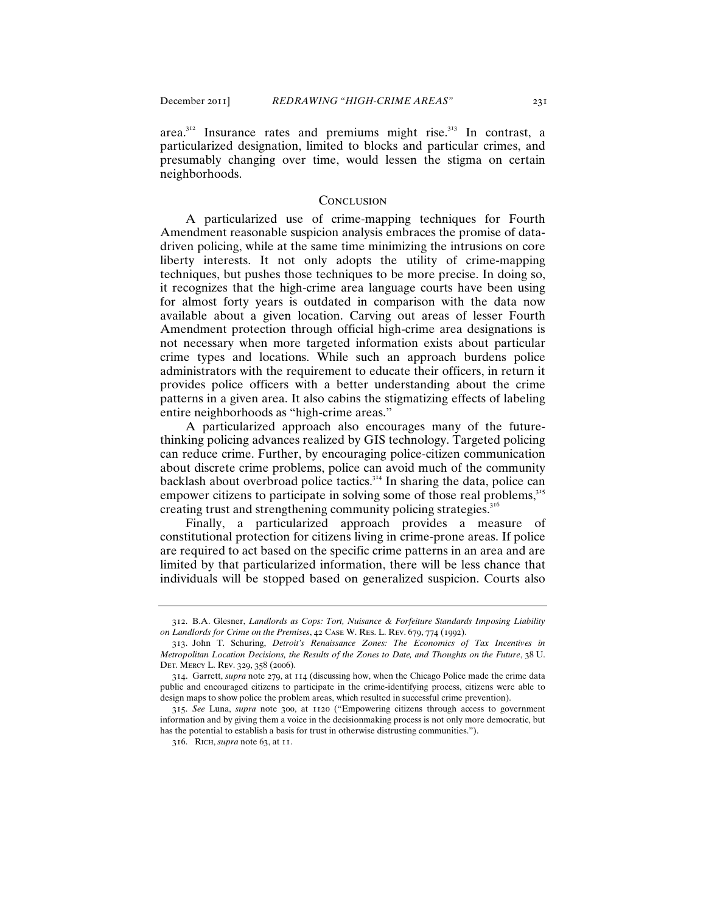area.<sup>312</sup> Insurance rates and premiums might rise.<sup>313</sup> In contrast, a particularized designation, limited to blocks and particular crimes, and presumably changing over time, would lessen the stigma on certain neighborhoods.

#### **CONCLUSION**

A particularized use of crime-mapping techniques for Fourth Amendment reasonable suspicion analysis embraces the promise of datadriven policing, while at the same time minimizing the intrusions on core liberty interests. It not only adopts the utility of crime-mapping techniques, but pushes those techniques to be more precise. In doing so, it recognizes that the high-crime area language courts have been using for almost forty years is outdated in comparison with the data now available about a given location. Carving out areas of lesser Fourth Amendment protection through official high-crime area designations is not necessary when more targeted information exists about particular crime types and locations. While such an approach burdens police administrators with the requirement to educate their officers, in return it provides police officers with a better understanding about the crime patterns in a given area. It also cabins the stigmatizing effects of labeling entire neighborhoods as "high-crime areas."

A particularized approach also encourages many of the futurethinking policing advances realized by GIS technology. Targeted policing can reduce crime. Further, by encouraging police-citizen communication about discrete crime problems, police can avoid much of the community backlash about overbroad police tactics.<sup>314</sup> In sharing the data, police can empower citizens to participate in solving some of those real problems,<sup>315</sup> creating trust and strengthening community policing strategies.<sup>3</sup>

Finally, a particularized approach provides a measure of constitutional protection for citizens living in crime-prone areas. If police are required to act based on the specific crime patterns in an area and are limited by that particularized information, there will be less chance that individuals will be stopped based on generalized suspicion. Courts also

<sup>312</sup>. B.A. Glesner, *Landlords as Cops: Tort, Nuisance & Forfeiture Standards Imposing Liability on Landlords for Crime on the Premises*, 42 Case W. Res. L. Rev. 679, 774 (1992).

<sup>313</sup>. John T. Schuring, *Detroit's Renaissance Zones: The Economics of Tax Incentives in Metropolitan Location Decisions, the Results of the Zones to Date, and Thoughts on the Future*, 38 U. Det. Mercy L. Rev. 329, 358 (2006).

<sup>314</sup>. Garrett, *supra* note 279, at 114 (discussing how, when the Chicago Police made the crime data public and encouraged citizens to participate in the crime-identifying process, citizens were able to design maps to show police the problem areas, which resulted in successful crime prevention).

<sup>315</sup>. *See* Luna, *supra* note 300, at 1120 ("Empowering citizens through access to government information and by giving them a voice in the decisionmaking process is not only more democratic, but has the potential to establish a basis for trust in otherwise distrusting communities.").

<sup>316</sup>. Rich, *supra* note 63, at 11.